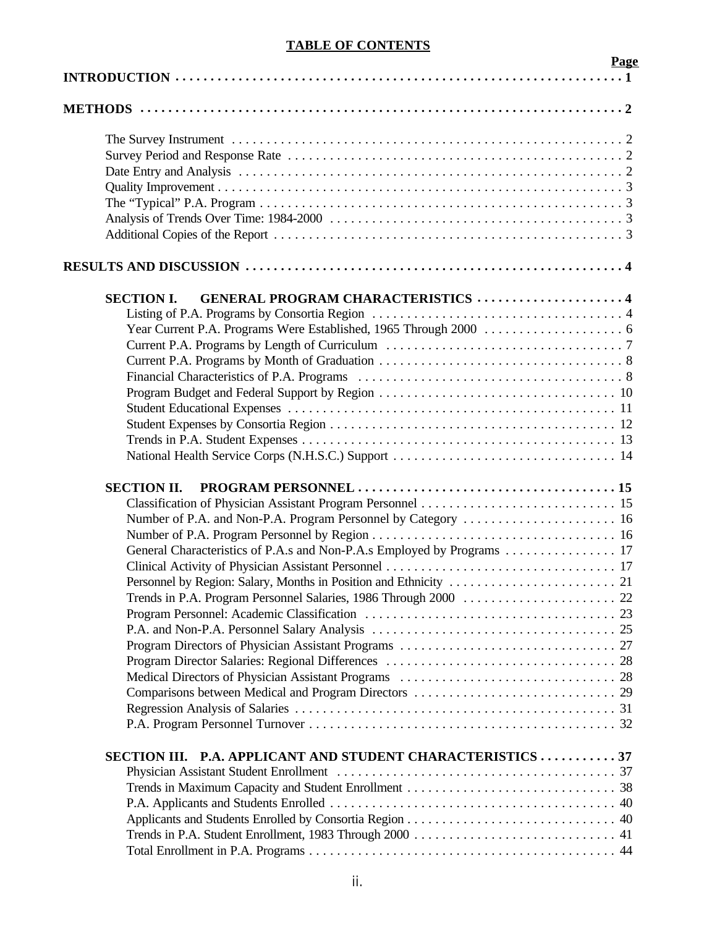# **TABLE OF CONTENTS**

|                                                                        | <b>Page</b> |
|------------------------------------------------------------------------|-------------|
|                                                                        |             |
|                                                                        |             |
|                                                                        |             |
|                                                                        |             |
|                                                                        |             |
|                                                                        |             |
|                                                                        |             |
|                                                                        |             |
|                                                                        |             |
|                                                                        |             |
| <b>GENERAL PROGRAM CHARACTERISTICS 4</b><br><b>SECTION I.</b>          |             |
|                                                                        |             |
|                                                                        |             |
|                                                                        |             |
|                                                                        |             |
|                                                                        |             |
|                                                                        |             |
|                                                                        |             |
|                                                                        |             |
|                                                                        |             |
|                                                                        |             |
| <b>SECTION II.</b>                                                     |             |
|                                                                        |             |
| Number of P.A. and Non-P.A. Program Personnel by Category  16          |             |
|                                                                        |             |
| General Characteristics of P.A.s and Non-P.A.s Employed by Programs 17 |             |
|                                                                        |             |
|                                                                        |             |
|                                                                        |             |
|                                                                        |             |
|                                                                        |             |
|                                                                        |             |
|                                                                        |             |
|                                                                        |             |
|                                                                        |             |
|                                                                        |             |
|                                                                        |             |
| SECTION III. P.A. APPLICANT AND STUDENT CHARACTERISTICS 37             |             |
|                                                                        |             |
|                                                                        |             |
|                                                                        |             |
|                                                                        |             |
|                                                                        |             |
|                                                                        |             |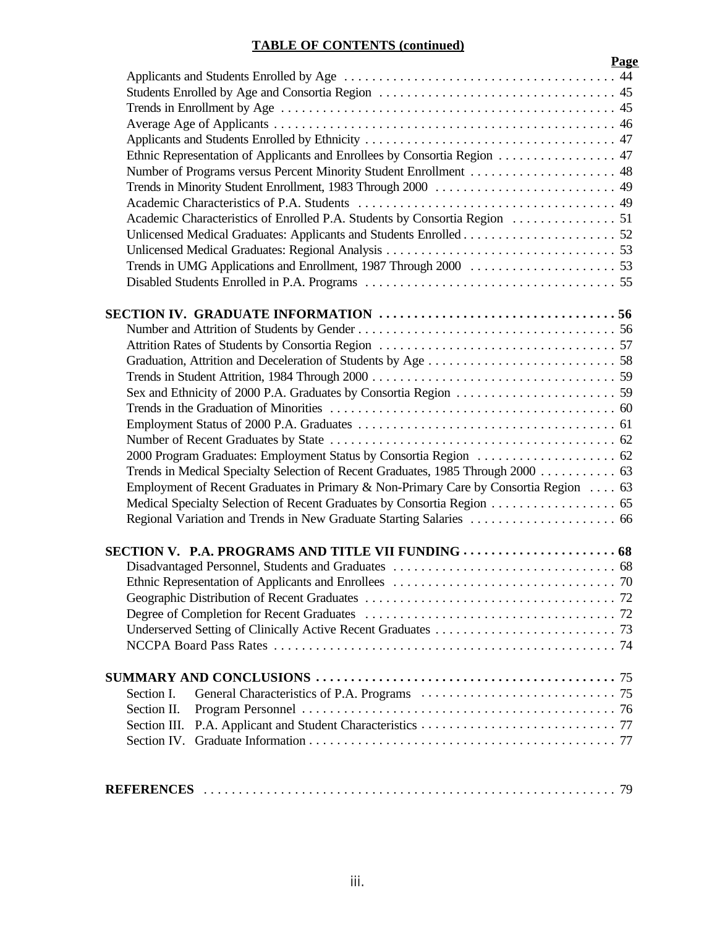# **TABLE OF CONTENTS (continued)**

|                                                                                     | Page |
|-------------------------------------------------------------------------------------|------|
|                                                                                     |      |
|                                                                                     |      |
|                                                                                     |      |
|                                                                                     |      |
|                                                                                     |      |
| Ethnic Representation of Applicants and Enrollees by Consortia Region 47            |      |
| Number of Programs versus Percent Minority Student Enrollment  48                   |      |
|                                                                                     |      |
|                                                                                     |      |
|                                                                                     |      |
|                                                                                     |      |
|                                                                                     |      |
|                                                                                     |      |
|                                                                                     |      |
|                                                                                     |      |
|                                                                                     |      |
|                                                                                     |      |
|                                                                                     |      |
|                                                                                     |      |
|                                                                                     |      |
|                                                                                     |      |
|                                                                                     |      |
|                                                                                     |      |
|                                                                                     |      |
| Trends in Medical Specialty Selection of Recent Graduates, 1985 Through 2000 63     |      |
| Employment of Recent Graduates in Primary & Non-Primary Care by Consortia Region 63 |      |
|                                                                                     |      |
|                                                                                     |      |
|                                                                                     |      |
|                                                                                     |      |
|                                                                                     |      |
|                                                                                     |      |
|                                                                                     |      |
|                                                                                     |      |
|                                                                                     |      |
|                                                                                     |      |
| Section I.                                                                          |      |
| Section II.                                                                         |      |
| Section III.                                                                        |      |
| Section IV.                                                                         |      |
|                                                                                     |      |
|                                                                                     |      |

|--|--|--|--|--|--|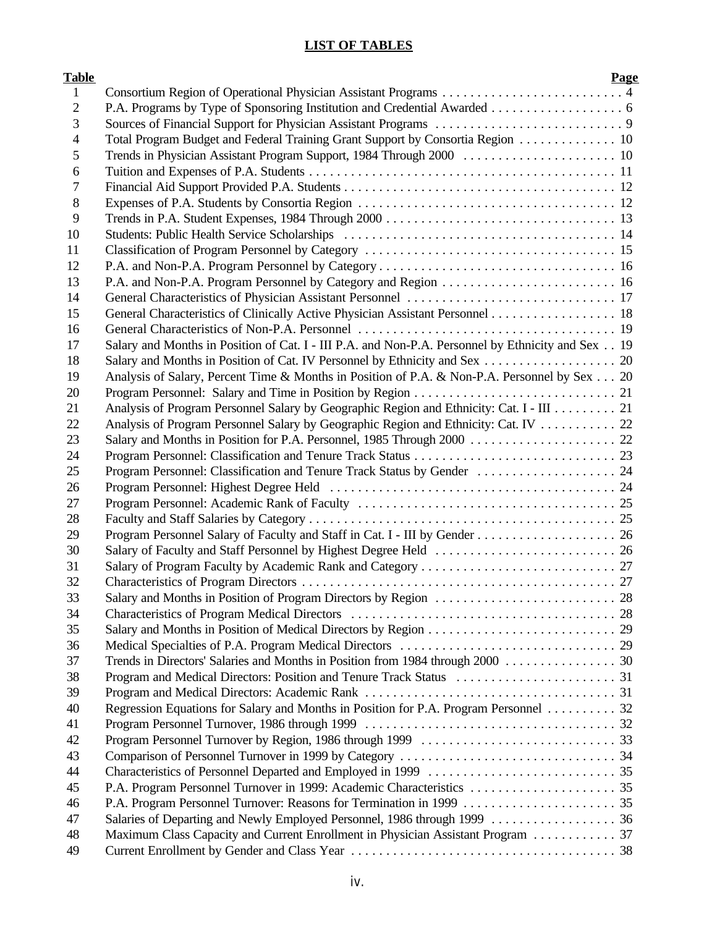# **LIST OF TABLES**

| <b>Table</b>   |                                                                                                   | Page |
|----------------|---------------------------------------------------------------------------------------------------|------|
| 1              |                                                                                                   |      |
| $\overline{2}$ |                                                                                                   |      |
| 3              |                                                                                                   |      |
| 4              | Total Program Budget and Federal Training Grant Support by Consortia Region 10                    |      |
| 5              |                                                                                                   |      |
| 6              |                                                                                                   |      |
| 7              |                                                                                                   |      |
| 8              |                                                                                                   |      |
| 9              |                                                                                                   |      |
| 10             |                                                                                                   |      |
| 11             |                                                                                                   |      |
| 12             |                                                                                                   |      |
| 13             |                                                                                                   |      |
| 14             |                                                                                                   |      |
| 15             | General Characteristics of Clinically Active Physician Assistant Personnel 18                     |      |
| 16             |                                                                                                   |      |
| 17             | Salary and Months in Position of Cat. I - III P.A. and Non-P.A. Personnel by Ethnicity and Sex 19 |      |
| 18             |                                                                                                   |      |
| 19             | Analysis of Salary, Percent Time & Months in Position of P.A. & Non-P.A. Personnel by Sex 20      |      |
| 20             |                                                                                                   |      |
| 21             | Analysis of Program Personnel Salary by Geographic Region and Ethnicity: Cat. I - III 21          |      |
| 22             | Analysis of Program Personnel Salary by Geographic Region and Ethnicity: Cat. IV 22               |      |
| 23             |                                                                                                   |      |
| 24             |                                                                                                   |      |
| 25             | Program Personnel: Classification and Tenure Track Status by Gender  24                           |      |
| 26             |                                                                                                   |      |
| 27             |                                                                                                   |      |
| 28             |                                                                                                   |      |
| 29             |                                                                                                   |      |
| 30             |                                                                                                   |      |
| 31             |                                                                                                   |      |
| 32             |                                                                                                   |      |
| 33             |                                                                                                   |      |
| 34             |                                                                                                   |      |
| 35             |                                                                                                   |      |
| 36             |                                                                                                   |      |
| 37             | Trends in Directors' Salaries and Months in Position from 1984 through 2000 30                    |      |
| 38             |                                                                                                   |      |
| 39             |                                                                                                   |      |
| 40             | Regression Equations for Salary and Months in Position for P.A. Program Personnel 32              |      |
| 41             |                                                                                                   |      |
| 42             |                                                                                                   |      |
| 43             |                                                                                                   |      |
| 44             |                                                                                                   |      |
| 45             |                                                                                                   |      |
| 46             |                                                                                                   |      |
| 47             |                                                                                                   |      |
| 48             | Maximum Class Capacity and Current Enrollment in Physician Assistant Program  37                  |      |
| 49             |                                                                                                   |      |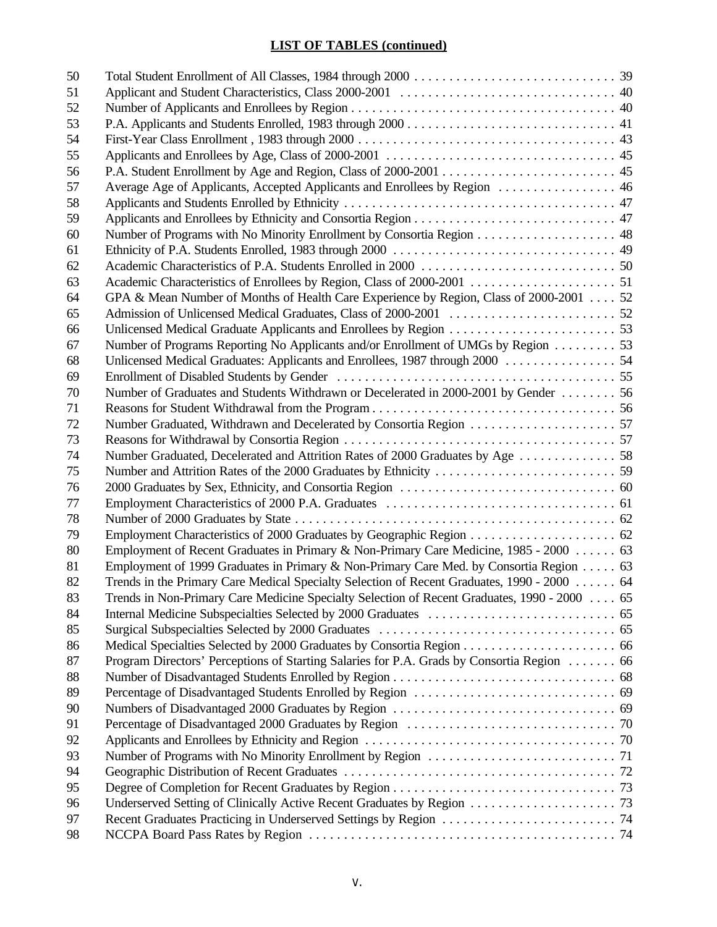# **LIST OF TABLES (continued)**

| 50 |                                                                                             |  |
|----|---------------------------------------------------------------------------------------------|--|
| 51 |                                                                                             |  |
| 52 |                                                                                             |  |
| 53 |                                                                                             |  |
| 54 |                                                                                             |  |
| 55 |                                                                                             |  |
| 56 |                                                                                             |  |
| 57 | Average Age of Applicants, Accepted Applicants and Enrollees by Region  46                  |  |
| 58 |                                                                                             |  |
| 59 |                                                                                             |  |
| 60 |                                                                                             |  |
| 61 |                                                                                             |  |
| 62 |                                                                                             |  |
| 63 |                                                                                             |  |
| 64 | GPA & Mean Number of Months of Health Care Experience by Region, Class of 2000-2001 52      |  |
| 65 |                                                                                             |  |
| 66 |                                                                                             |  |
| 67 | Number of Programs Reporting No Applicants and/or Enrollment of UMGs by Region  53          |  |
| 68 |                                                                                             |  |
| 69 |                                                                                             |  |
| 70 | Number of Graduates and Students Withdrawn or Decelerated in 2000-2001 by Gender  56        |  |
| 71 |                                                                                             |  |
| 72 |                                                                                             |  |
| 73 |                                                                                             |  |
| 74 |                                                                                             |  |
| 75 |                                                                                             |  |
| 76 |                                                                                             |  |
| 77 |                                                                                             |  |
| 78 |                                                                                             |  |
| 79 |                                                                                             |  |
| 80 | Employment of Recent Graduates in Primary & Non-Primary Care Medicine, 1985 - 2000 63       |  |
| 81 | Employment of 1999 Graduates in Primary & Non-Primary Care Med. by Consortia Region 63      |  |
| 82 | Trends in the Primary Care Medical Specialty Selection of Recent Graduates, 1990 - 2000 64  |  |
| 83 | Trends in Non-Primary Care Medicine Specialty Selection of Recent Graduates, 1990 - 2000 65 |  |
| 84 |                                                                                             |  |
| 85 |                                                                                             |  |
| 86 |                                                                                             |  |
| 87 | Program Directors' Perceptions of Starting Salaries for P.A. Grads by Consortia Region  66  |  |
| 88 |                                                                                             |  |
| 89 |                                                                                             |  |
| 90 |                                                                                             |  |
| 91 |                                                                                             |  |
| 92 |                                                                                             |  |
| 93 |                                                                                             |  |
| 94 |                                                                                             |  |
| 95 |                                                                                             |  |
| 96 |                                                                                             |  |
| 97 |                                                                                             |  |
| 98 |                                                                                             |  |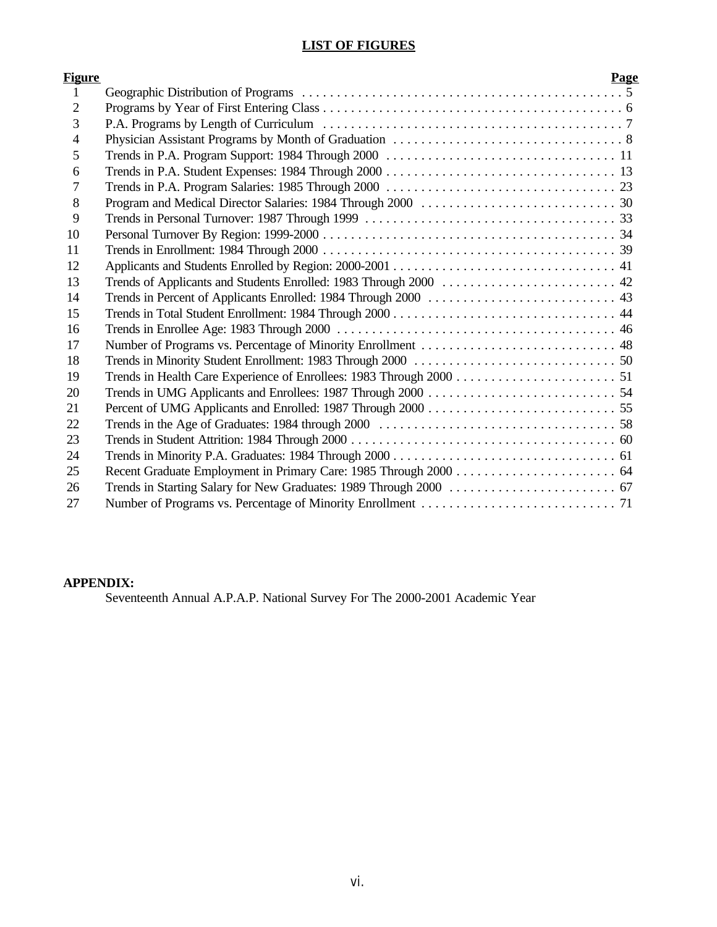# **LIST OF FIGURES**

| <u>Figure</u>  | Page                                                              |
|----------------|-------------------------------------------------------------------|
| 1              |                                                                   |
| $\overline{2}$ |                                                                   |
| 3              |                                                                   |
| $\overline{4}$ |                                                                   |
| 5              |                                                                   |
| 6              |                                                                   |
| 7              |                                                                   |
| 8              |                                                                   |
| 9              |                                                                   |
| 10             |                                                                   |
| 11             |                                                                   |
| 12             |                                                                   |
| 13             | Trends of Applicants and Students Enrolled: 1983 Through 2000  42 |
| 14             |                                                                   |
| 15             |                                                                   |
| 16             |                                                                   |
| 17             |                                                                   |
| 18             |                                                                   |
| 19             |                                                                   |
| 20             |                                                                   |
| 21             |                                                                   |
| 22             |                                                                   |
| 23             |                                                                   |
| 24             |                                                                   |
| 25             |                                                                   |
| 26             |                                                                   |
| 27             |                                                                   |

# **APPENDIX:**

Seventeenth Annual A.P.A.P. National Survey For The 2000-2001 Academic Year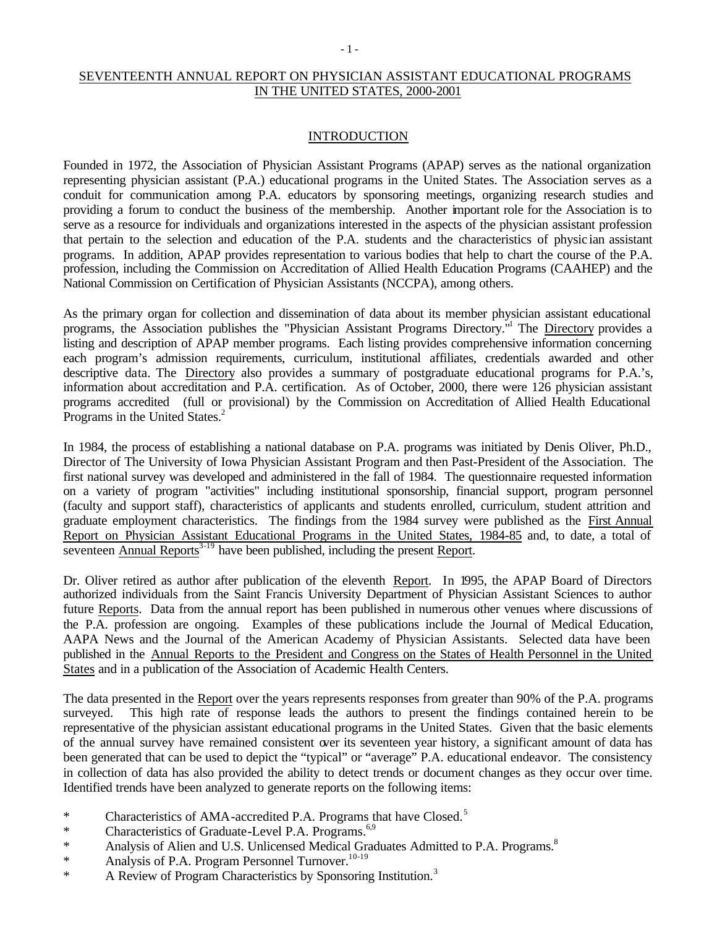# SEVENTEENTH ANNUAL REPORT ON PHYSICIAN ASSISTANT EDUCATIONAL PROGRAMS IN THE UNITED STATES, 2000-2001

#### INTRODUCTION

Founded in 1972, the Association of Physician Assistant Programs (APAP) serves as the national organization representing physician assistant (P.A.) educational programs in the United States. The Association serves as a conduit for communication among P.A. educators by sponsoring meetings, organizing research studies and providing a forum to conduct the business of the membership. Another important role for the Association is to serve as a resource for individuals and organizations interested in the aspects of the physician assistant profession that pertain to the selection and education of the P.A. students and the characteristics of physic ian assistant programs. In addition, APAP provides representation to various bodies that help to chart the course of the P.A. profession, including the Commission on Accreditation of Allied Health Education Programs (CAAHEP) and the National Commission on Certification of Physician Assistants (NCCPA), among others.

As the primary organ for collection and dissemination of data about its member physician assistant educational programs, the Association publishes the "Physician Assistant Programs Directory."<sup>1</sup> The Directory provides a listing and description of APAP member programs. Each listing provides comprehensive information concerning each program's admission requirements, curriculum, institutional affiliates, credentials awarded and other descriptive data. The Directory also provides a summary of postgraduate educational programs for P.A.'s, information about accreditation and P.A. certification. As of October, 2000, there were 126 physician assistant programs accredited (full or provisional) by the Commission on Accreditation of Allied Health Educational Programs in the United States.<sup>2</sup>

In 1984, the process of establishing a national database on P.A. programs was initiated by Denis Oliver, Ph.D., Director of The University of Iowa Physician Assistant Program and then Past-President of the Association. The first national survey was developed and administered in the fall of 1984. The questionnaire requested information on a variety of program "activities" including institutional sponsorship, financial support, program personnel (faculty and support staff), characteristics of applicants and students enrolled, curriculum, student attrition and graduate employment characteristics. The findings from the 1984 survey were published as the First Annual Report on Physician Assistant Educational Programs in the United States, 1984-85 and, to date, a total of seventeen Annual Reports<sup>3-19</sup> have been published, including the present Report.

Dr. Oliver retired as author after publication of the eleventh Report. In 1995, the APAP Board of Directors authorized individuals from the Saint Francis University Department of Physician Assistant Sciences to author future Reports. Data from the annual report has been published in numerous other venues where discussions of the P.A. profession are ongoing. Examples of these publications include the Journal of Medical Education, AAPA News and the Journal of the American Academy of Physician Assistants. Selected data have been published in the Annual Reports to the President and Congress on the States of Health Personnel in the United States and in a publication of the Association of Academic Health Centers.

The data presented in the Report over the years represents responses from greater than 90% of the P.A. programs surveyed. This high rate of response leads the authors to present the findings contained herein to be representative of the physician assistant educational programs in the United States. Given that the basic elements of the annual survey have remained consistent over its seventeen year history, a significant amount of data has been generated that can be used to depict the "typical" or "average" P.A. educational endeavor. The consistency in collection of data has also provided the ability to detect trends or document changes as they occur over time. Identified trends have been analyzed to generate reports on the following items:

- \* Characteristics of AMA-accredited P.A. Programs that have Closed.<sup>5</sup>
- \* Characteristics of Graduate-Level P.A. Programs.<sup>6,9</sup>
- \* Analysis of Alien and U.S. Unlicensed Medical Graduates Admitted to P.A. Programs.<sup>8</sup>
- \* Analysis of P.A. Program Personnel Turnover.<sup>10-19</sup>
- \* A Review of Program Characteristics by Sponsoring Institution.<sup>3</sup>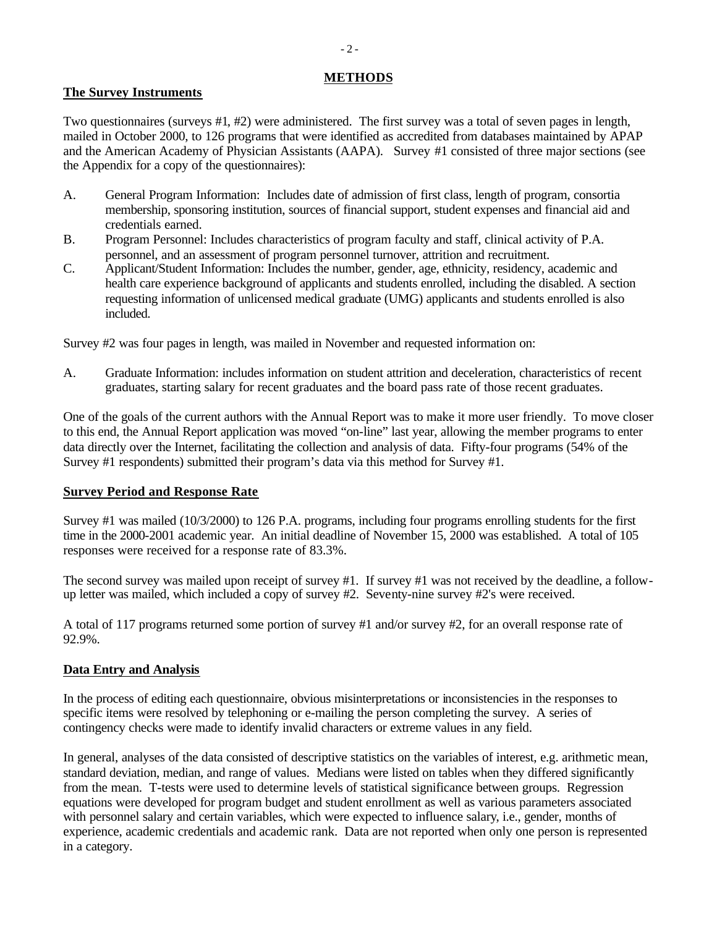## **METHODS**

# **The Survey Instruments**

Two questionnaires (surveys #1, #2) were administered. The first survey was a total of seven pages in length, mailed in October 2000, to 126 programs that were identified as accredited from databases maintained by APAP and the American Academy of Physician Assistants (AAPA). Survey #1 consisted of three major sections (see the Appendix for a copy of the questionnaires):

- A. General Program Information: Includes date of admission of first class, length of program, consortia membership, sponsoring institution, sources of financial support, student expenses and financial aid and credentials earned.
- B. Program Personnel: Includes characteristics of program faculty and staff, clinical activity of P.A. personnel, and an assessment of program personnel turnover, attrition and recruitment.
- C. Applicant/Student Information: Includes the number, gender, age, ethnicity, residency, academic and health care experience background of applicants and students enrolled, including the disabled. A section requesting information of unlicensed medical graduate (UMG) applicants and students enrolled is also included.

Survey #2 was four pages in length, was mailed in November and requested information on:

A. Graduate Information: includes information on student attrition and deceleration, characteristics of recent graduates, starting salary for recent graduates and the board pass rate of those recent graduates.

One of the goals of the current authors with the Annual Report was to make it more user friendly. To move closer to this end, the Annual Report application was moved "on-line" last year, allowing the member programs to enter data directly over the Internet, facilitating the collection and analysis of data. Fifty-four programs (54% of the Survey #1 respondents) submitted their program's data via this method for Survey #1.

## **Survey Period and Response Rate**

Survey #1 was mailed (10/3/2000) to 126 P.A. programs, including four programs enrolling students for the first time in the 2000-2001 academic year. An initial deadline of November 15, 2000 was established. A total of 105 responses were received for a response rate of 83.3%.

The second survey was mailed upon receipt of survey #1. If survey #1 was not received by the deadline, a followup letter was mailed, which included a copy of survey #2. Seventy-nine survey #2's were received.

A total of 117 programs returned some portion of survey #1 and/or survey #2, for an overall response rate of 92.9%.

# **Data Entry and Analysis**

In the process of editing each questionnaire, obvious misinterpretations or inconsistencies in the responses to specific items were resolved by telephoning or e-mailing the person completing the survey. A series of contingency checks were made to identify invalid characters or extreme values in any field.

In general, analyses of the data consisted of descriptive statistics on the variables of interest, e.g. arithmetic mean, standard deviation, median, and range of values. Medians were listed on tables when they differed significantly from the mean. T-tests were used to determine levels of statistical significance between groups. Regression equations were developed for program budget and student enrollment as well as various parameters associated with personnel salary and certain variables, which were expected to influence salary, i.e., gender, months of experience, academic credentials and academic rank. Data are not reported when only one person is represented in a category.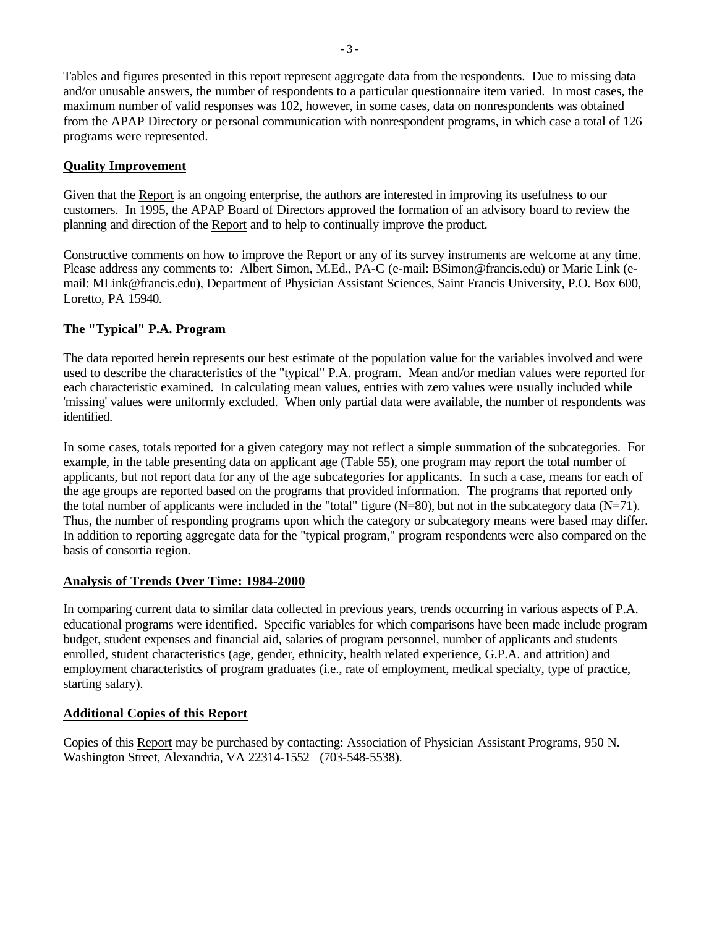Tables and figures presented in this report represent aggregate data from the respondents. Due to missing data and/or unusable answers, the number of respondents to a particular questionnaire item varied. In most cases, the maximum number of valid responses was 102, however, in some cases, data on nonrespondents was obtained from the APAP Directory or personal communication with nonrespondent programs, in which case a total of 126 programs were represented.

### **Quality Improvement**

Given that the Report is an ongoing enterprise, the authors are interested in improving its usefulness to our customers. In 1995, the APAP Board of Directors approved the formation of an advisory board to review the planning and direction of the Report and to help to continually improve the product.

Constructive comments on how to improve the Report or any of its survey instruments are welcome at any time. Please address any comments to: Albert Simon, M.Ed., PA-C (e-mail: BSimon@francis.edu) or Marie Link (email: MLink@francis.edu), Department of Physician Assistant Sciences, Saint Francis University, P.O. Box 600, Loretto, PA 15940.

### **The "Typical" P.A. Program**

The data reported herein represents our best estimate of the population value for the variables involved and were used to describe the characteristics of the "typical" P.A. program. Mean and/or median values were reported for each characteristic examined. In calculating mean values, entries with zero values were usually included while 'missing' values were uniformly excluded. When only partial data were available, the number of respondents was identified.

In some cases, totals reported for a given category may not reflect a simple summation of the subcategories. For example, in the table presenting data on applicant age (Table 55), one program may report the total number of applicants, but not report data for any of the age subcategories for applicants. In such a case, means for each of the age groups are reported based on the programs that provided information. The programs that reported only the total number of applicants were included in the "total" figure  $(N=80)$ , but not in the subcategory data  $(N=71)$ . Thus, the number of responding programs upon which the category or subcategory means were based may differ. In addition to reporting aggregate data for the "typical program," program respondents were also compared on the basis of consortia region.

## **Analysis of Trends Over Time: 1984-2000**

In comparing current data to similar data collected in previous years, trends occurring in various aspects of P.A. educational programs were identified. Specific variables for which comparisons have been made include program budget, student expenses and financial aid, salaries of program personnel, number of applicants and students enrolled, student characteristics (age, gender, ethnicity, health related experience, G.P.A. and attrition) and employment characteristics of program graduates (i.e., rate of employment, medical specialty, type of practice, starting salary).

## **Additional Copies of this Report**

Copies of this Report may be purchased by contacting: Association of Physician Assistant Programs, 950 N. Washington Street, Alexandria, VA 22314-1552 (703-548-5538).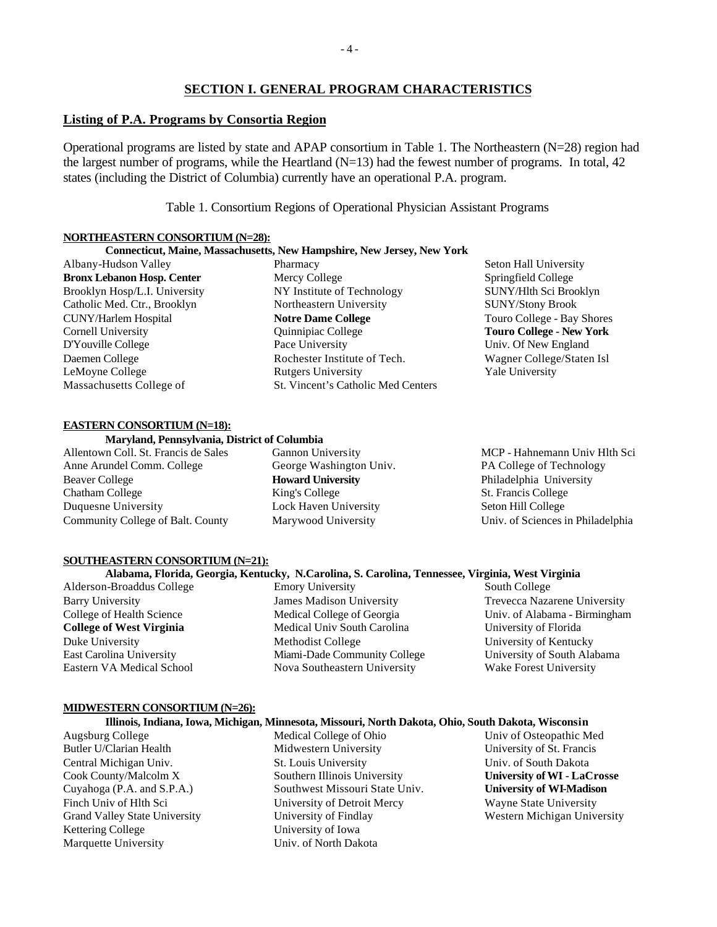### **SECTION I. GENERAL PROGRAM CHARACTERISTICS**

### **Listing of P.A. Programs by Consortia Region**

Operational programs are listed by state and APAP consortium in Table 1. The Northeastern (N=28) region had the largest number of programs, while the Heartland  $(N=13)$  had the fewest number of programs. In total, 42 states (including the District of Columbia) currently have an operational P.A. program.

Table 1. Consortium Regions of Operational Physician Assistant Programs

#### **NORTHEASTERN CONSORTIUM (N=28):**

#### **Connecticut, Maine, Massachusetts, New Hampshire, New Jersey, New York** Pharmacy

Mercy College

NY Institute of Technology Northeastern University **Notre Dame College** Quinnipiac College Pace University

Rochester Institute of Tech.

St. Vincent's Catholic Med Centers

Rutgers University

Albany-Hudson Valley **Bronx Lebanon Hosp. Center** Brooklyn Hosp/L.I. University Catholic Med. Ctr., Brooklyn CUNY/Harlem Hospital Cornell University D'Youville College Daemen College LeMoyne College Massachusetts College of

#### **EASTERN CONSORTIUM (N=18):**

#### **Maryland, Pennsylvania, District of Columbia**

Allentown Coll. St. Francis de Sales Anne Arundel Comm. College Beaver College Chatham College Duquesne University Community College of Balt. County Gannon University George Washington Univ. **Howard University** King's College Lock Haven University Marywood University

Seton Hall University Springfield College SUNY/Hlth Sci Brooklyn SUNY/Stony Brook Touro College - Bay Shores **Touro College - New York** Univ. Of New England Wagner College/Staten Isl Yale University

MCP - Hahnemann Univ Hlth Sci PA College of Technology Philadelphia University St. Francis College Seton Hill College Univ. of Sciences in Philadelphia

#### **SOUTHEASTERN CONSORTIUM (N=21):**

### **Alabama, Florida, Georgia, Kentucky, N.Carolina, S. Carolina, Tennessee, Virginia, West Virginia**

Alderson-Broaddus College Barry University College of Health Science **College of West Virginia** Duke University East Carolina University Eastern VA Medical School

Emory University James Madison University Medical College of Georgia Medical Univ South Carolina Methodist College Miami-Dade Community College Nova Southeastern University

South College Trevecca Nazarene University Univ. of Alabama - Birmingham University of Florida University of Kentucky University of South Alabama Wake Forest University

#### **MIDWESTERN CONSORTIUM (N=26):**

### **Illinois, Indiana, Iowa, Michigan, Minnesota, Missouri, North Dakota, Ohio, South Dakota, Wisconsin**

Augsburg College Butler U/Clarian Health Central Michigan Univ. Cook County/Malcolm X Cuyahoga (P.A. and S.P.A.) Finch Univ of Hlth Sci Grand Valley State University Kettering College Marquette University

Medical College of Ohio Midwestern University St. Louis University Southern Illinois University Southwest Missouri State Univ. University of Detroit Mercy University of Findlay University of Iowa Univ. of North Dakota

Univ of Osteopathic Med University of St. Francis Univ. of South Dakota **University of WI - LaCrosse University of WI-Madison** Wayne State University Western Michigan University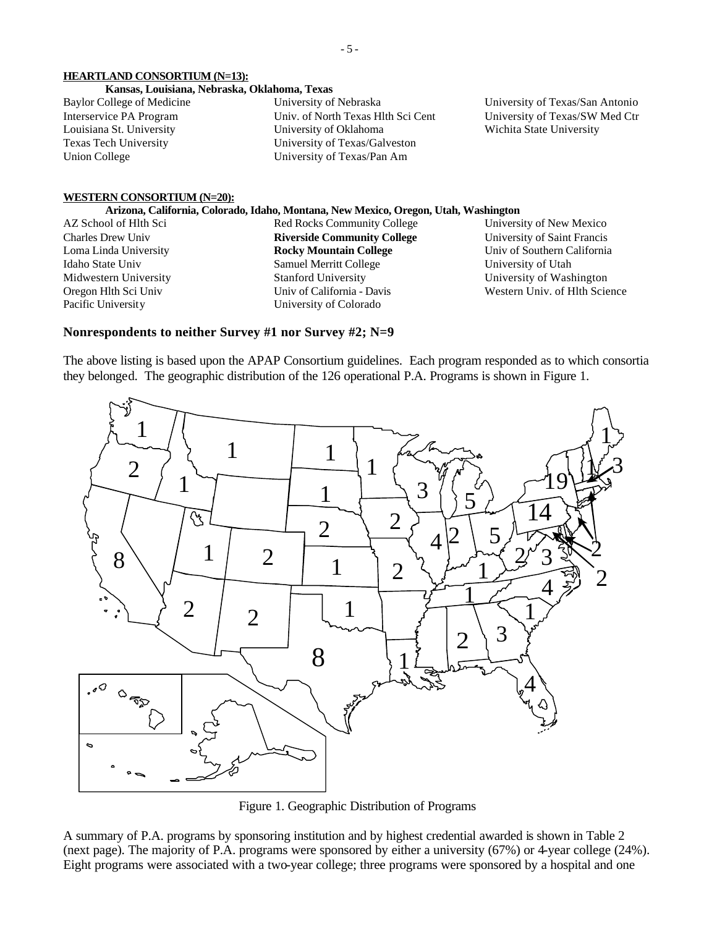## **HEARTLAND CONSORTIUM (N=13):**

## **Kansas, Louisiana, Nebraska, Oklahoma, Texas**

Baylor College of Medicine Interservice PA Program Louisiana St. University Texas Tech University Union College

University of Nebraska Univ. of North Texas Hlth Sci Cent University of Oklahoma University of Texas/Galveston University of Texas/Pan Am

University of Texas/San Antonio University of Texas/SW Med Ctr Wichita State University

#### **WESTERN CONSORTIUM (N=20):**

#### **Arizona, California, Colorado, Idaho, Montana, New Mexico, Oregon, Utah, Washington**

AZ School of Hlth Sci Charles Drew Univ Loma Linda University Idaho State Univ Midwestern University Oregon Hlth Sci Univ Pacific University

Red Rocks Community College **Riverside Community College Rocky Mountain College** Samuel Merritt College Stanford University Univ of California - Davis University of Colorado

University of New Mexico University of Saint Francis Univ of Southern California University of Utah University of Washington Western Univ. of Hlth Science

# **Nonrespondents to neither Survey #1 nor Survey #2; N=9**

The above listing is based upon the APAP Consortium guidelines. Each program responded as to which consortia they belonged. The geographic distribution of the 126 operational P.A. Programs is shown in Figure 1.



Figure 1. Geographic Distribution of Programs

A summary of P.A. programs by sponsoring institution and by highest credential awarded is shown in Table 2 (next page). The majority of P.A. programs were sponsored by either a university (67%) or 4-year college (24%). Eight programs were associated with a two-year college; three programs were sponsored by a hospital and one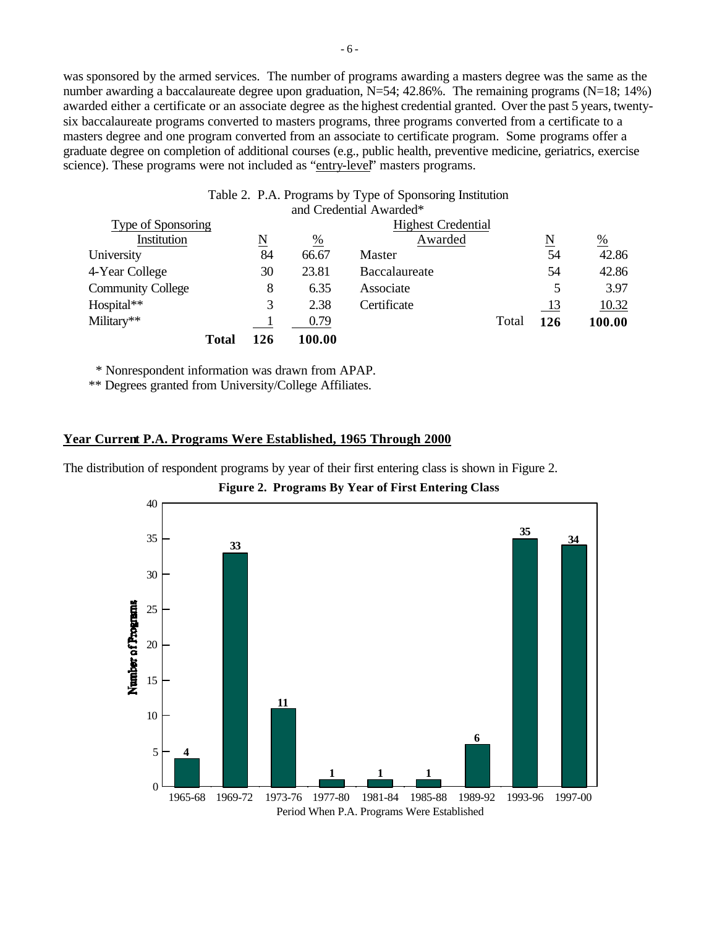was sponsored by the armed services. The number of programs awarding a masters degree was the same as the number awarding a baccalaureate degree upon graduation, N=54; 42.86%. The remaining programs (N=18; 14%) awarded either a certificate or an associate degree as the highest credential granted. Over the past 5 years, twentysix baccalaureate programs converted to masters programs, three programs converted from a certificate to a masters degree and one program converted from an associate to certificate program. Some programs offer a graduate degree on completion of additional courses (e.g., public health, preventive medicine, geriatrics, exercise science). These programs were not included as "entry-level" masters programs.

|              | $\underline{\text{N}}$ | $\frac{0}{0}$ | Awarded       |                         | $\underline{\text{N}}$                                                                | $\frac{0}{0}$ |
|--------------|------------------------|---------------|---------------|-------------------------|---------------------------------------------------------------------------------------|---------------|
|              | 84                     | 66.67         | Master        |                         | 54                                                                                    | 42.86         |
|              | 30                     | 23.81         | Baccalaureate |                         | 54                                                                                    | 42.86         |
|              | 8                      | 6.35          | Associate     |                         | 5                                                                                     | 3.97          |
|              | 3                      | 2.38          | Certificate   |                         | <u>13</u>                                                                             | 10.32         |
|              |                        | 0.79          |               | Total                   | 126                                                                                   | 100.00        |
| <b>Total</b> | 126                    | 100.00        |               |                         |                                                                                       |               |
|              | Type of Sponsoring     |               |               | and Credential Awarded* | Table 2. P.A. Programs by Type of Sponsoring Institution<br><b>Highest Credential</b> |               |

\* Nonrespondent information was drawn from APAP.

\*\* Degrees granted from University/College Affiliates.

## **Year Current P.A. Programs Were Established, 1965 Through 2000**

The distribution of respondent programs by year of their first entering class is shown in Figure 2.

**Figure 2. Programs By Year of First Entering Class**

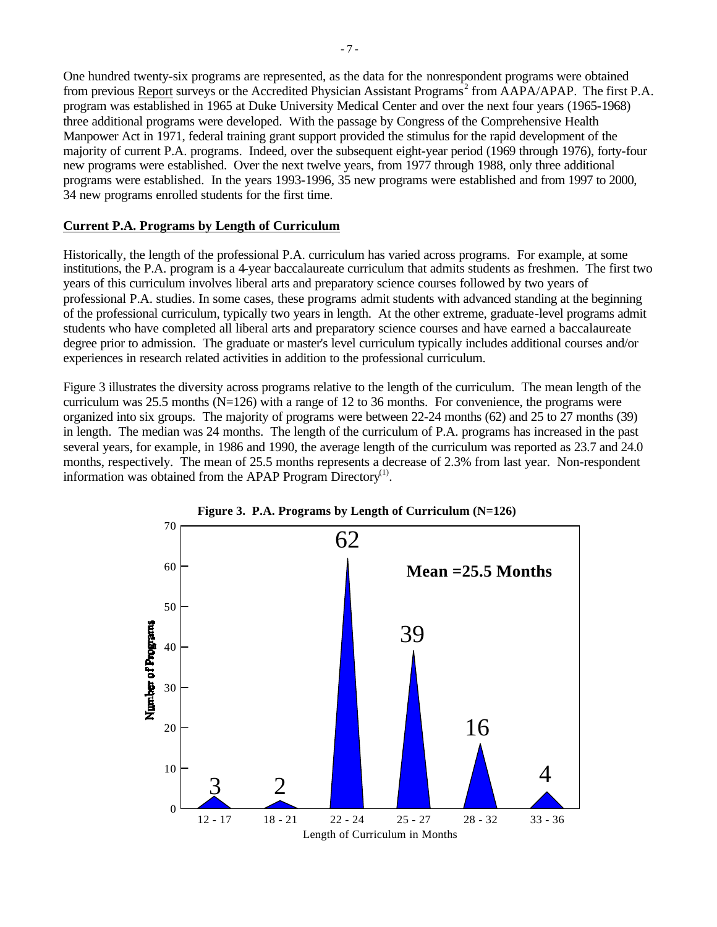One hundred twenty-six programs are represented, as the data for the nonrespondent programs were obtained from previous Report surveys or the Accredited Physician Assistant Programs<sup>2</sup> from AAPA/APAP. The first P.A. program was established in 1965 at Duke University Medical Center and over the next four years (1965-1968) three additional programs were developed. With the passage by Congress of the Comprehensive Health Manpower Act in 1971, federal training grant support provided the stimulus for the rapid development of the majority of current P.A. programs. Indeed, over the subsequent eight-year period (1969 through 1976), forty-four new programs were established. Over the next twelve years, from 1977 through 1988, only three additional programs were established. In the years 1993-1996, 35 new programs were established and from 1997 to 2000, 34 new programs enrolled students for the first time.

## **Current P.A. Programs by Length of Curriculum**

Historically, the length of the professional P.A. curriculum has varied across programs. For example, at some institutions, the P.A. program is a 4-year baccalaureate curriculum that admits students as freshmen. The first two years of this curriculum involves liberal arts and preparatory science courses followed by two years of professional P.A. studies. In some cases, these programs admit students with advanced standing at the beginning of the professional curriculum, typically two years in length. At the other extreme, graduate-level programs admit students who have completed all liberal arts and preparatory science courses and have earned a baccalaureate degree prior to admission. The graduate or master's level curriculum typically includes additional courses and/or experiences in research related activities in addition to the professional curriculum.

Figure 3 illustrates the diversity across programs relative to the length of the curriculum. The mean length of the curriculum was 25.5 months  $(N=126)$  with a range of 12 to 36 months. For convenience, the programs were organized into six groups. The majority of programs were between 22-24 months (62) and 25 to 27 months (39) in length. The median was 24 months. The length of the curriculum of P.A. programs has increased in the past several years, for example, in 1986 and 1990, the average length of the curriculum was reported as 23.7 and 24.0 months, respectively. The mean of 25.5 months represents a decrease of 2.3% from last year. Non-respondent information was obtained from the APAP Program Directory<sup>(1)</sup>.



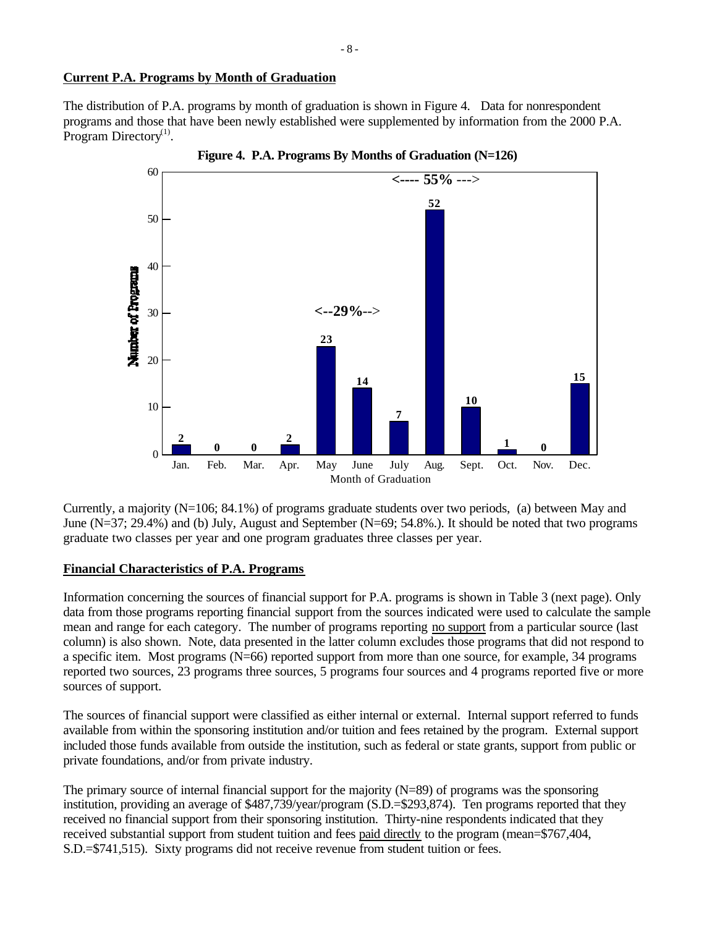# **Current P.A. Programs by Month of Graduation**

The distribution of P.A. programs by month of graduation is shown in Figure 4. Data for nonrespondent programs and those that have been newly established were supplemented by information from the 2000 P.A. Program Directory<sup>(1)</sup>.



Currently, a majority (N=106; 84.1%) of programs graduate students over two periods, (a) between May and June (N=37; 29.4%) and (b) July, August and September (N=69; 54.8%.). It should be noted that two programs graduate two classes per year and one program graduates three classes per year.

# **Financial Characteristics of P.A. Programs**

Information concerning the sources of financial support for P.A. programs is shown in Table 3 (next page). Only data from those programs reporting financial support from the sources indicated were used to calculate the sample mean and range for each category. The number of programs reporting no support from a particular source (last column) is also shown. Note, data presented in the latter column excludes those programs that did not respond to a specific item. Most programs (N=66) reported support from more than one source, for example, 34 programs reported two sources, 23 programs three sources, 5 programs four sources and 4 programs reported five or more sources of support.

The sources of financial support were classified as either internal or external. Internal support referred to funds available from within the sponsoring institution and/or tuition and fees retained by the program. External support included those funds available from outside the institution, such as federal or state grants, support from public or private foundations, and/or from private industry.

The primary source of internal financial support for the majority  $(N=89)$  of programs was the sponsoring institution, providing an average of \$487,739/year/program (S.D.=\$293,874). Ten programs reported that they received no financial support from their sponsoring institution. Thirty-nine respondents indicated that they received substantial support from student tuition and fees paid directly to the program (mean=\$767,404, S.D.=\$741,515). Sixty programs did not receive revenue from student tuition or fees.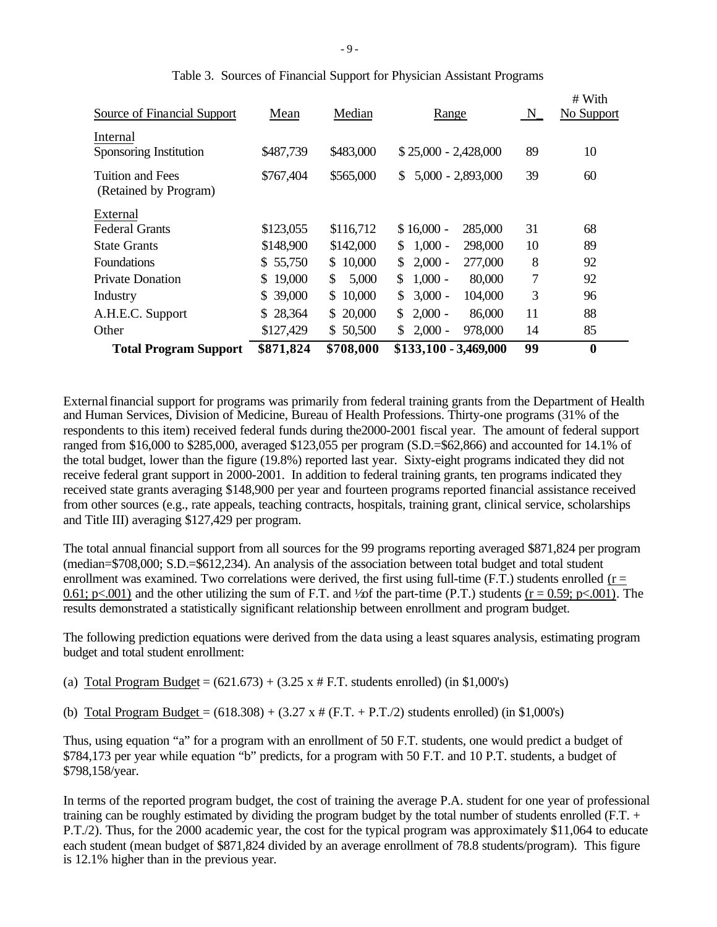| <b>Total Program Support</b>              | \$871,824    | \$708,000    | \$133,100 - 3,469,000                  | 99      | $\boldsymbol{0}$     |
|-------------------------------------------|--------------|--------------|----------------------------------------|---------|----------------------|
| Other                                     | \$127,429    | \$50,500     | $2,000 -$<br>978,000<br>\$             | 14      | 85                   |
| A.H.E.C. Support                          | \$28,364     | \$20,000     | $2,000 -$<br>\$<br>86,000              | 11      | 88                   |
| Industry                                  | \$39,000     | \$10,000     | $\mathbb{S}^-$<br>$3,000 -$<br>104,000 | 3       | 96                   |
| <b>Private Donation</b>                   | 19,000<br>S. | \$.<br>5,000 | $1,000 -$<br>\$.<br>80,000             | 7       | 92                   |
| <b>Foundations</b>                        | \$55,750     | \$10,000     | $2,000 -$<br>277,000<br>\$             | 8       | 92                   |
| <b>State Grants</b>                       | \$148,900    | \$142,000    | $1,000 -$<br>298,000<br>S.             | 10      | 89                   |
| External<br><b>Federal Grants</b>         | \$123,055    | \$116,712    | $$16,000 -$<br>285,000                 | 31      | 68                   |
| Tuition and Fees<br>(Retained by Program) | \$767,404    | \$565,000    | $5,000 - 2,893,000$<br>S.              | 39      | 60                   |
|                                           |              |              |                                        |         |                      |
| Internal<br>Sponsoring Institution        | \$487,739    | \$483,000    | $$25,000 - 2,428,000$                  | 89      | 10                   |
| Source of Financial Support               | Mean         | Median       | Range                                  | $N_{-}$ | # With<br>No Support |

|  |  | Table 3. Sources of Financial Support for Physician Assistant Programs |
|--|--|------------------------------------------------------------------------|
|  |  |                                                                        |

External financial support for programs was primarily from federal training grants from the Department of Health and Human Services, Division of Medicine, Bureau of Health Professions. Thirty-one programs (31% of the respondents to this item) received federal funds during the2000-2001 fiscal year. The amount of federal support ranged from \$16,000 to \$285,000, averaged \$123,055 per program (S.D.=\$62,866) and accounted for 14.1% of the total budget, lower than the figure (19.8%) reported last year. Sixty-eight programs indicated they did not receive federal grant support in 2000-2001. In addition to federal training grants, ten programs indicated they received state grants averaging \$148,900 per year and fourteen programs reported financial assistance received from other sources (e.g., rate appeals, teaching contracts, hospitals, training grant, clinical service, scholarships and Title III) averaging \$127,429 per program.

The total annual financial support from all sources for the 99 programs reporting averaged \$871,824 per program (median=\$708,000; S.D.=\$612,234). An analysis of the association between total budget and total student enrollment was examined. Two correlations were derived, the first using full-time (F.T.) students enrolled ( $r =$ 0.61; p<.001) and the other utilizing the sum of F.T. and  $\frac{1}{2}$  of the part-time (P.T.) students (r = 0.59; p<.001). The results demonstrated a statistically significant relationship between enrollment and program budget.

The following prediction equations were derived from the data using a least squares analysis, estimating program budget and total student enrollment:

(a) Total Program Budget =  $(621.673) + (3.25 \times # F.T.$  students enrolled) (in \$1,000's)

(b) Total Program Budget =  $(618.308) + (3.27 \times # (F.T. + P.T./2))$  students enrolled) (in \$1,000's)

Thus, using equation "a" for a program with an enrollment of 50 F.T. students, one would predict a budget of \$784,173 per year while equation "b" predicts, for a program with 50 F.T. and 10 P.T. students, a budget of \$798,158/year.

In terms of the reported program budget, the cost of training the average P.A. student for one year of professional training can be roughly estimated by dividing the program budget by the total number of students enrolled (F.T. + P.T./2). Thus, for the 2000 academic year, the cost for the typical program was approximately \$11,064 to educate each student (mean budget of \$871,824 divided by an average enrollment of 78.8 students/program). This figure is 12.1% higher than in the previous year.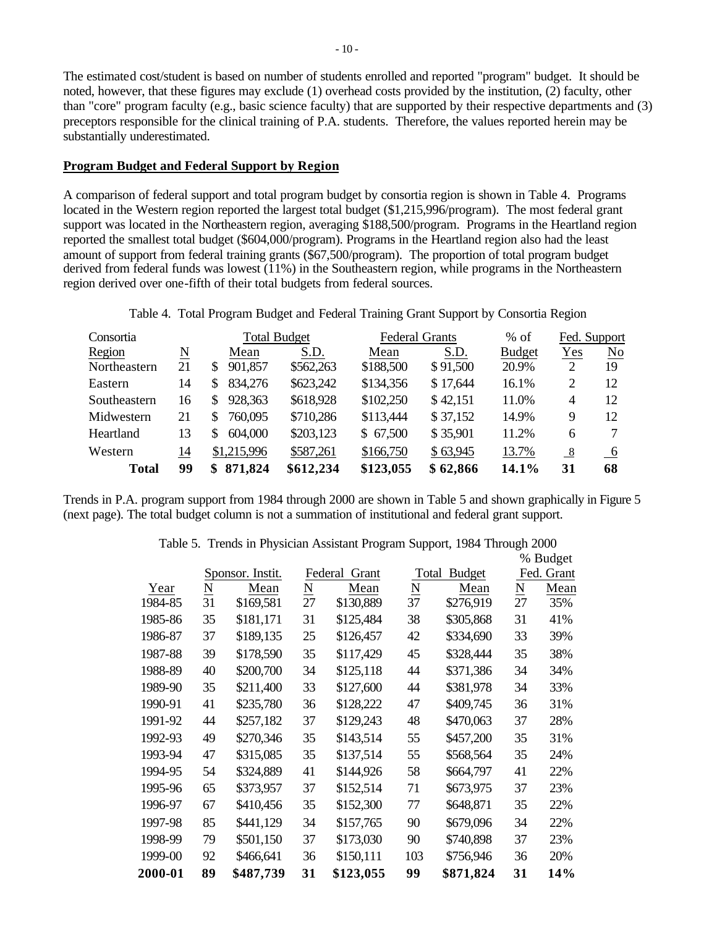The estimated cost/student is based on number of students enrolled and reported "program" budget. It should be noted, however, that these figures may exclude (1) overhead costs provided by the institution, (2) faculty, other than "core" program faculty (e.g., basic science faculty) that are supported by their respective departments and (3) preceptors responsible for the clinical training of P.A. students. Therefore, the values reported herein may be substantially underestimated.

#### **Program Budget and Federal Support by Region**

A comparison of federal support and total program budget by consortia region is shown in Table 4. Programs located in the Western region reported the largest total budget (\$1,215,996/program). The most federal grant support was located in the Northeastern region, averaging \$188,500/program. Programs in the Heartland region reported the smallest total budget (\$604,000/program). Programs in the Heartland region also had the least amount of support from federal training grants (\$67,500/program). The proportion of total program budget derived from federal funds was lowest (11%) in the Southeastern region, while programs in the Northeastern region derived over one-fifth of their total budgets from federal sources.

| Table 4. Total Program Budget and Federal Training Grant Support by Consortia Region |  |  |  |  |
|--------------------------------------------------------------------------------------|--|--|--|--|
|                                                                                      |  |  |  |  |

| Consortia    |                     | <b>Total Budget</b> |           | <b>Federal Grants</b> |          | $%$ of        | Fed. Support       |                 |
|--------------|---------------------|---------------------|-----------|-----------------------|----------|---------------|--------------------|-----------------|
| Region       | $\underline{\rm N}$ | Mean                | S.D.      | Mean                  | S.D.     | <b>Budget</b> | Yes                | No              |
| Northeastern | 21                  | 901,857<br>S        | \$562,263 | \$188,500             | \$91,500 | 20.9%         | 2                  | 19              |
| Eastern      | 14                  | 834,276<br>S        | \$623,242 | \$134,356             | \$17,644 | 16.1%         | 2                  | 12              |
| Southeastern | 16                  | 928,363<br>S        | \$618,928 | \$102,250             | \$42,151 | 11.0%         | 4                  | 12              |
| Midwestern   | 21                  | 760,095<br>S        | \$710,286 | \$113,444             | \$37,152 | 14.9%         | 9                  | 12              |
| Heartland    | 13                  | 604,000<br>S        | \$203,123 | \$67,500              | \$35,901 | 11.2%         | 6                  |                 |
| Western      | 14                  | \$1,215,996         | \$587,261 | \$166,750             | \$63,945 | 13.7%         | $_{\underline{8}}$ | $\overline{-6}$ |
| <b>Total</b> | 99                  | 871,824<br>S        | \$612,234 | \$123,055             | \$62,866 | 14.1%         | 31                 | 68              |

Trends in P.A. program support from 1984 through 2000 are shown in Table 5 and shown graphically in Figure 5 (next page). The total budget column is not a summation of institutional and federal grant support.

| 2000-01 | 89                  | \$487,739        | 31              | \$123,055        | 99              | \$871,824     | 31                       | 14%        |
|---------|---------------------|------------------|-----------------|------------------|-----------------|---------------|--------------------------|------------|
| 1999-00 | 92                  | \$466,641        | 36              | \$150,111        | 103             | \$756,946     | 36                       | 20%        |
| 1998-99 | 79                  | \$501,150        | 37              | \$173,030        | 90              | \$740,898     | 37                       | 23%        |
| 1997-98 | 85                  | \$441,129        | 34              | \$157,765        | 90              | \$679,096     | 34                       | 22%        |
| 1996-97 | 67                  | \$410,456        | 35              | \$152,300        | 77              | \$648,871     | 35                       | 22%        |
| 1995-96 | 65                  | \$373,957        | 37              | \$152,514        | 71              | \$673,975     | 37                       | 23%        |
| 1994-95 | 54                  | \$324,889        | 41              | \$144,926        | 58              | \$664,797     | 41                       | 22%        |
| 1993-94 | 47                  | \$315,085        | 35              | \$137,514        | 55              | \$568,564     | 35                       | 24%        |
| 1992-93 | 49                  | \$270,346        | 35              | \$143,514        | 55              | \$457,200     | 35                       | 31%        |
| 1991-92 | 44                  | \$257,182        | 37              | \$129,243        | 48              | \$470,063     | 37                       | 28%        |
| 1990-91 | 41                  | \$235,780        | 36              | \$128,222        | 47              | \$409,745     | 36                       | 31%        |
| 1989-90 | 35                  | \$211,400        | 33              | \$127,600        | 44              | \$381,978     | 34                       | 33%        |
| 1988-89 | 40                  | \$200,700        | 34              | \$125,118        | 44              | \$371,386     | 34                       | 34%        |
| 1987-88 | 39                  | \$178,590        | 35              | \$117,429        | 45              | \$328,444     | 35                       | 38%        |
| 1986-87 | 37                  | \$189,135        | 25              | \$126,457        | 42              | \$334,690     | 33                       | 39%        |
| 1985-86 | 35                  | \$181,171        | 31              | \$125,484        | 38              | \$305,868     | 31                       | 41%        |
| 1984-85 | 31                  | \$169,581        | 27              | \$130,889        | 37              | \$276,919     | 27                       | 35%        |
| Year    | $\underline{\rm N}$ | Mean             | $\underline{N}$ | Mean             | $\underline{N}$ | Mean          | $\underline{\mathbf{N}}$ | Mean       |
|         |                     | Sponsor. Instit. |                 | Federal<br>Grant | Total           | <b>Budget</b> |                          | Fed. Grant |
|         |                     |                  |                 |                  |                 |               |                          | % Budget   |

Table 5. Trends in Physician Assistant Program Support, 1984 Through 2000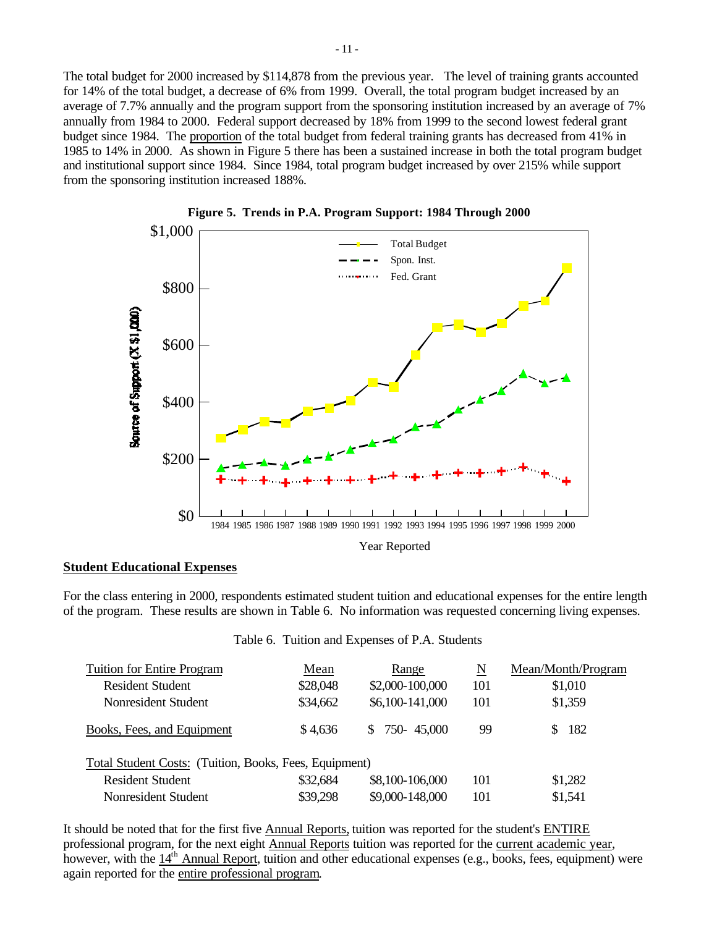The total budget for 2000 increased by \$114,878 from the previous year. The level of training grants accounted for 14% of the total budget, a decrease of 6% from 1999. Overall, the total program budget increased by an average of 7.7% annually and the program support from the sponsoring institution increased by an average of 7% annually from 1984 to 2000. Federal support decreased by 18% from 1999 to the second lowest federal grant budget since 1984. The proportion of the total budget from federal training grants has decreased from 41% in 1985 to 14% in 2000. As shown in Figure 5 there has been a sustained increase in both the total program budget and institutional support since 1984. Since 1984, total program budget increased by over 215% while support from the sponsoring institution increased 188%.





### **Student Educational Expenses**

For the class entering in 2000, respondents estimated student tuition and educational expenses for the entire length of the program. These results are shown in Table 6. No information was requested concerning living expenses.

| <b>Tuition for Entire Program</b>                      | Mean     | Range                      | N   | Mean/Month/Program |
|--------------------------------------------------------|----------|----------------------------|-----|--------------------|
| <b>Resident Student</b>                                | \$28,048 | \$2,000-100,000            | 101 | \$1,010            |
| Nonresident Student                                    | \$34,662 | \$6,100-141,000            | 101 | \$1,359            |
| Books, Fees, and Equipment                             | \$4,636  | 750-45.000<br><sup>S</sup> | 99  | 182                |
| Total Student Costs: (Tuition, Books, Fees, Equipment) |          |                            |     |                    |
| <b>Resident Student</b>                                | \$32,684 | \$8,100-106,000            | 101 | \$1,282            |
| Nonresident Student                                    | \$39,298 | \$9,000-148,000            | 101 | \$1,541            |

### Table 6. Tuition and Expenses of P.A. Students

It should be noted that for the first five Annual Reports, tuition was reported for the student's ENTIRE professional program, for the next eight Annual Reports tuition was reported for the current academic year, however, with the 14<sup>th</sup> Annual Report, tuition and other educational expenses (e.g., books, fees, equipment) were again reported for the entire professional program.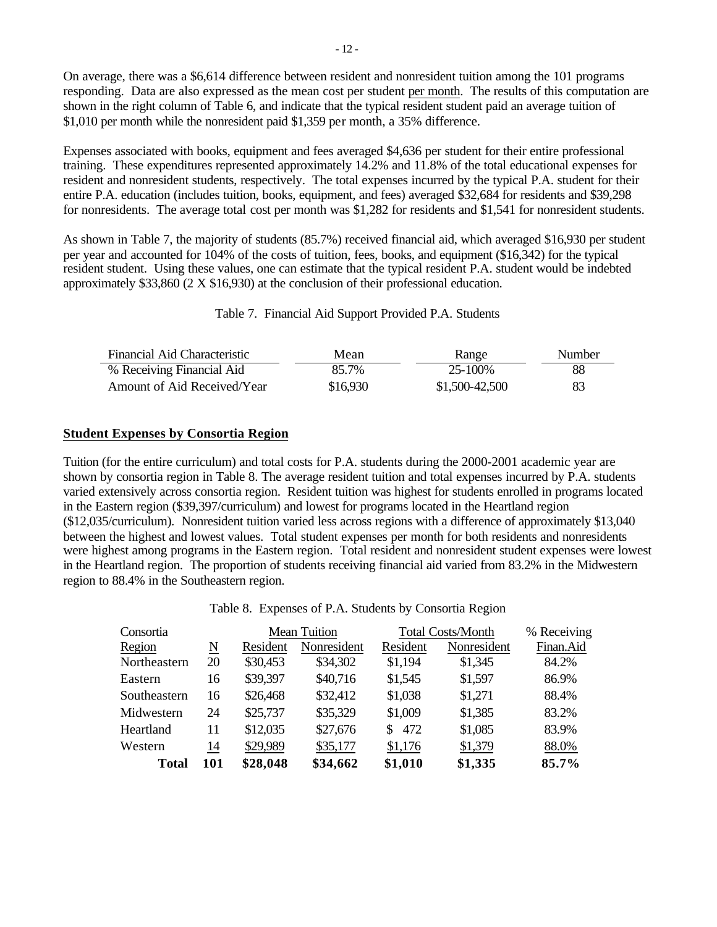On average, there was a \$6,614 difference between resident and nonresident tuition among the 101 programs responding. Data are also expressed as the mean cost per student per month. The results of this computation are shown in the right column of Table 6, and indicate that the typical resident student paid an average tuition of \$1,010 per month while the nonresident paid \$1,359 per month, a 35% difference.

Expenses associated with books, equipment and fees averaged \$4,636 per student for their entire professional training. These expenditures represented approximately 14.2% and 11.8% of the total educational expenses for resident and nonresident students, respectively. The total expenses incurred by the typical P.A. student for their entire P.A. education (includes tuition, books, equipment, and fees) averaged \$32,684 for residents and \$39,298 for nonresidents. The average total cost per month was \$1,282 for residents and \$1,541 for nonresident students.

As shown in Table 7, the majority of students (85.7%) received financial aid, which averaged \$16,930 per student per year and accounted for 104% of the costs of tuition, fees, books, and equipment (\$16,342) for the typical resident student. Using these values, one can estimate that the typical resident P.A. student would be indebted approximately \$33,860 (2 X \$16,930) at the conclusion of their professional education.

Table 7. Financial Aid Support Provided P.A. Students

| Financial Aid Characteristic | Mean     | Range          | Number |
|------------------------------|----------|----------------|--------|
| % Receiving Financial Aid    | 85.7%    | $25 - 100\%$   | 88     |
| Amount of Aid Received/Year  | \$16,930 | \$1,500-42,500 | 83     |

### **Student Expenses by Consortia Region**

Tuition (for the entire curriculum) and total costs for P.A. students during the 2000-2001 academic year are shown by consortia region in Table 8. The average resident tuition and total expenses incurred by P.A. students varied extensively across consortia region. Resident tuition was highest for students enrolled in programs located in the Eastern region (\$39,397/curriculum) and lowest for programs located in the Heartland region (\$12,035/curriculum). Nonresident tuition varied less across regions with a difference of approximately \$13,040 between the highest and lowest values. Total student expenses per month for both residents and nonresidents were highest among programs in the Eastern region. Total resident and nonresident student expenses were lowest in the Heartland region. The proportion of students receiving financial aid varied from 83.2% in the Midwestern region to 88.4% in the Southeastern region.

Table 8. Expenses of P.A. Students by Consortia Region

| Consortia    |                        |          | <b>Mean Tuition</b> |           | <b>Total Costs/Month</b> | % Receiving |
|--------------|------------------------|----------|---------------------|-----------|--------------------------|-------------|
| Region       | $\underline{\text{N}}$ | Resident | Nonresident         | Resident  | Nonresident              | Finan.Aid   |
| Northeastern | 20                     | \$30,453 | \$34,302            | \$1,194   | \$1,345                  | 84.2%       |
| Eastern      | 16                     | \$39,397 | \$40,716            | \$1,545   | \$1,597                  | 86.9%       |
| Southeastern | 16                     | \$26,468 | \$32,412            | \$1,038   | \$1,271                  | 88.4%       |
| Midwestern   | 24                     | \$25,737 | \$35,329            | \$1,009   | \$1,385                  | 83.2%       |
| Heartland    | 11                     | \$12,035 | \$27,676            | 472<br>S. | \$1,085                  | 83.9%       |
| Western      | 14                     | \$29,989 | \$35,177            | \$1,176   | \$1,379                  | 88.0%       |
| <b>Total</b> | 101                    | \$28,048 | \$34,662            | \$1,010   | \$1,335                  | 85.7%       |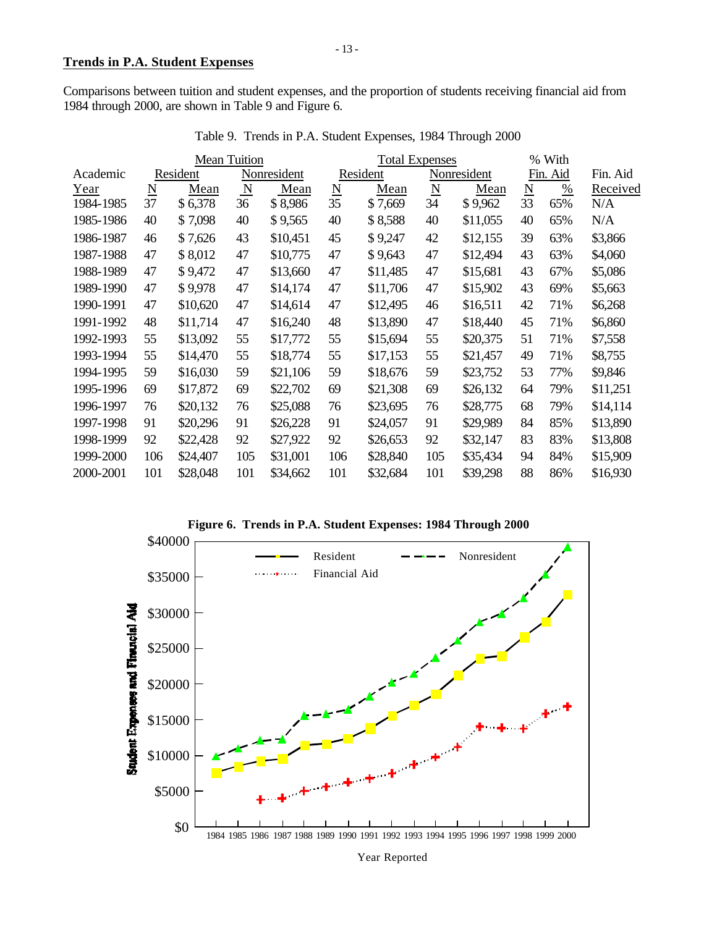Comparisons between tuition and student expenses, and the proportion of students receiving financial aid from 1984 through 2000, are shown in Table 9 and Figure 6.

| <b>Mean Tuition</b> |                          |          |                         |             | <b>Total Expenses</b>  |          |                          |             | % With                   |          |          |
|---------------------|--------------------------|----------|-------------------------|-------------|------------------------|----------|--------------------------|-------------|--------------------------|----------|----------|
| Academic            |                          | Resident |                         | Nonresident |                        | Resident |                          | Nonresident |                          | Fin. Aid | Fin. Aid |
| Year                | $\underline{\mathbf{N}}$ | Mean     | $\overline{\mathbf{N}}$ | Mean        | $\underline{\text{N}}$ | Mean     | $\underline{\mathrm{N}}$ | Mean        | $\underline{\mathrm{N}}$ | %        | Received |
| 1984-1985           | 37                       | \$6,378  | 36                      | \$8,986     | 35                     | \$7,669  | 34                       | \$9,962     | 33                       | 65%      | N/A      |
| 1985-1986           | 40                       | \$7,098  | 40                      | \$9,565     | 40                     | \$8,588  | 40                       | \$11,055    | 40                       | 65%      | N/A      |
| 1986-1987           | 46                       | \$7,626  | 43                      | \$10,451    | 45                     | \$9,247  | 42                       | \$12,155    | 39                       | 63%      | \$3,866  |
| 1987-1988           | 47                       | \$8,012  | 47                      | \$10,775    | 47                     | \$9,643  | 47                       | \$12,494    | 43                       | 63%      | \$4,060  |
| 1988-1989           | 47                       | \$9,472  | 47                      | \$13,660    | 47                     | \$11,485 | 47                       | \$15,681    | 43                       | 67%      | \$5,086  |
| 1989-1990           | 47                       | \$9,978  | 47                      | \$14,174    | 47                     | \$11,706 | 47                       | \$15,902    | 43                       | 69%      | \$5,663  |
| 1990-1991           | 47                       | \$10,620 | 47                      | \$14,614    | 47                     | \$12,495 | 46                       | \$16,511    | 42                       | 71%      | \$6,268  |
| 1991-1992           | 48                       | \$11,714 | 47                      | \$16,240    | 48                     | \$13,890 | 47                       | \$18,440    | 45                       | 71%      | \$6,860  |
| 1992-1993           | 55                       | \$13,092 | 55                      | \$17,772    | 55                     | \$15,694 | 55                       | \$20,375    | 51                       | 71%      | \$7,558  |
| 1993-1994           | 55                       | \$14,470 | 55                      | \$18,774    | 55                     | \$17,153 | 55                       | \$21,457    | 49                       | 71%      | \$8,755  |
| 1994-1995           | 59                       | \$16,030 | 59                      | \$21,106    | 59                     | \$18,676 | 59                       | \$23,752    | 53                       | 77%      | \$9,846  |
| 1995-1996           | 69                       | \$17,872 | 69                      | \$22,702    | 69                     | \$21,308 | 69                       | \$26,132    | 64                       | 79%      | \$11,251 |
| 1996-1997           | 76                       | \$20,132 | 76                      | \$25,088    | 76                     | \$23,695 | 76                       | \$28,775    | 68                       | 79%      | \$14,114 |
| 1997-1998           | 91                       | \$20,296 | 91                      | \$26,228    | 91                     | \$24,057 | 91                       | \$29,989    | 84                       | 85%      | \$13,890 |
| 1998-1999           | 92                       | \$22,428 | 92                      | \$27,922    | 92                     | \$26,653 | 92                       | \$32,147    | 83                       | 83%      | \$13,808 |
| 1999-2000           | 106                      | \$24,407 | 105                     | \$31,001    | 106                    | \$28,840 | 105                      | \$35,434    | 94                       | 84%      | \$15,909 |
| 2000-2001           | 101                      | \$28,048 | 101                     | \$34,662    | 101                    | \$32,684 | 101                      | \$39,298    | 88                       | 86%      | \$16,930 |

Table 9. Trends in P.A. Student Expenses, 1984 Through 2000



**Figure 6. Trends in P.A. Student Expenses: 1984 Through 2000**



Year Reported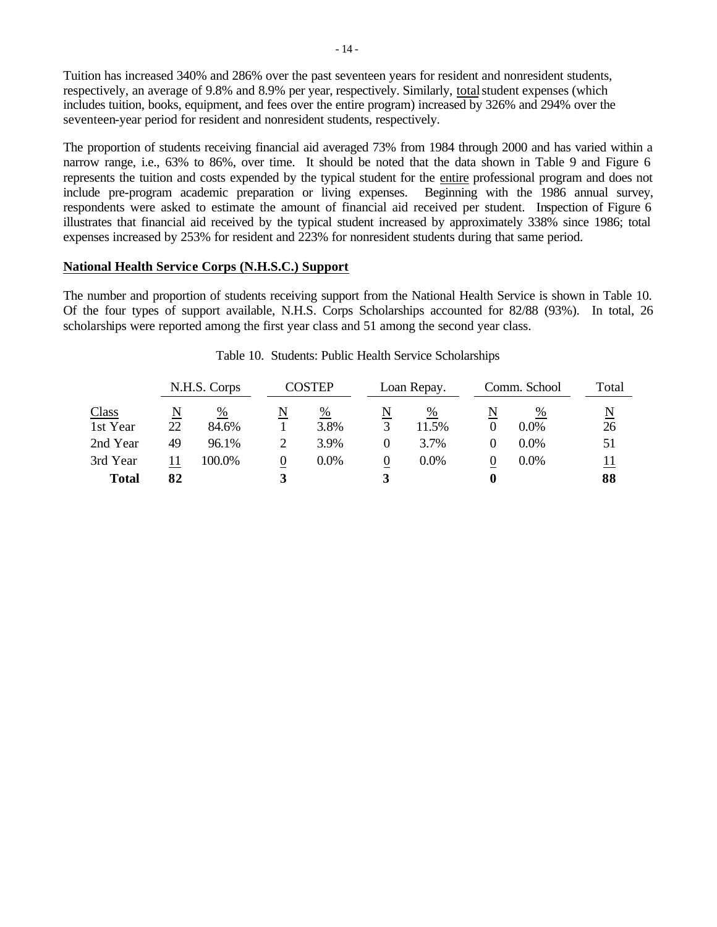Tuition has increased 340% and 286% over the past seventeen years for resident and nonresident students, respectively, an average of 9.8% and 8.9% per year, respectively. Similarly, total student expenses (which includes tuition, books, equipment, and fees over the entire program) increased by 326% and 294% over the seventeen-year period for resident and nonresident students, respectively.

The proportion of students receiving financial aid averaged 73% from 1984 through 2000 and has varied within a narrow range, i.e., 63% to 86%, over time. It should be noted that the data shown in Table 9 and Figure 6 represents the tuition and costs expended by the typical student for the entire professional program and does not include pre-program academic preparation or living expenses. Beginning with the 1986 annual survey, respondents were asked to estimate the amount of financial aid received per student. Inspection of Figure 6 illustrates that financial aid received by the typical student increased by approximately 338% since 1986; total expenses increased by 253% for resident and 223% for nonresident students during that same period.

### **National Health Service Corps (N.H.S.C.) Support**

The number and proportion of students receiving support from the National Health Service is shown in Table 10. Of the four types of support available, N.H.S. Corps Scholarships accounted for 82/88 (93%). In total, 26 scholarships were reported among the first year class and 51 among the second year class.

|              | N.H.S. Corps |        |   | COSTEP  |   | Loan Repay. |   | Comm. School |                          |
|--------------|--------------|--------|---|---------|---|-------------|---|--------------|--------------------------|
| Class        | N            | %      | N | %       | N | %           | N | %            | $\underline{\mathbf{N}}$ |
| 1st Year     | 22           | 84.6%  |   | 3.8%    |   | 11.5%       |   | $0.0\%$      | 26                       |
| 2nd Year     | 49           | 96.1%  |   | 3.9%    |   | 3.7%        |   | $0.0\%$      | 51                       |
| 3rd Year     | 11           | 100.0% |   | $0.0\%$ |   | $0.0\%$     |   | $0.0\%$      | 11                       |
| <b>Total</b> | 82           |        |   |         |   |             |   |              | 88                       |

#### Table 10. Students: Public Health Service Scholarships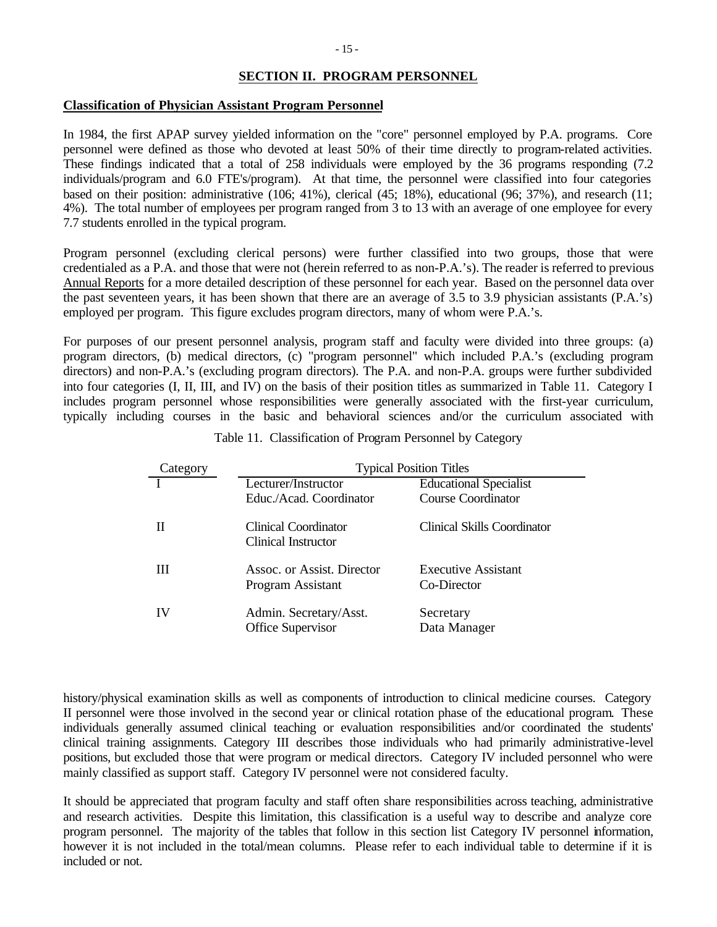## **SECTION II. PROGRAM PERSONNEL**

### **Classification of Physician Assistant Program Personnel**

In 1984, the first APAP survey yielded information on the "core" personnel employed by P.A. programs. Core personnel were defined as those who devoted at least 50% of their time directly to program-related activities. These findings indicated that a total of 258 individuals were employed by the 36 programs responding (7.2 individuals/program and 6.0 FTE's/program). At that time, the personnel were classified into four categories based on their position: administrative (106; 41%), clerical (45; 18%), educational (96; 37%), and research (11; 4%). The total number of employees per program ranged from 3 to 13 with an average of one employee for every 7.7 students enrolled in the typical program.

Program personnel (excluding clerical persons) were further classified into two groups, those that were credentialed as a P.A. and those that were not (herein referred to as non-P.A.'s). The reader is referred to previous Annual Reports for a more detailed description of these personnel for each year. Based on the personnel data over the past seventeen years, it has been shown that there are an average of 3.5 to 3.9 physician assistants (P.A.'s) employed per program. This figure excludes program directors, many of whom were P.A.'s.

For purposes of our present personnel analysis, program staff and faculty were divided into three groups: (a) program directors, (b) medical directors, (c) "program personnel" which included P.A.'s (excluding program directors) and non-P.A.'s (excluding program directors). The P.A. and non-P.A. groups were further subdivided into four categories (I, II, III, and IV) on the basis of their position titles as summarized in Table 11. Category I includes program personnel whose responsibilities were generally associated with the first-year curriculum, typically including courses in the basic and behavioral sciences and/or the curriculum associated with

| Category | <b>Typical Position Titles</b>                     |                                    |  |  |  |  |  |
|----------|----------------------------------------------------|------------------------------------|--|--|--|--|--|
|          | Lecturer/Instructor                                | <b>Educational Specialist</b>      |  |  |  |  |  |
|          | Educ./Acad. Coordinator                            | <b>Course Coordinator</b>          |  |  |  |  |  |
|          | <b>Clinical Coordinator</b><br>Clinical Instructor | <b>Clinical Skills Coordinator</b> |  |  |  |  |  |
| Ш        | Assoc. or Assist. Director<br>Program Assistant    | Executive Assistant<br>Co-Director |  |  |  |  |  |
| IV       | Admin. Secretary/Asst.<br>Office Supervisor        | Secretary<br>Data Manager          |  |  |  |  |  |

Table 11. Classification of Program Personnel by Category

history/physical examination skills as well as components of introduction to clinical medicine courses. Category II personnel were those involved in the second year or clinical rotation phase of the educational program. These individuals generally assumed clinical teaching or evaluation responsibilities and/or coordinated the students' clinical training assignments. Category III describes those individuals who had primarily administrative-level positions, but excluded those that were program or medical directors. Category IV included personnel who were mainly classified as support staff. Category IV personnel were not considered faculty.

It should be appreciated that program faculty and staff often share responsibilities across teaching, administrative and research activities. Despite this limitation, this classification is a useful way to describe and analyze core program personnel. The majority of the tables that follow in this section list Category IV personnel information, however it is not included in the total/mean columns. Please refer to each individual table to determine if it is included or not.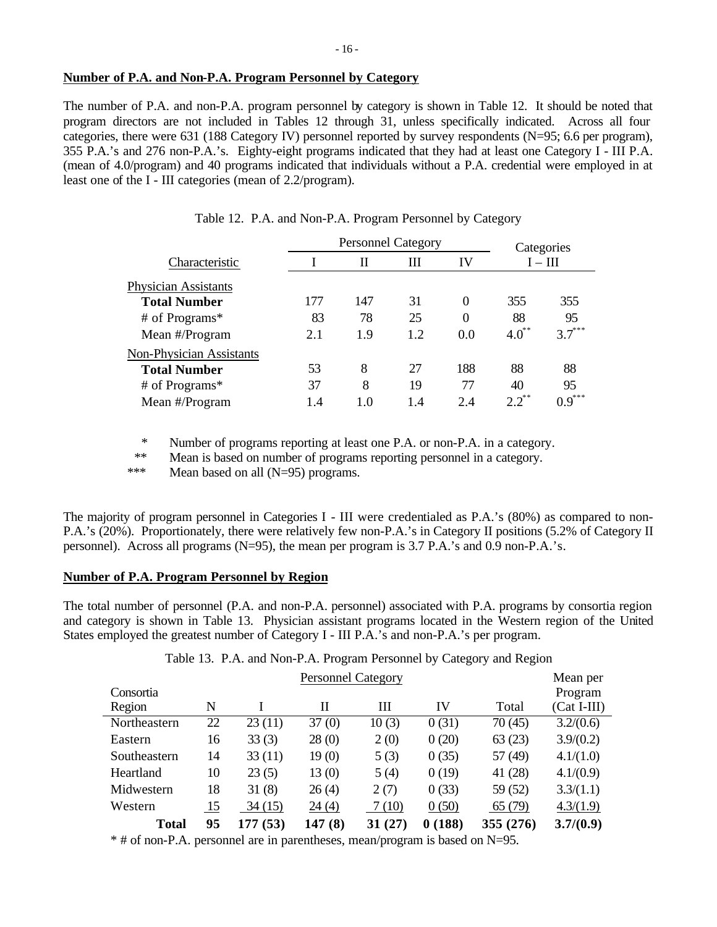### **Number of P.A. and Non-P.A. Program Personnel by Category**

The number of P.A. and non-P.A. program personnel by category is shown in Table 12. It should be noted that program directors are not included in Tables 12 through 31, unless specifically indicated. Across all four categories, there were 631 (188 Category IV) personnel reported by survey respondents (N=95; 6.6 per program), 355 P.A.'s and 276 non-P.A.'s. Eighty-eight programs indicated that they had at least one Category I - III P.A. (mean of 4.0/program) and 40 programs indicated that individuals without a P.A. credential were employed in at least one of the I - III categories (mean of 2.2/program).

|                                 |     | <b>Personnel Category</b> |     |                  | Categories |          |  |
|---------------------------------|-----|---------------------------|-----|------------------|------------|----------|--|
| Characteristic                  |     | П                         | Ш   | IV               | $I - III$  |          |  |
| <b>Physician Assistants</b>     |     |                           |     |                  |            |          |  |
| <b>Total Number</b>             | 177 | 147                       | 31  | $\theta$         | 355        | 355      |  |
| # of Programs*                  | 83  | 78                        | 25  | $\boldsymbol{0}$ | 88         | 95       |  |
| Mean #/Program                  | 2.1 | 1.9                       | 1.2 | 0.0              | $4.0^{**}$ | $3.7***$ |  |
| <b>Non-Physician Assistants</b> |     |                           |     |                  |            |          |  |
| <b>Total Number</b>             | 53  | 8                         | 27  | 188              | 88         | 88       |  |
| # of Programs*                  | 37  | 8                         | 19  | 77               | 40         | 95       |  |
| Mean #/Program                  | 1.4 | 1.0                       | 1.4 | 2.4              | $2.2^{**}$ | $0.9***$ |  |

|  |  | Table 12. P.A. and Non-P.A. Program Personnel by Category |  |  |
|--|--|-----------------------------------------------------------|--|--|
|  |  |                                                           |  |  |

\* Number of programs reporting at least one P.A. or non-P.A. in a category.

\*\* Mean is based on number of programs reporting personnel in a category.

\*\*\* Mean based on all (N=95) programs.

The majority of program personnel in Categories I - III were credentialed as P.A.'s (80%) as compared to non-P.A.'s (20%). Proportionately, there were relatively few non-P.A.'s in Category II positions (5.2% of Category II personnel). Across all programs (N=95), the mean per program is 3.7 P.A.'s and 0.9 non-P.A.'s.

## **Number of P.A. Program Personnel by Region**

The total number of personnel (P.A. and non-P.A. personnel) associated with P.A. programs by consortia region and category is shown in Table 13. Physician assistant programs located in the Western region of the United States employed the greatest number of Category I - III P.A.'s and non-P.A.'s per program.

Table 13. P.A. and Non-P.A. Program Personnel by Category and Region

|              |    | Mean per |        |         |        |           |               |
|--------------|----|----------|--------|---------|--------|-----------|---------------|
| Consortia    |    |          |        |         |        |           | Program       |
| Region       | N  |          | П      | Ш       | IV     | Total     | $(Cat I-III)$ |
| Northeastern | 22 | 23(11)   | 37(0)  | 10(3)   | 0(31)  | 70(45)    | 3.2/(0.6)     |
| Eastern      | 16 | 33(3)    | 28(0)  | 2(0)    | 0(20)  | 63(23)    | 3.9/(0.2)     |
| Southeastern | 14 | 33(11)   | 19(0)  | 5(3)    | 0(35)  | 57 (49)   | 4.1/(1.0)     |
| Heartland    | 10 | 23(5)    | 13(0)  | 5(4)    | 0(19)  | 41 (28)   | 4.1/(0.9)     |
| Midwestern   | 18 | 31(8)    | 26(4)  | 2(7)    | 0(33)  | 59 (52)   | 3.3/(1.1)     |
| Western      | 15 | 34(15)   | 24 (4) | 7(10)   | 0(50)  | 65 (79)   | 4.3/(1.9)     |
| <b>Total</b> | 95 | 177 (53) | 147(8) | 31 (27) | 0(188) | 355 (276) | 3.7/(0.9)     |

\* # of non-P.A. personnel are in parentheses, mean/program is based on N=95.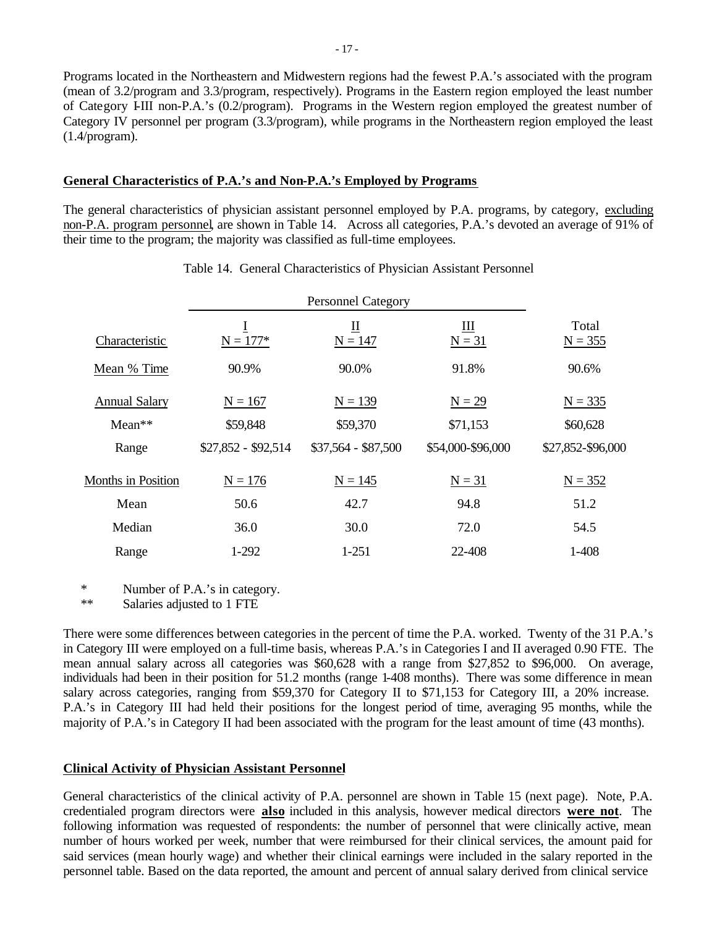Programs located in the Northeastern and Midwestern regions had the fewest P.A.'s associated with the program (mean of 3.2/program and 3.3/program, respectively). Programs in the Eastern region employed the least number of Category I-III non-P.A.'s (0.2/program). Programs in the Western region employed the greatest number of Category IV personnel per program (3.3/program), while programs in the Northeastern region employed the least (1.4/program).

### **General Characteristics of P.A.'s and Non-P.A.'s Employed by Programs**

The general characteristics of physician assistant personnel employed by P.A. programs, by category, excluding non-P.A. program personnel, are shown in Table 14. Across all categories, P.A.'s devoted an average of 91% of their time to the program; the majority was classified as full-time employees.

| Characteristic            | I<br>$N = 177*$     | Щ<br>$N = 147$      | Ш<br>$N = 31$     | Total<br>$N = 355$ |
|---------------------------|---------------------|---------------------|-------------------|--------------------|
| Mean % Time               | 90.9%               | 90.0%               | 91.8%             | 90.6%              |
| <b>Annual Salary</b>      | $N = 167$           | $N = 139$           | $N = 29$          | $N = 335$          |
| $Mean**$                  | \$59,848            | \$59,370            | \$71,153          | \$60,628           |
| Range                     | \$27,852 - \$92,514 | $$37,564 - $87,500$ | \$54,000-\$96,000 | \$27,852-\$96,000  |
| <b>Months in Position</b> | $N = 176$           | $N = 145$           | $N = 31$          | $N = 352$          |
| Mean                      | 50.6                | 42.7                | 94.8              | 51.2               |
| Median                    | 36.0                | 30.0                | 72.0              | 54.5               |
| Range                     | 1-292               | $1 - 251$           | 22-408            | $1 - 408$          |

#### Table 14. General Characteristics of Physician Assistant Personnel

\* Number of P.A.'s in category.

\*\* Salaries adjusted to 1 FTE

There were some differences between categories in the percent of time the P.A. worked. Twenty of the 31 P.A.'s in Category III were employed on a full-time basis, whereas P.A.'s in Categories I and II averaged 0.90 FTE. The mean annual salary across all categories was \$60,628 with a range from \$27,852 to \$96,000. On average, individuals had been in their position for 51.2 months (range 1-408 months). There was some difference in mean salary across categories, ranging from \$59,370 for Category II to \$71,153 for Category III, a 20% increase. P.A.'s in Category III had held their positions for the longest period of time, averaging 95 months, while the majority of P.A.'s in Category II had been associated with the program for the least amount of time (43 months).

# **Clinical Activity of Physician Assistant Personnel**

General characteristics of the clinical activity of P.A. personnel are shown in Table 15 (next page). Note, P.A. credentialed program directors were **also** included in this analysis, however medical directors **were not**. The following information was requested of respondents: the number of personnel that were clinically active, mean number of hours worked per week, number that were reimbursed for their clinical services, the amount paid for said services (mean hourly wage) and whether their clinical earnings were included in the salary reported in the personnel table. Based on the data reported, the amount and percent of annual salary derived from clinical service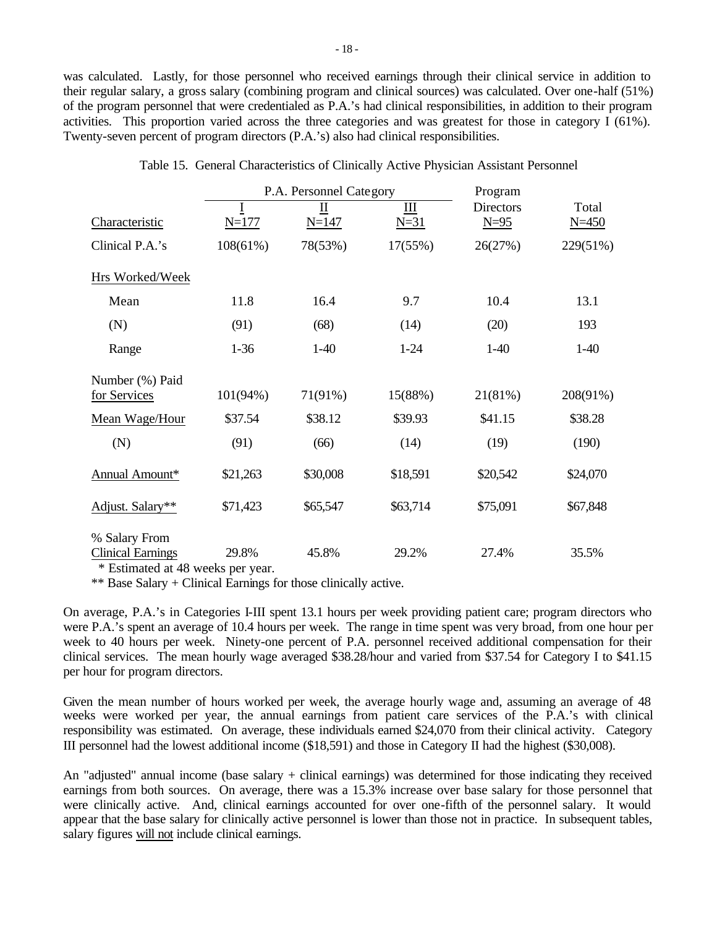was calculated. Lastly, for those personnel who received earnings through their clinical service in addition to their regular salary, a gross salary (combining program and clinical sources) was calculated. Over one-half (51%) of the program personnel that were credentialed as P.A.'s had clinical responsibilities, in addition to their program activities. This proportion varied across the three categories and was greatest for those in category I (61%). Twenty-seven percent of program directors (P.A.'s) also had clinical responsibilities.

|                                           |           | P.A. Personnel Category | Program     |                            |                    |
|-------------------------------------------|-----------|-------------------------|-------------|----------------------------|--------------------|
| Characteristic                            | $N = 177$ | П<br>$N = 147$          | Ш<br>$N=31$ | <b>Directors</b><br>$N=95$ | Total<br>$N = 450$ |
| Clinical P.A.'s                           | 108(61%)  | 78(53%)                 | 17(55%)     | 26(27%)                    | 229(51%)           |
| Hrs Worked/Week                           |           |                         |             |                            |                    |
| Mean                                      | 11.8      | 16.4                    | 9.7         | 10.4                       | 13.1               |
| (N)                                       | (91)      | (68)                    | (14)        | (20)                       | 193                |
| Range                                     | $1 - 36$  | $1-40$                  | $1 - 24$    | $1-40$                     | $1-40$             |
| Number (%) Paid<br>for Services           | 101(94%)  | 71(91%)                 | 15(88%)     | 21(81%)                    | 208(91%)           |
| Mean Wage/Hour                            | \$37.54   | \$38.12                 | \$39.93     | \$41.15                    | \$38.28            |
| (N)                                       | (91)      | (66)                    | (14)        | (19)                       | (190)              |
| Annual Amount*                            | \$21,263  | \$30,008                | \$18,591    | \$20,542                   | \$24,070           |
| Adjust. Salary**                          | \$71,423  | \$65,547                | \$63,714    | \$75,091                   | \$67,848           |
| % Salary From<br><b>Clinical Earnings</b> | 29.8%     | 45.8%                   | 29.2%       | 27.4%                      | 35.5%              |

|  | Table 15. General Characteristics of Clinically Active Physician Assistant Personnel |  |  |  |  |
|--|--------------------------------------------------------------------------------------|--|--|--|--|
|  |                                                                                      |  |  |  |  |

\* Estimated at 48 weeks per year.

\*\* Base Salary + Clinical Earnings for those clinically active.

On average, P.A.'s in Categories I-III spent 13.1 hours per week providing patient care; program directors who were P.A.'s spent an average of 10.4 hours per week. The range in time spent was very broad, from one hour per week to 40 hours per week. Ninety-one percent of P.A. personnel received additional compensation for their clinical services. The mean hourly wage averaged \$38.28/hour and varied from \$37.54 for Category I to \$41.15 per hour for program directors.

Given the mean number of hours worked per week, the average hourly wage and, assuming an average of 48 weeks were worked per year, the annual earnings from patient care services of the P.A.'s with clinical responsibility was estimated. On average, these individuals earned \$24,070 from their clinical activity. Category III personnel had the lowest additional income (\$18,591) and those in Category II had the highest (\$30,008).

An "adjusted" annual income (base salary + clinical earnings) was determined for those indicating they received earnings from both sources. On average, there was a 15.3% increase over base salary for those personnel that were clinically active. And, clinical earnings accounted for over one-fifth of the personnel salary. It would appear that the base salary for clinically active personnel is lower than those not in practice. In subsequent tables, salary figures will not include clinical earnings.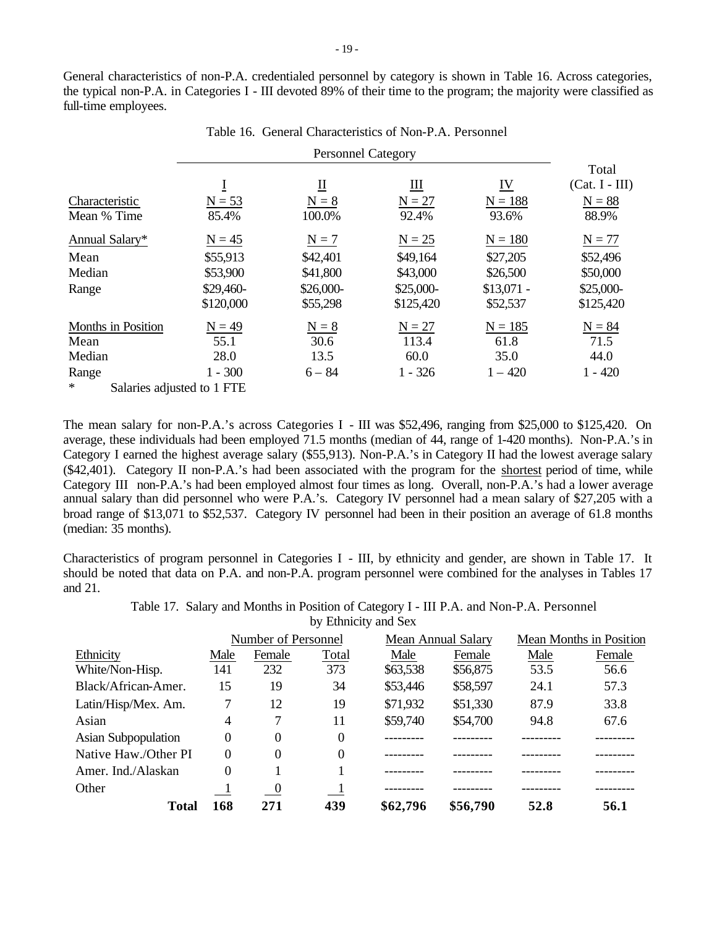General characteristics of non-P.A. credentialed personnel by category is shown in Table 16. Across categories, the typical non-P.A. in Categories I - III devoted 89% of their time to the program; the majority were classified as full-time employees.

Personnel Category  $\overline{\mathbf{I}}$   $\overline{\mathbf{I}}$   $\overline{\mathbf{I}}$   $\overline{\mathbf{I}}$   $\overline{\mathbf{I}}$   $\overline{\mathbf{I}}$   $\overline{\mathbf{I}}$ Total (Cat. I - III) Characteristic  $N = 53$   $N = 8$   $N = 27$   $N = 188$   $N = 88$ Mean % Time 85.4% 100.0% 92.4% 93.6% 88.9% Annual Salary\*  $N = 45$   $N = 7$   $N = 25$   $N = 180$   $N = 77$ Mean \$55,913 \$42,401 \$49,164 \$27,205 \$52,496 Median \$53,900 \$41,800 \$43,000 \$26,500 \$50,000 Range \$29,460-\$120,000 \$26,000- \$55,298 \$25,000- \$125,420 \$13,071 - \$52,537 \$25,000- \$125,420 Months in Position  $N = 49$   $N = 8$   $N = 27$   $N = 185$   $N = 84$ Mean 55.1 30.6 113.4 61.8 71.5 Median 28.0 13.5 60.0 35.0 44.0 Range 1 - 300 6 – 84 1 - 326 1 – 420 1 - 420 \* Salaries adjusted to 1 FTE

Table 16. General Characteristics of Non-P.A. Personnel

The mean salary for non-P.A.'s across Categories I - III was \$52,496, ranging from \$25,000 to \$125,420. On average, these individuals had been employed 71.5 months (median of 44, range of 1-420 months). Non-P.A.'s in Category I earned the highest average salary (\$55,913). Non-P.A.'s in Category II had the lowest average salary (\$42,401). Category II non-P.A.'s had been associated with the program for the shortest period of time, while Category III non-P.A.'s had been employed almost four times as long. Overall, non-P.A.'s had a lower average annual salary than did personnel who were P.A.'s. Category IV personnel had a mean salary of \$27,205 with a broad range of \$13,071 to \$52,537. Category IV personnel had been in their position an average of 61.8 months (median: 35 months).

Characteristics of program personnel in Categories I - III, by ethnicity and gender, are shown in Table 17. It should be noted that data on P.A. and non-P.A. program personnel were combined for the analyses in Tables 17 and 21.

> Table 17. Salary and Months in Position of Category I - III P.A. and Non-P.A. Personnel by Ethnicity and Sex

|                      | Number of Personnel |                          |          |          | <b>Mean Annual Salary</b> | Mean Months in Position |        |
|----------------------|---------------------|--------------------------|----------|----------|---------------------------|-------------------------|--------|
| Ethnicity            | Male                | Female                   | Total    | Male     | Female                    | Male                    | Female |
| White/Non-Hisp.      | 141                 | 232                      | 373      | \$63,538 | \$56,875                  | 53.5                    | 56.6   |
| Black/African-Amer.  | 15                  | 19                       | 34       | \$53,446 | \$58,597                  | 24.1                    | 57.3   |
| Latin/Hisp/Mex. Am.  | 7                   | 12                       | 19       | \$71,932 | \$51,330                  | 87.9                    | 33.8   |
| Asian                | 4                   | 7                        | 11       | \$59,740 | \$54,700                  | 94.8                    | 67.6   |
| Asian Subpopulation  | $\theta$            | $\theta$                 | 0        |          |                           |                         |        |
| Native Haw./Other PI | $\Omega$            | $\theta$                 | $\theta$ |          |                           |                         |        |
| Amer. Ind./Alaskan   | 0                   |                          |          |          |                           |                         |        |
| Other                |                     | $\overline{\phantom{0}}$ |          |          |                           |                         |        |
| Total                | 168                 | 271                      | 439      | \$62,796 | \$56,790                  | 52.8                    | 56.1   |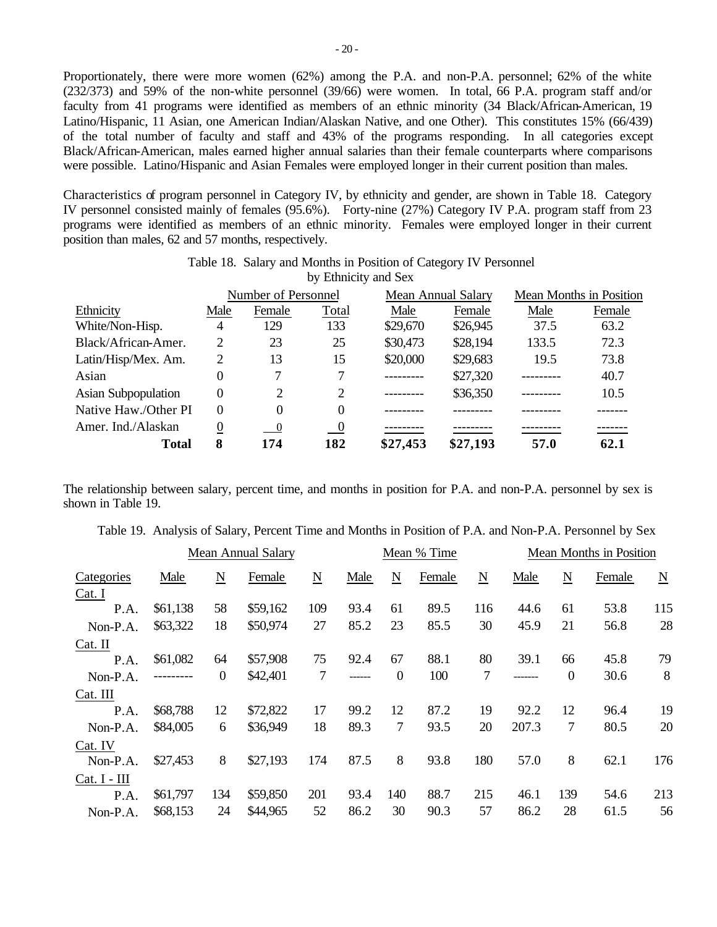Proportionately, there were more women (62%) among the P.A. and non-P.A. personnel; 62% of the white (232/373) and 59% of the non-white personnel (39/66) were women. In total, 66 P.A. program staff and/or faculty from 41 programs were identified as members of an ethnic minority (34 Black/African-American, 19 Latino/Hispanic, 11 Asian, one American Indian/Alaskan Native, and one Other). This constitutes 15% (66/439) of the total number of faculty and staff and 43% of the programs responding. In all categories except Black/African-American, males earned higher annual salaries than their female counterparts where comparisons were possible. Latino/Hispanic and Asian Females were employed longer in their current position than males.

Characteristics of program personnel in Category IV, by ethnicity and gender, are shown in Table 18. Category IV personnel consisted mainly of females (95.6%). Forty-nine (27%) Category IV P.A. program staff from 23 programs were identified as members of an ethnic minority. Females were employed longer in their current position than males, 62 and 57 months, respectively.

|                            |          | Number of Personnel        |                          |           | Mean Annual Salary | <b>Mean Months in Position</b> |        |  |
|----------------------------|----------|----------------------------|--------------------------|-----------|--------------------|--------------------------------|--------|--|
| Ethnicity                  | Male     | Female                     | Total                    | Male      | Female             | Male                           | Female |  |
| White/Non-Hisp.            | 4        | 129                        | 133                      | \$29,670  | \$26,945           | 37.5                           | 63.2   |  |
| Black/African-Amer.        | 2        | 23                         | 25                       | \$30,473  | \$28,194           | 133.5                          | 72.3   |  |
| Latin/Hisp/Mex. Am.        | 2        | 13                         | 15                       | \$20,000  | \$29,683           | 19.5                           | 73.8   |  |
| Asian                      | 0        |                            |                          | --------- | \$27,320           |                                | 40.7   |  |
| <b>Asian Subpopulation</b> | 0        | 2                          | 2                        |           | \$36,350           |                                | 10.5   |  |
| Native Haw./Other PI       | $\Omega$ | 0                          | 0                        |           |                    |                                |        |  |
| Amer. Ind./Alaskan         | 0        | $\overline{\phantom{0}}^0$ | $\overline{\phantom{0}}$ |           |                    |                                |        |  |
| <b>Total</b>               | 8        | 174                        | 182                      | \$27,453  | \$27,193           | 57.0                           | 62.1   |  |

Table 18. Salary and Months in Position of Category IV Personnel by Ethnicity and Sex

The relationship between salary, percent time, and months in position for P.A. and non-P.A. personnel by sex is shown in Table 19.

|  |  |  |  |  | Table 19. Analysis of Salary, Percent Time and Months in Position of P.A. and Non-P.A. Personnel by Sex |  |
|--|--|--|--|--|---------------------------------------------------------------------------------------------------------|--|
|  |  |  |  |  |                                                                                                         |  |

|              |          |                         | <b>Mean Annual Salary</b> |                 | Mean % Time |                 |        |                          | Mean Months in Position |                  |        |                          |
|--------------|----------|-------------------------|---------------------------|-----------------|-------------|-----------------|--------|--------------------------|-------------------------|------------------|--------|--------------------------|
| Categories   | Male     | $\overline{\mathbf{N}}$ | Female                    | $\underline{N}$ | Male        | $\underline{N}$ | Female | $\underline{\mathbf{N}}$ | Male                    | N                | Female | $\underline{\mathbf{N}}$ |
| Cat. I       |          |                         |                           |                 |             |                 |        |                          |                         |                  |        |                          |
| P.A.         | \$61,138 | 58                      | \$59,162                  | 109             | 93.4        | 61              | 89.5   | 116                      | 44.6                    | 61               | 53.8   | 115                      |
| Non-P.A.     | \$63,322 | 18                      | \$50,974                  | 27              | 85.2        | 23              | 85.5   | 30                       | 45.9                    | 21               | 56.8   | 28                       |
| Cat. II      |          |                         |                           |                 |             |                 |        |                          |                         |                  |        |                          |
| P.A.         | \$61,082 | 64                      | \$57,908                  | 75              | 92.4        | 67              | 88.1   | 80                       | 39.1                    | 66               | 45.8   | 79                       |
| Non-P.A.     |          | $\boldsymbol{0}$        | \$42,401                  | 7               | ------      | $\mathbf{0}$    | 100    | 7                        |                         | $\boldsymbol{0}$ | 30.6   | 8                        |
| Cat. III     |          |                         |                           |                 |             |                 |        |                          |                         |                  |        |                          |
| P.A.         | \$68,788 | 12                      | \$72,822                  | 17              | 99.2        | 12              | 87.2   | 19                       | 92.2                    | 12               | 96.4   | 19                       |
| Non-P.A.     | \$84,005 | 6                       | \$36,949                  | 18              | 89.3        | 7               | 93.5   | 20                       | 207.3                   | 7                | 80.5   | 20                       |
| Cat. IV      |          |                         |                           |                 |             |                 |        |                          |                         |                  |        |                          |
| Non-P.A.     | \$27,453 | 8                       | \$27,193                  | 174             | 87.5        | 8               | 93.8   | 180                      | 57.0                    | 8                | 62.1   | 176                      |
| Cat. I - III |          |                         |                           |                 |             |                 |        |                          |                         |                  |        |                          |
| P.A.         | \$61,797 | 134                     | \$59,850                  | 201             | 93.4        | 140             | 88.7   | 215                      | 46.1                    | 139              | 54.6   | 213                      |
| Non-P.A.     | \$68,153 | 24                      | \$44,965                  | 52              | 86.2        | 30              | 90.3   | 57                       | 86.2                    | 28               | 61.5   | 56                       |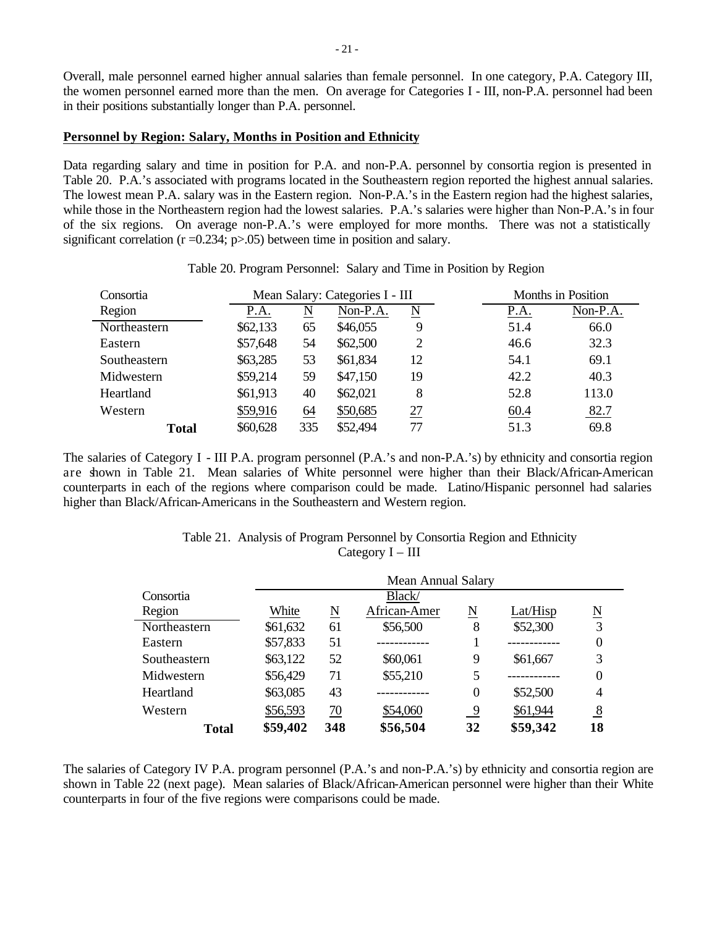Overall, male personnel earned higher annual salaries than female personnel. In one category, P.A. Category III, the women personnel earned more than the men. On average for Categories I - III, non-P.A. personnel had been in their positions substantially longer than P.A. personnel.

#### **Personnel by Region: Salary, Months in Position and Ethnicity**

Data regarding salary and time in position for P.A. and non-P.A. personnel by consortia region is presented in Table 20. P.A.'s associated with programs located in the Southeastern region reported the highest annual salaries. The lowest mean P.A. salary was in the Eastern region. Non-P.A.'s in the Eastern region had the highest salaries, while those in the Northeastern region had the lowest salaries. P.A.'s salaries were higher than Non-P.A.'s in four of the six regions. On average non-P.A.'s were employed for more months. There was not a statistically significant correlation ( $r = 0.234$ ;  $p > 0.05$ ) between time in position and salary.

Consortia **Mean Salary: Categories I** - III Months in Position

Table 20. Program Personnel: Salary and Time in Position by Region

| Non-P.A.<br>66.0 |               |
|------------------|---------------|
|                  |               |
|                  |               |
|                  |               |
| 69.1             |               |
| 40.3             |               |
|                  |               |
| 82.7             |               |
| 69.8             |               |
|                  | 32.3<br>113.0 |

The salaries of Category I - III P.A. program personnel (P.A.'s and non-P.A.'s) by ethnicity and consortia region are shown in Table 21. Mean salaries of White personnel were higher than their Black/African-American counterparts in each of the regions where comparison could be made. Latino/Hispanic personnel had salaries higher than Black/African-Americans in the Southeastern and Western region.

### Table 21. Analysis of Program Personnel by Consortia Region and Ethnicity Category I – III

|              | <b>Mean Annual Salary</b> |     |              |                  |          |                     |  |  |  |
|--------------|---------------------------|-----|--------------|------------------|----------|---------------------|--|--|--|
| Consortia    |                           |     | Black/       |                  |          |                     |  |  |  |
| Region       | White                     | N   | African-Amer | N                | Lat/Hisp | $\underline{\rm N}$ |  |  |  |
| Northeastern | \$61,632                  | 61  | \$56,500     | 8                | \$52,300 | 3                   |  |  |  |
| Eastern      | \$57,833                  | 51  |              |                  |          |                     |  |  |  |
| Southeastern | \$63,122                  | 52  | \$60,061     | 9                | \$61,667 | 3                   |  |  |  |
| Midwestern   | \$56,429                  | 71  | \$55,210     | 5                |          |                     |  |  |  |
| Heartland    | \$63,085                  | 43  |              | $\boldsymbol{0}$ | \$52,500 | 4                   |  |  |  |
| Western      | \$56,593                  | 70  | \$54,060     | $\overline{9}$   | \$61,944 | $\frac{8}{2}$       |  |  |  |
| <b>Total</b> | \$59,402                  | 348 | \$56,504     | 32               | \$59,342 | 18                  |  |  |  |

The salaries of Category IV P.A. program personnel (P.A.'s and non-P.A.'s) by ethnicity and consortia region are shown in Table 22 (next page). Mean salaries of Black/African-American personnel were higher than their White counterparts in four of the five regions were comparisons could be made.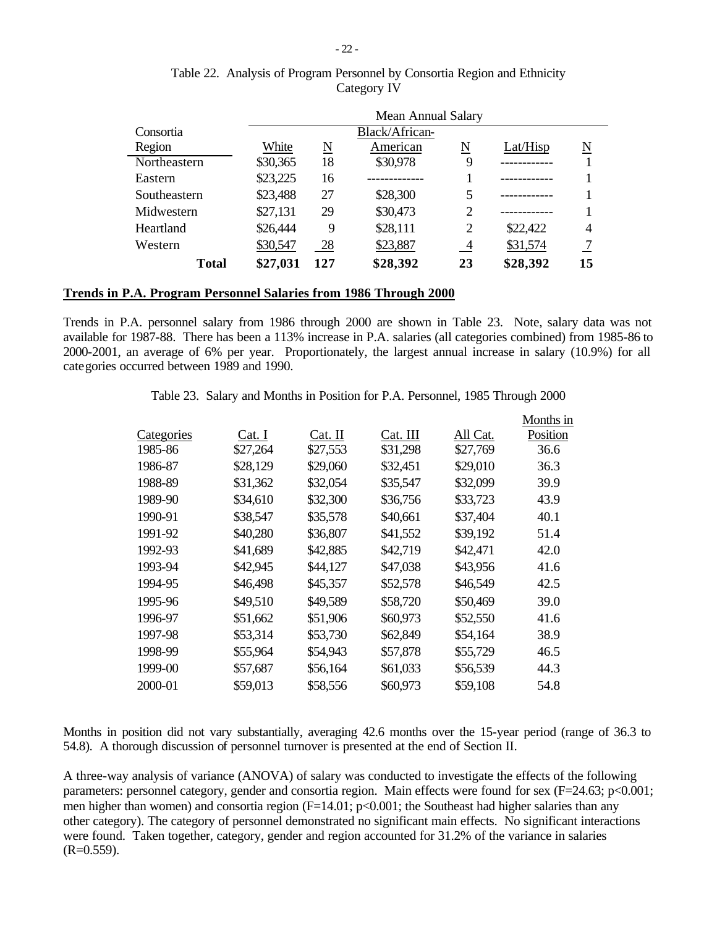| $-22-$        |  |
|---------------|--|
| rom Dorsonnal |  |

|              |          | Mean Annual Salary |                |                |          |    |  |  |  |  |
|--------------|----------|--------------------|----------------|----------------|----------|----|--|--|--|--|
| Consortia    |          |                    | Black/African- |                |          |    |  |  |  |  |
| Region       | White    | N                  | American       | N              | Lat/Hisp | N  |  |  |  |  |
| Northeastern | \$30,365 | 18                 | \$30,978       | 9              |          |    |  |  |  |  |
| Eastern      | \$23,225 | 16                 |                |                |          |    |  |  |  |  |
| Southeastern | \$23,488 | 27                 | \$28,300       | 5              |          |    |  |  |  |  |
| Midwestern   | \$27,131 | 29                 | \$30,473       | 2              |          |    |  |  |  |  |
| Heartland    | \$26,444 | 9                  | \$28,111       | $\overline{2}$ | \$22,422 | 4  |  |  |  |  |
| Western      | \$30,547 | 28                 | \$23,887       | $\overline{4}$ | \$31,574 |    |  |  |  |  |
| <b>Total</b> | \$27,031 | 127                | \$28,392       | 23             | \$28,392 | 15 |  |  |  |  |

# Table 22. Analysis of Program Personnel by Consortia Region and Ethnicity Category IV

# **Trends in P.A. Program Personnel Salaries from 1986 Through 2000**

Trends in P.A. personnel salary from 1986 through 2000 are shown in Table 23. Note, salary data was not available for 1987-88. There has been a 113% increase in P.A. salaries (all categories combined) from 1985-86 to 2000-2001, an average of 6% per year. Proportionately, the largest annual increase in salary (10.9%) for all categories occurred between 1989 and 1990.

| Table 23. Salary and Months in Position for P.A. Personnel, 1985 Through 2000 |  |  |  |  |  |  |  |  |  |  |
|-------------------------------------------------------------------------------|--|--|--|--|--|--|--|--|--|--|
|-------------------------------------------------------------------------------|--|--|--|--|--|--|--|--|--|--|

|            |          |          |          |          | Months in |
|------------|----------|----------|----------|----------|-----------|
| Categories | Cat. I   | Cat. II  | Cat. III | All Cat. | Position  |
| 1985-86    | \$27,264 | \$27,553 | \$31,298 | \$27,769 | 36.6      |
| 1986-87    | \$28,129 | \$29,060 | \$32,451 | \$29,010 | 36.3      |
| 1988-89    | \$31,362 | \$32,054 | \$35,547 | \$32,099 | 39.9      |
| 1989-90    | \$34,610 | \$32,300 | \$36,756 | \$33,723 | 43.9      |
| 1990-91    | \$38,547 | \$35,578 | \$40,661 | \$37,404 | 40.1      |
| 1991-92    | \$40,280 | \$36,807 | \$41,552 | \$39,192 | 51.4      |
| 1992-93    | \$41,689 | \$42,885 | \$42,719 | \$42,471 | 42.0      |
| 1993-94    | \$42,945 | \$44,127 | \$47,038 | \$43,956 | 41.6      |
| 1994-95    | \$46,498 | \$45,357 | \$52,578 | \$46,549 | 42.5      |
| 1995-96    | \$49,510 | \$49,589 | \$58,720 | \$50,469 | 39.0      |
| 1996-97    | \$51,662 | \$51,906 | \$60,973 | \$52,550 | 41.6      |
| 1997-98    | \$53,314 | \$53,730 | \$62,849 | \$54,164 | 38.9      |
| 1998-99    | \$55,964 | \$54,943 | \$57,878 | \$55,729 | 46.5      |
| 1999-00    | \$57,687 | \$56,164 | \$61,033 | \$56,539 | 44.3      |
| 2000-01    | \$59,013 | \$58,556 | \$60,973 | \$59,108 | 54.8      |
|            |          |          |          |          |           |

Months in position did not vary substantially, averaging 42.6 months over the 15-year period (range of 36.3 to 54.8). A thorough discussion of personnel turnover is presented at the end of Section II.

A three-way analysis of variance (ANOVA) of salary was conducted to investigate the effects of the following parameters: personnel category, gender and consortia region. Main effects were found for sex (F=24.63; p<0.001; men higher than women) and consortia region  $(F=14.01; p<0.001;$  the Southeast had higher salaries than any other category). The category of personnel demonstrated no significant main effects. No significant interactions were found. Taken together, category, gender and region accounted for 31.2% of the variance in salaries  $(R=0.559)$ .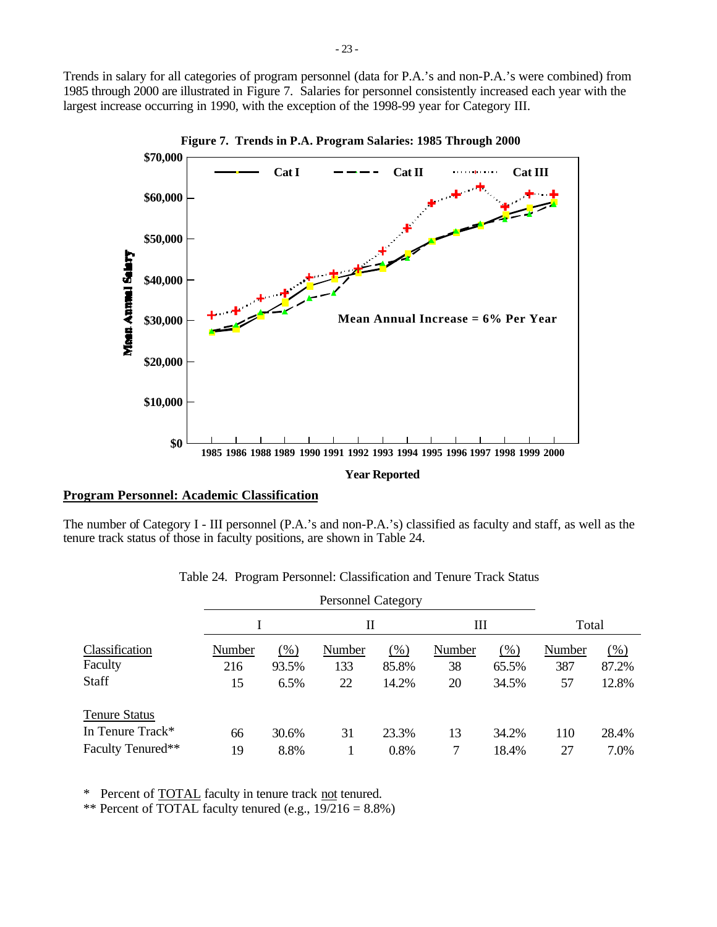Trends in salary for all categories of program personnel (data for P.A.'s and non-P.A.'s were combined) from 1985 through 2000 are illustrated in Figure 7. Salaries for personnel consistently increased each year with the largest increase occurring in 1990, with the exception of the 1998-99 year for Category III.



**Figure 7. Trends in P.A. Program Salaries: 1985 Through 2000**

## **Program Personnel: Academic Classification**

The number of Category I - III personnel (P.A.'s and non-P.A.'s) classified as faculty and staff, as well as the tenure track status of those in faculty positions, are shown in Table 24.

|        |       |        |       |                                |       | Total  |        |
|--------|-------|--------|-------|--------------------------------|-------|--------|--------|
| Number | (% )  | Number | (%)   | Number                         | (% )  | Number | $(\%)$ |
| 216    | 93.5% | 133    | 85.8% | 38                             | 65.5% | 387    | 87.2%  |
| 15     | 6.5%  | 22     | 14.2% | 20                             | 34.5% | 57     | 12.8%  |
|        |       |        |       |                                |       |        |        |
| 66     | 30.6% | 31     | 23.3% | 13                             | 34.2% | 110    | 28.4%  |
| 19     | 8.8%  |        | 0.8%  |                                | 18.4% | 27     | 7.0%   |
|        |       |        |       | <b>Personnel Category</b><br>П |       | Ш      |        |

Table 24. Program Personnel: Classification and Tenure Track Status

\* Percent of TOTAL faculty in tenure track not tenured.

\*\* Percent of TOTAL faculty tenured (e.g.,  $19/216 = 8.8\%$ )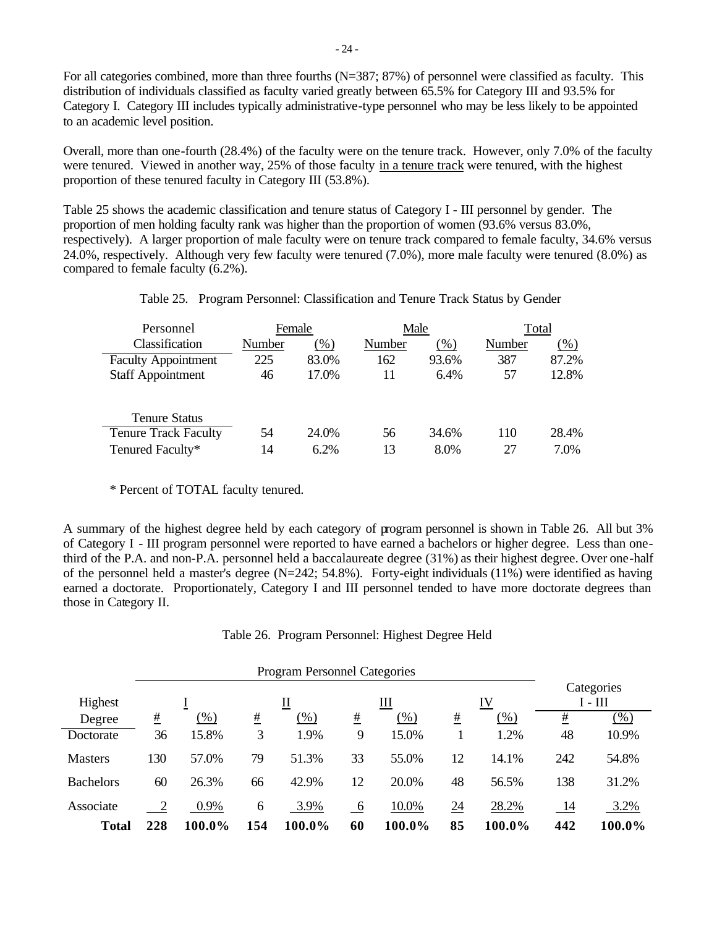For all categories combined, more than three fourths (N=387; 87%) of personnel were classified as faculty. This distribution of individuals classified as faculty varied greatly between 65.5% for Category III and 93.5% for Category I. Category III includes typically administrative-type personnel who may be less likely to be appointed to an academic level position.

Overall, more than one-fourth (28.4%) of the faculty were on the tenure track. However, only 7.0% of the faculty were tenured. Viewed in another way, 25% of those faculty in a tenure track were tenured, with the highest proportion of these tenured faculty in Category III (53.8%).

Table 25 shows the academic classification and tenure status of Category I - III personnel by gender. The proportion of men holding faculty rank was higher than the proportion of women (93.6% versus 83.0%, respectively). A larger proportion of male faculty were on tenure track compared to female faculty, 34.6% versus 24.0%, respectively. Although very few faculty were tenured (7.0%), more male faculty were tenured (8.0%) as compared to female faculty (6.2%).

| Table 25. Program Personnel: Classification and Tenure Track Status by Gender |  |  |
|-------------------------------------------------------------------------------|--|--|
|                                                                               |  |  |

| Personnel                   | Female |         | Male   |       | Total  |        |  |
|-----------------------------|--------|---------|--------|-------|--------|--------|--|
| Classification              | Number | $(\% )$ | Number | (% )  | Number | $(\%)$ |  |
| <b>Faculty Appointment</b>  | 225    | 83.0%   | 162    | 93.6% | 387    | 87.2%  |  |
| <b>Staff Appointment</b>    | 46     | 17.0%   | 11     | 6.4%  | 57     | 12.8%  |  |
|                             |        |         |        |       |        |        |  |
| <b>Tenure Status</b>        |        |         |        |       |        |        |  |
| <b>Tenure Track Faculty</b> | 54     | 24.0%   | 56     | 34.6% | 110    | 28.4%  |  |
| Tenured Faculty*            | 14     | $6.2\%$ | 13     | 8.0%  | 27     | 7.0%   |  |

\* Percent of TOTAL faculty tenured.

A summary of the highest degree held by each category of program personnel is shown in Table 26. All but 3% of Category I - III program personnel were reported to have earned a bachelors or higher degree. Less than onethird of the P.A. and non-P.A. personnel held a baccalaureate degree (31%) as their highest degree. Over one-half of the personnel held a master's degree ( $N=242$ ; 54.8%). Forty-eight individuals (11%) were identified as having earned a doctorate. Proportionately, Category I and III personnel tended to have more doctorate degrees than those in Category II.

Table 26. Program Personnel: Highest Degree Held

| Highest          | ∐        |        |     |        | Ш<br>IV |        |                  |        | Categories<br>$I - III$ |        |
|------------------|----------|--------|-----|--------|---------|--------|------------------|--------|-------------------------|--------|
| Degree           | <u>#</u> | $(\%)$ | #   | (% )   | #       | $(\%)$ | #                | (% )   | #                       | $(\%)$ |
| Doctorate        | 36       | 15.8%  | 3   | 1.9%   | 9       | 15.0%  |                  | 1.2%   | 48                      | 10.9%  |
| <b>Masters</b>   | 130      | 57.0%  | 79  | 51.3%  | 33      | 55.0%  | 12               | 14.1%  | 242                     | 54.8%  |
| <b>Bachelors</b> | 60       | 26.3%  | 66  | 42.9%  | 12      | 20.0%  | 48               | 56.5%  | 138                     | 31.2%  |
| Associate        |          | 0.9%   | 6   | 3.9%   | 6       | 10.0%  | $\underline{24}$ | 28.2%  | <u>14</u>               | 3.2%   |
| <b>Total</b>     | 228      | 100.0% | 154 | 100.0% | 60      | 100.0% | 85               | 100.0% | 442                     | 100.0% |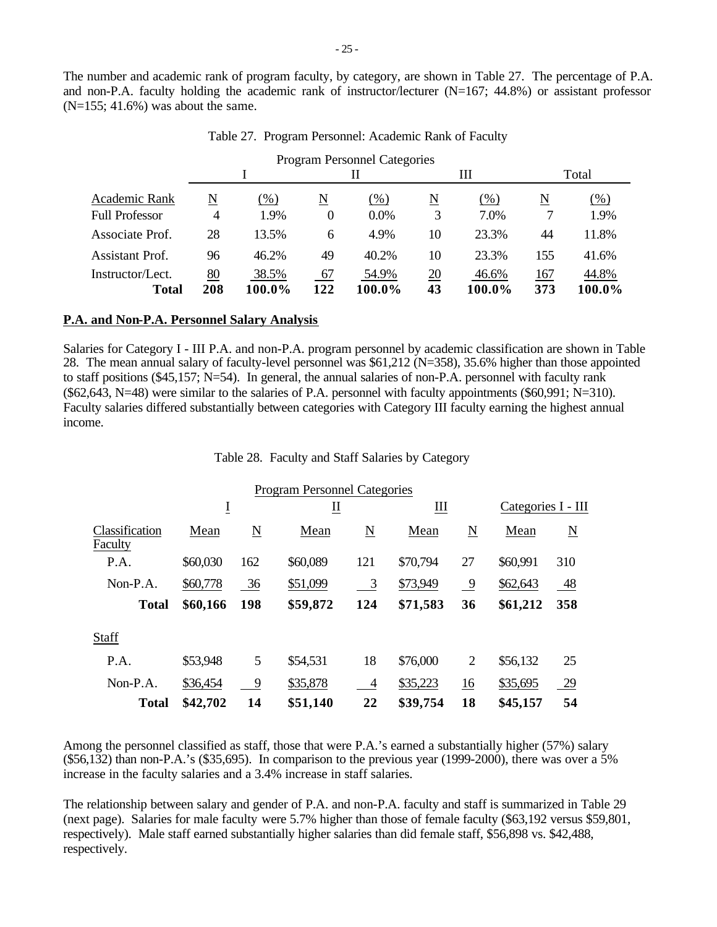The number and academic rank of program faculty, by category, are shown in Table 27. The percentage of P.A. and non-P.A. faculty holding the academic rank of instructor/lecturer (N=167; 44.8%) or assistant professor  $(N=155; 41.6%)$  was about the same.

|                           | <b>Program Personnel Categories</b> |                 |                  |                 |          |                 |            |                 |  |  |  |  |  |
|---------------------------|-------------------------------------|-----------------|------------------|-----------------|----------|-----------------|------------|-----------------|--|--|--|--|--|
|                           |                                     |                 | Н                |                 |          | Ш               | Total      |                 |  |  |  |  |  |
| Academic Rank             | N                                   | $(\% )$         | N                | $(\%)$          | N        | (% )            | N          | (% )            |  |  |  |  |  |
| <b>Full Professor</b>     | 4                                   | 1.9%            | 0                | 0.0%            | 3        | 7.0%            |            | 1.9%            |  |  |  |  |  |
| Associate Prof.           | 28                                  | 13.5%           | 6                | 4.9%            | 10       | 23.3%           | 44         | 11.8%           |  |  |  |  |  |
| Assistant Prof.           | 96                                  | 46.2%           | 49               | 40.2%           | 10       | 23.3%           | 155        | 41.6%           |  |  |  |  |  |
| Instructor/Lect.<br>Total | 80<br>208                           | 38.5%<br>100.0% | <u>67</u><br>122 | 54.9%<br>100.0% | 20<br>43 | 46.6%<br>100.0% | 167<br>373 | 44.8%<br>100.0% |  |  |  |  |  |

Table 27. Program Personnel: Academic Rank of Faculty

#### **P.A. and Non-P.A. Personnel Salary Analysis**

Salaries for Category I - III P.A. and non-P.A. program personnel by academic classification are shown in Table 28. The mean annual salary of faculty-level personnel was \$61,212 (N=358), 35.6% higher than those appointed to staff positions (\$45,157; N=54). In general, the annual salaries of non-P.A. personnel with faculty rank (\$62,643, N=48) were similar to the salaries of P.A. personnel with faculty appointments (\$60,991; N=310). Faculty salaries differed substantially between categories with Category III faculty earning the highest annual income.

Table 28. Faculty and Staff Salaries by Category

|                           |          |     | <b>Program Personnel Categories</b> |                          |          |             |                    |           |  |
|---------------------------|----------|-----|-------------------------------------|--------------------------|----------|-------------|--------------------|-----------|--|
|                           | Ī        | Ш   |                                     | Ш                        |          |             | Categories I - III |           |  |
| Classification<br>Faculty | Mean     | N   | Mean                                | $\underline{\mathbf{N}}$ | Mean     | $\mathbf N$ | Mean               | N         |  |
| P.A.                      | \$60,030 | 162 | \$60,089                            | 121                      | \$70,794 | 27          | \$60,991           | 310       |  |
| $Non-P.A.$                | \$60,778 | 36  | \$51,099                            | $\frac{3}{2}$            | \$73,949 | 9           | \$62,643           | <u>48</u> |  |
| <b>Total</b>              | \$60,166 | 198 | \$59,872                            | 124                      | \$71,583 | 36          | \$61,212           | 358       |  |
| Staff                     |          |     |                                     |                          |          |             |                    |           |  |
| P.A.                      | \$53,948 | 5   | \$54,531                            | 18                       | \$76,000 | 2           | \$56,132           | 25        |  |
| $Non-P.A.$                | \$36,454 | 9   | \$35,878                            | $\overline{4}$           | \$35,223 | 16          | \$35,695           | 29        |  |
| <b>Total</b>              | \$42,702 | 14  | \$51,140                            | 22                       | \$39,754 | 18          | \$45,157           | 54        |  |

Among the personnel classified as staff, those that were P.A.'s earned a substantially higher (57%) salary  $($56,132)$  than non-P.A.'s  $($35,695)$ . In comparison to the previous year (1999-2000), there was over a 5% increase in the faculty salaries and a 3.4% increase in staff salaries.

The relationship between salary and gender of P.A. and non-P.A. faculty and staff is summarized in Table 29 (next page). Salaries for male faculty were 5.7% higher than those of female faculty (\$63,192 versus \$59,801, respectively). Male staff earned substantially higher salaries than did female staff, \$56,898 vs. \$42,488, respectively.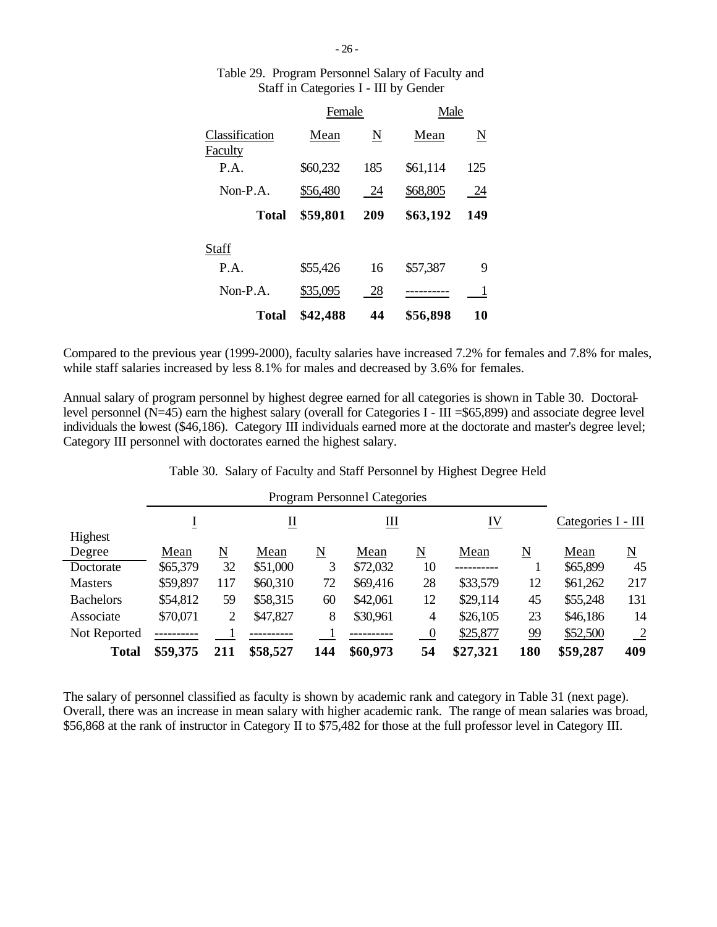|                           | Female   |     | Male     |     |  |
|---------------------------|----------|-----|----------|-----|--|
| Classification<br>Faculty | Mean     | N   | Mean     | N   |  |
| P.A.                      | \$60,232 | 185 | \$61,114 | 125 |  |
| $Non-P.A.$                | \$56,480 | 24  | \$68,805 | 24  |  |
| Total                     | \$59,801 | 209 | \$63,192 | 149 |  |
| Staff                     |          |     |          |     |  |
| P.A.                      | \$55,426 | 16  | \$57,387 | 9   |  |
| $Non-P.A$ .               | \$35,095 | 28  |          | 1   |  |
| Total                     | \$42,488 | 44  | \$56,898 | 10  |  |

# Table 29. Program Personnel Salary of Faculty and Staff in Categories I - III by Gender

Compared to the previous year (1999-2000), faculty salaries have increased 7.2% for females and 7.8% for males, while staff salaries increased by less 8.1% for males and decreased by 3.6% for females.

Annual salary of program personnel by highest degree earned for all categories is shown in Table 30. Doctorallevel personnel ( $N=45$ ) earn the highest salary (overall for Categories I - III = \$65,899) and associate degree level individuals the lowest (\$46,186). Category III individuals earned more at the doctorate and master's degree level; Category III personnel with doctorates earned the highest salary.

| Table 30. Salary of Faculty and Staff Personnel by Highest Degree Held |  |  |  |  |  |
|------------------------------------------------------------------------|--|--|--|--|--|
|                                                                        |  |  |  |  |  |

|                  |                  | <b>Program Personnel Categories</b> |          |                        |          |                |          |                     |          |                     |  |  |  |  |
|------------------|------------------|-------------------------------------|----------|------------------------|----------|----------------|----------|---------------------|----------|---------------------|--|--|--|--|
|                  | $\overline{\Pi}$ |                                     |          | Ш                      |          | IV             |          | Categories I - III  |          |                     |  |  |  |  |
| Highest          |                  |                                     |          |                        |          |                |          |                     |          |                     |  |  |  |  |
| Degree           | Mean             | $\underline{\text{N}}$              | Mean     | $\underline{\text{N}}$ | Mean     | N              | Mean     | $\underline{\rm N}$ | Mean     | $\underline{\rm N}$ |  |  |  |  |
| Doctorate        | \$65,379         | 32                                  | \$51,000 | 3                      | \$72,032 | 10             |          |                     | \$65,899 | 45                  |  |  |  |  |
| <b>Masters</b>   | \$59,897         | 117                                 | \$60,310 | 72                     | \$69,416 | 28             | \$33,579 | 12                  | \$61,262 | 217                 |  |  |  |  |
| <b>Bachelors</b> | \$54,812         | 59                                  | \$58,315 | 60                     | \$42,061 | 12             | \$29,114 | 45                  | \$55,248 | 131                 |  |  |  |  |
| Associate        | \$70,071         | 2                                   | \$47,827 | 8                      | \$30,961 | 4              | \$26,105 | 23                  | \$46,186 | 14                  |  |  |  |  |
| Not Reported     |                  |                                     |          |                        |          | $\overline{0}$ | \$25,877 | 99                  | \$52,500 | $\frac{2}{2}$       |  |  |  |  |
| <b>Total</b>     | \$59,375         | 211                                 | \$58,527 | 144                    | \$60,973 | 54             | \$27,321 | 180                 | \$59,287 | 409                 |  |  |  |  |

The salary of personnel classified as faculty is shown by academic rank and category in Table 31 (next page). Overall, there was an increase in mean salary with higher academic rank. The range of mean salaries was broad, \$56,868 at the rank of instructor in Category II to \$75,482 for those at the full professor level in Category III.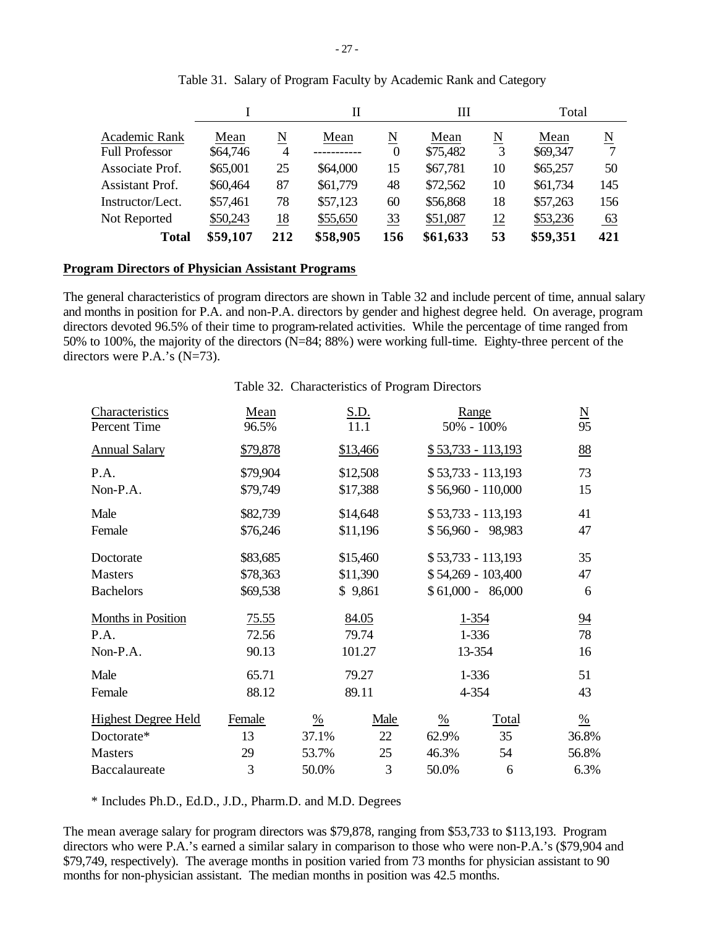|                                        |                  |        | Н        |               |                  | Ш      |                  | Total     |
|----------------------------------------|------------------|--------|----------|---------------|------------------|--------|------------------|-----------|
| Academic Rank<br><b>Full Professor</b> | Mean<br>\$64,746 | N<br>4 | Mean     | N<br>$\theta$ | Mean<br>\$75,482 | N<br>3 | Mean<br>\$69,347 | N         |
| Associate Prof.                        | \$65,001         | 25     | \$64,000 | 15            | \$67,781         | 10     | \$65,257         | 50        |
| <b>Assistant Prof.</b>                 | \$60,464         | 87     | \$61,779 | 48            | \$72,562         | 10     | \$61,734         | 145       |
| Instructor/Lect.                       | \$57,461         | 78     | \$57,123 | 60            | \$56,868         | 18     | \$57,263         | 156       |
| Not Reported                           | \$50,243         | 18     | \$55,650 | 33            | \$51,087         | 12     | \$53,236         | <u>63</u> |
| <b>Total</b>                           | \$59,107         | 212    | \$58,905 | 156           | \$61,633         | 53     | \$59,351         | 421       |

|  |  | Table 31. Salary of Program Faculty by Academic Rank and Category |  |
|--|--|-------------------------------------------------------------------|--|
|  |  |                                                                   |  |

### **Program Directors of Physician Assistant Programs**

The general characteristics of program directors are shown in Table 32 and include percent of time, annual salary and months in position for P.A. and non-P.A. directors by gender and highest degree held. On average, program directors devoted 96.5% of their time to program-related activities. While the percentage of time ranged from 50% to 100%, the majority of the directors (N=84; 88%) were working full-time. Eighty-three percent of the directors were P.A.'s (N=73).

### Table 32. Characteristics of Program Directors

| Characteristics<br>Percent Time | Mean<br>96.5% |               | S.D.<br>11.1 | Range<br>50% - 100% |                    | $\frac{N}{95}$   |
|---------------------------------|---------------|---------------|--------------|---------------------|--------------------|------------------|
| <b>Annual Salary</b>            | \$79,878      |               | \$13,466     | $$53,733 - 113,193$ |                    | 88               |
| P.A.                            | \$79,904      |               | \$12,508     | $$53,733 - 113,193$ |                    | 73               |
| Non-P.A.                        | \$79,749      |               | \$17,388     | \$56,960 - 110,000  |                    | 15               |
| Male                            | \$82,739      |               | \$14,648     | $$53,733 - 113,193$ |                    | 41               |
| Female                          | \$76,246      |               | \$11,196     | $$56,960 - 98,983$  |                    | 47               |
| Doctorate                       | \$83,685      |               | \$15,460     | $$53,733 - 113,193$ |                    | 35               |
| <b>Masters</b>                  | \$78,363      | \$11,390      |              | $$54,269 - 103,400$ |                    | 47               |
| <b>Bachelors</b>                | \$69,538      |               | \$9,861      |                     | $$61,000 - 86,000$ | 6                |
| Months in Position              | 75.55         |               | 84.05        | 1-354               |                    | $\underline{94}$ |
| P.A.                            | 72.56         |               | 79.74        |                     | $1 - 336$          | 78               |
| Non-P.A.                        | 90.13         |               | 101.27       |                     | 13-354             | 16               |
| Male                            | 65.71         |               | 79.27        |                     | 1-336              | 51               |
| Female                          | 88.12         |               | 89.11        | 4-354               |                    | 43               |
| <b>Highest Degree Held</b>      | Female        | $\frac{0}{6}$ | Male         | $\frac{0}{6}$       | <b>Total</b>       | $\frac{\%}{\%}$  |
| Doctorate*                      | 13            | 37.1%         | 22           | 62.9%               | 35                 | 36.8%            |
| <b>Masters</b>                  | 29            | 53.7%         | 25           | 46.3%               | 54                 | 56.8%            |
| Baccalaureate                   | 3             | 50.0%         | 3            | 50.0%               | 6                  | 6.3%             |

\* Includes Ph.D., Ed.D., J.D., Pharm.D. and M.D. Degrees

The mean average salary for program directors was \$79,878, ranging from \$53,733 to \$113,193. Program directors who were P.A.'s earned a similar salary in comparison to those who were non-P.A.'s (\$79,904 and \$79,749, respectively). The average months in position varied from 73 months for physician assistant to 90 months for non-physician assistant. The median months in position was 42.5 months.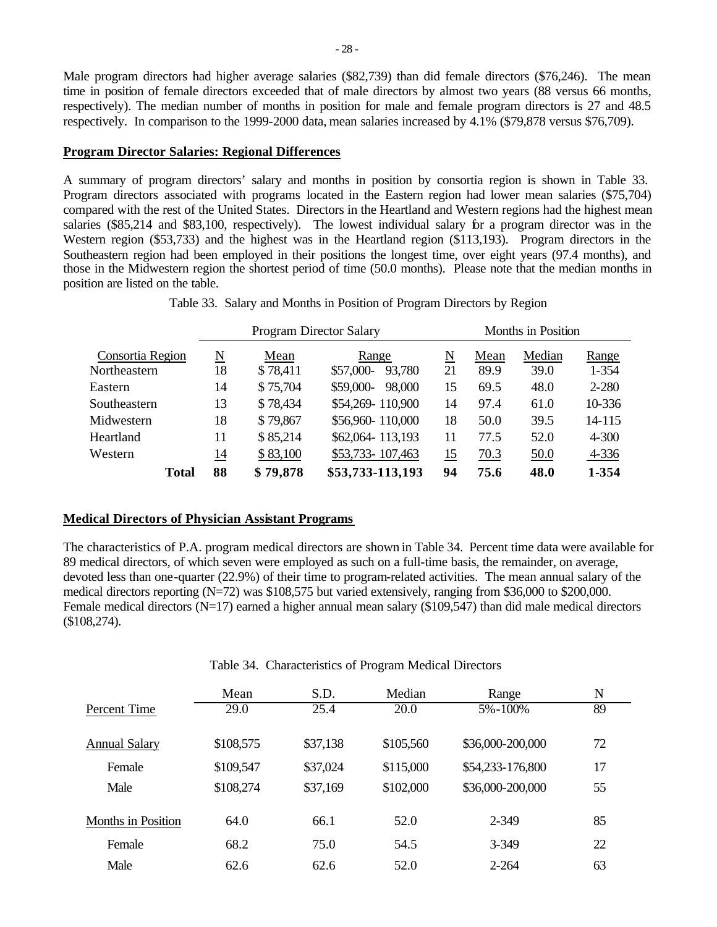Male program directors had higher average salaries (\$82,739) than did female directors (\$76,246). The mean time in position of female directors exceeded that of male directors by almost two years (88 versus 66 months, respectively). The median number of months in position for male and female program directors is 27 and 48.5 respectively. In comparison to the 1999-2000 data, mean salaries increased by 4.1% (\$79,878 versus \$76,709).

### **Program Director Salaries: Regional Differences**

A summary of program directors' salary and months in position by consortia region is shown in Table 33. Program directors associated with programs located in the Eastern region had lower mean salaries (\$75,704) compared with the rest of the United States. Directors in the Heartland and Western regions had the highest mean salaries (\$85,214 and \$83,100, respectively). The lowest individual salary for a program director was in the Western region (\$53,733) and the highest was in the Heartland region (\$113,193). Program directors in the Southeastern region had been employed in their positions the longest time, over eight years (97.4 months), and those in the Midwestern region the shortest period of time (50.0 months). Please note that the median months in position are listed on the table.

|                  |              |                             |          | <b>Program Director Salary</b> | Months in Position |      |        |           |  |
|------------------|--------------|-----------------------------|----------|--------------------------------|--------------------|------|--------|-----------|--|
| Consortia Region |              | $\underline{\underline{N}}$ | Mean     | Range                          | N                  | Mean | Median | Range     |  |
| Northeastern     |              | 18                          | \$78,411 | \$57,000-<br>93,780            | 21                 | 89.9 | 39.0   | $1 - 354$ |  |
| Eastern          |              | 14                          | \$75,704 | \$59,000-<br>98,000            | 15                 | 69.5 | 48.0   | $2 - 280$ |  |
| Southeastern     |              | 13                          | \$78,434 | \$54,269-110,900               | 14                 | 97.4 | 61.0   | 10-336    |  |
| Midwestern       |              | 18                          | \$79,867 | \$56,960-110,000               | 18                 | 50.0 | 39.5   | 14-115    |  |
| Heartland        |              | 11                          | \$85,214 | \$62,064-113,193               | 11                 | 77.5 | 52.0   | $4 - 300$ |  |
| Western          |              | $\overline{14}$             | \$83,100 | \$53,733-107,463               | 15                 | 70.3 | 50.0   | 4-336     |  |
|                  | <b>Total</b> | 88                          | \$79,878 | \$53,733-113,193               | 94                 | 75.6 | 48.0   | 1-354     |  |

Table 33. Salary and Months in Position of Program Directors by Region

#### **Medical Directors of Physician Assistant Programs**

The characteristics of P.A. program medical directors are shown in Table 34. Percent time data were available for 89 medical directors, of which seven were employed as such on a full-time basis, the remainder, on average, devoted less than one-quarter (22.9%) of their time to program-related activities. The mean annual salary of the medical directors reporting (N=72) was \$108,575 but varied extensively, ranging from \$36,000 to \$200,000. Female medical directors (N=17) earned a higher annual mean salary (\$109,547) than did male medical directors (\$108,274).

|                      | Mean      | S.D.     | Median    | Range            | N  |
|----------------------|-----------|----------|-----------|------------------|----|
| Percent Time         | 29.0      | 25.4     | 20.0      | 5%-100%          | 89 |
| <b>Annual Salary</b> | \$108,575 | \$37,138 | \$105,560 | \$36,000-200,000 | 72 |
| Female               | \$109,547 | \$37,024 | \$115,000 | \$54,233-176,800 | 17 |
| Male                 | \$108,274 | \$37,169 | \$102,000 | \$36,000-200,000 | 55 |
| Months in Position   | 64.0      | 66.1     | 52.0      | 2-349            | 85 |
| Female               | 68.2      | 75.0     | 54.5      | 3-349            | 22 |
| Male                 | 62.6      | 62.6     | 52.0      | $2 - 264$        | 63 |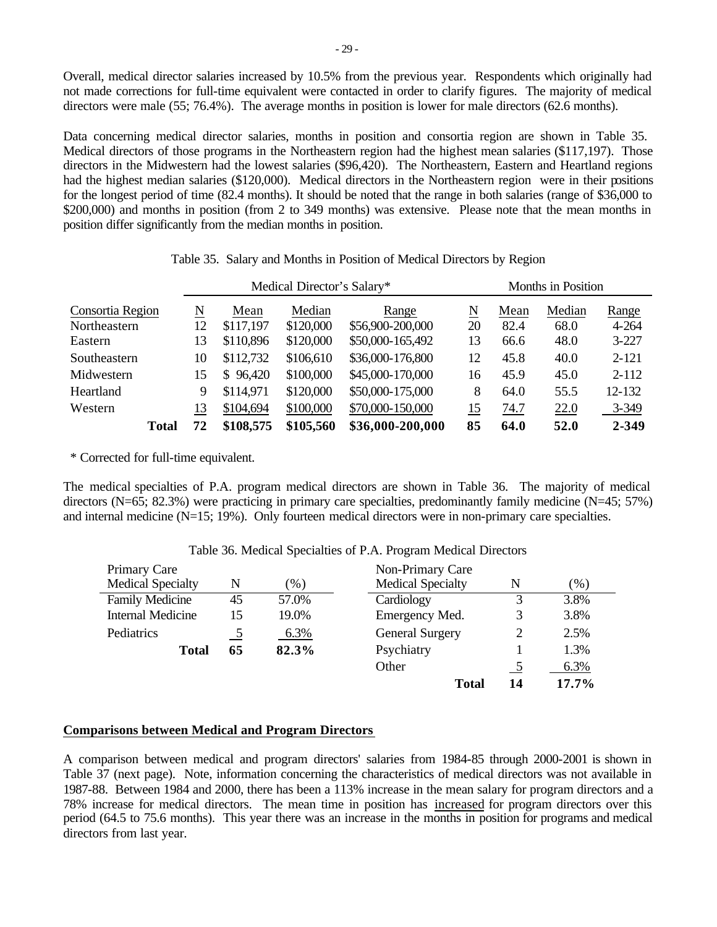Overall, medical director salaries increased by 10.5% from the previous year. Respondents which originally had not made corrections for full-time equivalent were contacted in order to clarify figures. The majority of medical directors were male (55; 76.4%). The average months in position is lower for male directors (62.6 months).

Data concerning medical director salaries, months in position and consortia region are shown in Table 35. Medical directors of those programs in the Northeastern region had the highest mean salaries (\$117,197). Those directors in the Midwestern had the lowest salaries (\$96,420). The Northeastern, Eastern and Heartland regions had the highest median salaries (\$120,000). Medical directors in the Northeastern region were in their positions for the longest period of time (82.4 months). It should be noted that the range in both salaries (range of \$36,000 to \$200,000) and months in position (from 2 to 349 months) was extensive. Please note that the mean months in position differ significantly from the median months in position.

|                  | Medical Director's Salary* |      |              |           | Months in Position |      |        |       |           |
|------------------|----------------------------|------|--------------|-----------|--------------------|------|--------|-------|-----------|
| Consortia Region | N                          | Mean | Median       | Range     | N                  | Mean | Median | Range |           |
| Northeastern     |                            | 12   | \$117,197    | \$120,000 | \$56,900-200,000   | 20   | 82.4   | 68.0  | 4-264     |
| Eastern          |                            | 13   | \$110,896    | \$120,000 | \$50,000-165,492   | 13   | 66.6   | 48.0  | $3 - 227$ |
| Southeastern     |                            | 10   | \$112,732    | \$106,610 | \$36,000-176,800   | 12   | 45.8   | 40.0  | $2 - 121$ |
| Midwestern       |                            | 15   | 96,420<br>S. | \$100,000 | \$45,000-170,000   | 16   | 45.9   | 45.0  | $2 - 112$ |
| Heartland        |                            | 9    | \$114,971    | \$120,000 | \$50,000-175,000   | 8    | 64.0   | 55.5  | 12-132    |
| Western          |                            | 13   | \$104,694    | \$100,000 | \$70,000-150,000   | 15   | 74.7   | 22.0  | 3-349     |
|                  | <b>Total</b>               | 72   | \$108,575    | \$105,560 | \$36,000-200,000   | 85   | 64.0   | 52.0  | 2-349     |

Table 35. Salary and Months in Position of Medical Directors by Region

\* Corrected for full-time equivalent.

The medical specialties of P.A. program medical directors are shown in Table 36. The majority of medical directors (N=65; 82.3%) were practicing in primary care specialties, predominantly family medicine (N=45; 57%) and internal medicine (N=15; 19%). Only fourteen medical directors were in non-primary care specialties.

| Primary Care             |                |        | Non-Primary Care         |                          |        |
|--------------------------|----------------|--------|--------------------------|--------------------------|--------|
| <b>Medical Specialty</b> | N              | $(\%)$ | <b>Medical Specialty</b> | N                        | $(\%)$ |
| <b>Family Medicine</b>   | 45             | 57.0%  | Cardiology               | 3                        | 3.8%   |
| <b>Internal Medicine</b> | 15             | 19.0%  | Emergency Med.           | 3                        | 3.8%   |
| Pediatrics               | $\overline{2}$ | 6.3%   | <b>General Surgery</b>   | 2                        | 2.5%   |
| <b>Total</b>             | 65             | 82.3%  | Psychiatry               |                          | 1.3%   |
|                          |                |        | Other                    | $\overline{\phantom{a}}$ | 6.3%   |
|                          |                |        | <b>Total</b>             | 14                       | 17.7%  |

## Table 36. Medical Specialties of P.A. Program Medical Directors

## **Comparisons between Medical and Program Directors**

A comparison between medical and program directors' salaries from 1984-85 through 2000-2001 is shown in Table 37 (next page). Note, information concerning the characteristics of medical directors was not available in 1987-88. Between 1984 and 2000, there has been a 113% increase in the mean salary for program directors and a 78% increase for medical directors. The mean time in position has increased for program directors over this period (64.5 to 75.6 months). This year there was an increase in the months in position for programs and medical directors from last year.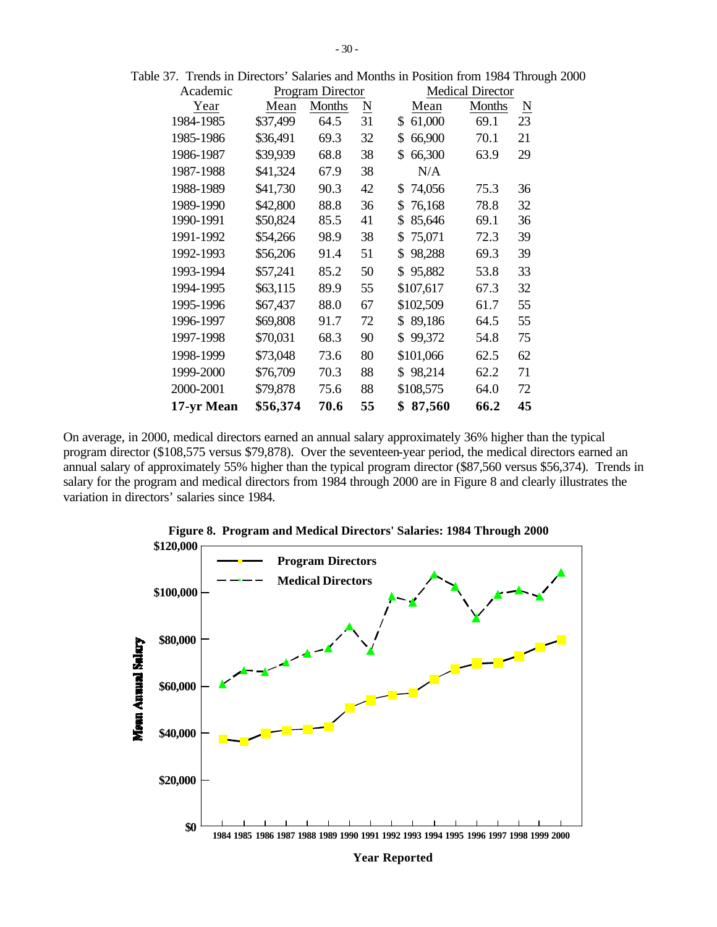| Academic   | Program Director |               |                     | <b>Medical Director</b> |        |          |  |
|------------|------------------|---------------|---------------------|-------------------------|--------|----------|--|
| Year       | Mean             | <b>Months</b> | $\underline{\rm N}$ | Mean                    | Months | <u>N</u> |  |
| 1984-1985  | \$37,499         | 64.5          | 31                  | 61,000<br>\$            | 69.1   | 23       |  |
| 1985-1986  | \$36,491         | 69.3          | 32                  | \$<br>66,900            | 70.1   | 21       |  |
| 1986-1987  | \$39,939         | 68.8          | 38                  | \$<br>66,300            | 63.9   | 29       |  |
| 1987-1988  | \$41,324         | 67.9          | 38                  | N/A                     |        |          |  |
| 1988-1989  | \$41,730         | 90.3          | 42                  | 74,056<br>\$            | 75.3   | 36       |  |
| 1989-1990  | \$42,800         | 88.8          | 36                  | 76,168<br>\$            | 78.8   | 32       |  |
| 1990-1991  | \$50,824         | 85.5          | 41                  | \$<br>85,646            | 69.1   | 36       |  |
| 1991-1992  | \$54,266         | 98.9          | 38                  | 75,071<br>\$            | 72.3   | 39       |  |
| 1992-1993  | \$56,206         | 91.4          | 51                  | 98,288<br>\$            | 69.3   | 39       |  |
| 1993-1994  | \$57,241         | 85.2          | 50                  | 95,882<br>\$            | 53.8   | 33       |  |
| 1994-1995  | \$63,115         | 89.9          | 55                  | \$107,617               | 67.3   | 32       |  |
| 1995-1996  | \$67,437         | 88.0          | 67                  | \$102,509               | 61.7   | 55       |  |
| 1996-1997  | \$69,808         | 91.7          | 72                  | 89,186<br>\$            | 64.5   | 55       |  |
| 1997-1998  | \$70,031         | 68.3          | 90                  | \$<br>99,372            | 54.8   | 75       |  |
| 1998-1999  | \$73,048         | 73.6          | 80                  | \$101,066               | 62.5   | 62       |  |
| 1999-2000  | \$76,709         | 70.3          | 88                  | 98,214<br>\$            | 62.2   | 71       |  |
| 2000-2001  | \$79,878         | 75.6          | 88                  | \$108,575               | 64.0   | 72       |  |
| 17-yr Mean | \$56,374         | 70.6          | 55                  | 87,560<br>\$            | 66.2   | 45       |  |

Table 37. Trends in Directors' Salaries and Months in Position from 1984 Through 2000

On average, in 2000, medical directors earned an annual salary approximately 36% higher than the typical program director (\$108,575 versus \$79,878). Over the seventeen-year period, the medical directors earned an annual salary of approximately 55% higher than the typical program director (\$87,560 versus \$56,374). Trends in salary for the program and medical directors from 1984 through 2000 are in Figure 8 and clearly illustrates the variation in directors' salaries since 1984.



**Figure 8. Program and Medical Directors' Salaries: 1984 Through 2000**

**Year Reported**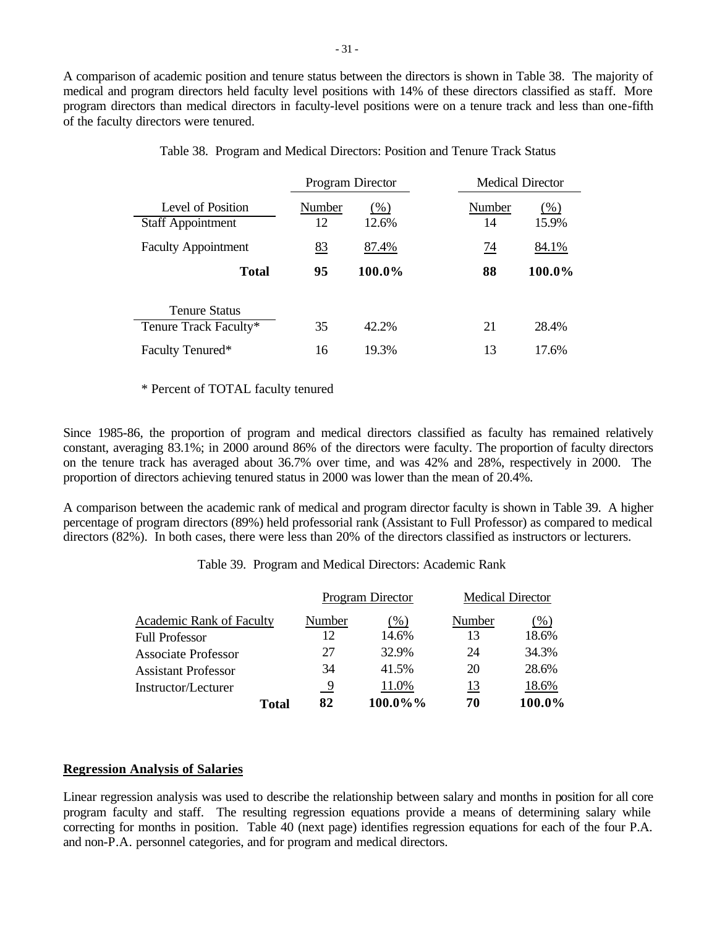A comparison of academic position and tenure status between the directors is shown in Table 38. The majority of medical and program directors held faculty level positions with 14% of these directors classified as staff. More program directors than medical directors in faculty-level positions were on a tenure track and less than one-fifth of the faculty directors were tenured.

|                                               |              | Program Director | <b>Medical Director</b> |                 |
|-----------------------------------------------|--------------|------------------|-------------------------|-----------------|
| Level of Position<br><b>Staff Appointment</b> | Number<br>12 | $(\%)$<br>12.6%  | Number<br>14            | $(\%)$<br>15.9% |
| <b>Faculty Appointment</b>                    | 83           | 87.4%            | 74                      | 84.1%           |
| <b>Total</b>                                  | 95           | 100.0%           | 88                      | 100.0%          |
| <b>Tenure Status</b>                          |              |                  |                         |                 |
| Tenure Track Faculty*                         | 35           | 42.2%            | 21                      | 28.4%           |
| Faculty Tenured*                              | 16           | 19.3%            | 13                      | 17.6%           |

### Table 38. Program and Medical Directors: Position and Tenure Track Status

### \* Percent of TOTAL faculty tenured

Since 1985-86, the proportion of program and medical directors classified as faculty has remained relatively constant, averaging 83.1%; in 2000 around 86% of the directors were faculty. The proportion of faculty directors on the tenure track has averaged about 36.7% over time, and was 42% and 28%, respectively in 2000. The proportion of directors achieving tenured status in 2000 was lower than the mean of 20.4%.

A comparison between the academic rank of medical and program director faculty is shown in Table 39. A higher percentage of program directors (89%) held professorial rank (Assistant to Full Professor) as compared to medical directors (82%). In both cases, there were less than 20% of the directors classified as instructors or lecturers.

Table 39. Program and Medical Directors: Academic Rank

|                                 |        | Program Director | <b>Medical Director</b> |        |  |
|---------------------------------|--------|------------------|-------------------------|--------|--|
| <b>Academic Rank of Faculty</b> | Number | $(\%)$           | Number                  | (% )   |  |
| <b>Full Professor</b>           | 12     | 14.6%            | 13                      | 18.6%  |  |
| <b>Associate Professor</b>      | 27     | 32.9%            | 24                      | 34.3%  |  |
| Assistant Professor             | 34     | 41.5%            | 20                      | 28.6%  |  |
| Instructor/Lecturer             | 9      | 11.0%            | 13                      | 18.6%  |  |
| Total                           | 82     | 100.0%%          | 70                      | 100.0% |  |

## **Regression Analysis of Salaries**

Linear regression analysis was used to describe the relationship between salary and months in position for all core program faculty and staff. The resulting regression equations provide a means of determining salary while correcting for months in position. Table 40 (next page) identifies regression equations for each of the four P.A. and non-P.A. personnel categories, and for program and medical directors.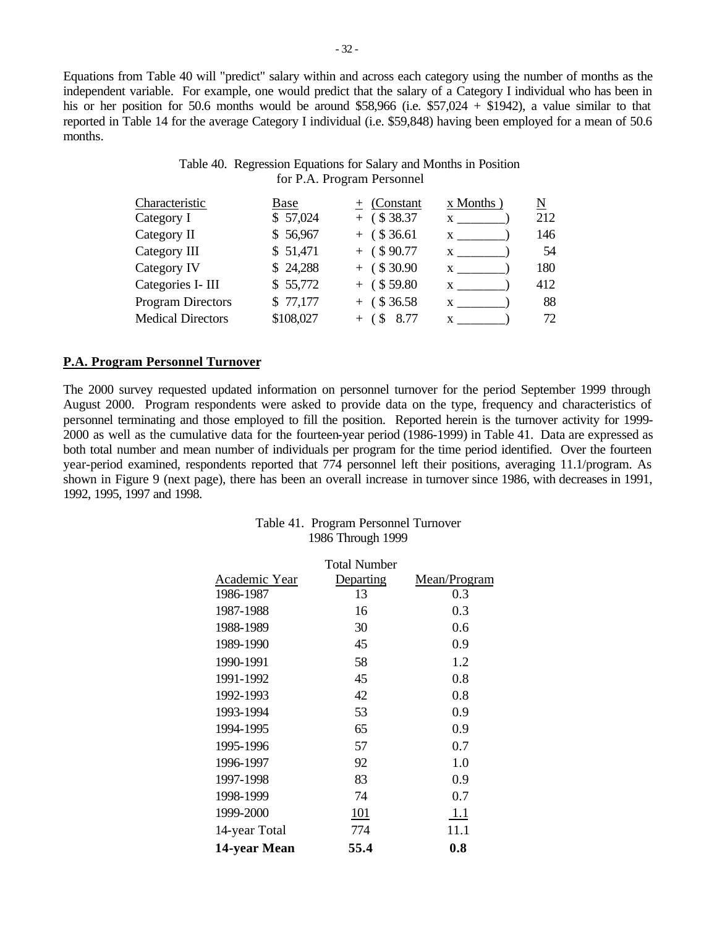Equations from Table 40 will "predict" salary within and across each category using the number of months as the independent variable. For example, one would predict that the salary of a Category I individual who has been in his or her position for 50.6 months would be around \$58,966 (i.e. \$57,024 + \$1942), a value similar to that reported in Table 14 for the average Category I individual (i.e. \$59,848) having been employed for a mean of 50.6 months.

# Table 40. Regression Equations for Salary and Months in Position for P.A. Program Personnel

| Characteristic           | Base      | $+$ (Constant    | x Months | N   |
|--------------------------|-----------|------------------|----------|-----|
| Category I               | \$57,024  | $+$ (\$38.37)    | X        | 212 |
| Category II              | \$56,967  | $+$ (\$36.61)    | X.       | 146 |
| Category III             | \$51,471  | $+$ (\$90.77)    | X        | 54  |
| Category IV              | \$24,288  | $+$ (\$30.90     | X        | 180 |
| Categories I- III        | \$55,772  | $+$ (\$59.80)    | X        | 412 |
| <b>Program Directors</b> | \$77,177  | $+$ (\$36.58)    | X        | 88  |
| <b>Medical Directors</b> | \$108,027 | 8.77<br>$+$ (\$) | X        | 72  |
|                          |           |                  |          |     |

## **P.A. Program Personnel Turnover**

The 2000 survey requested updated information on personnel turnover for the period September 1999 through August 2000. Program respondents were asked to provide data on the type, frequency and characteristics of personnel terminating and those employed to fill the position. Reported herein is the turnover activity for 1999- 2000 as well as the cumulative data for the fourteen-year period (1986-1999) in Table 41. Data are expressed as both total number and mean number of individuals per program for the time period identified. Over the fourteen year-period examined, respondents reported that 774 personnel left their positions, averaging 11.1/program. As shown in Figure 9 (next page), there has been an overall increase in turnover since 1986, with decreases in 1991, 1992, 1995, 1997 and 1998.

| Table 41. Program Personnel Turnover |
|--------------------------------------|
| 1986 Through 1999                    |

|               | <b>Total Number</b> |              |
|---------------|---------------------|--------------|
| Academic Year | Departing           | Mean/Program |
| 1986-1987     | 13                  | 0.3          |
| 1987-1988     | 16                  | 0.3          |
| 1988-1989     | 30                  | 0.6          |
| 1989-1990     | 45                  | 0.9          |
| 1990-1991     | 58                  | 1.2          |
| 1991-1992     | 45                  | 0.8          |
| 1992-1993     | 42                  | 0.8          |
| 1993-1994     | 53                  | 0.9          |
| 1994-1995     | 65                  | 0.9          |
| 1995-1996     | 57                  | 0.7          |
| 1996-1997     | 92                  | 1.0          |
| 1997-1998     | 83                  | 0.9          |
| 1998-1999     | 74                  | 0.7          |
| 1999-2000     | 101                 | 1.1          |
| 14-year Total | 774                 | 11.1         |
| 14-year Mean  | 55.4                | 0.8          |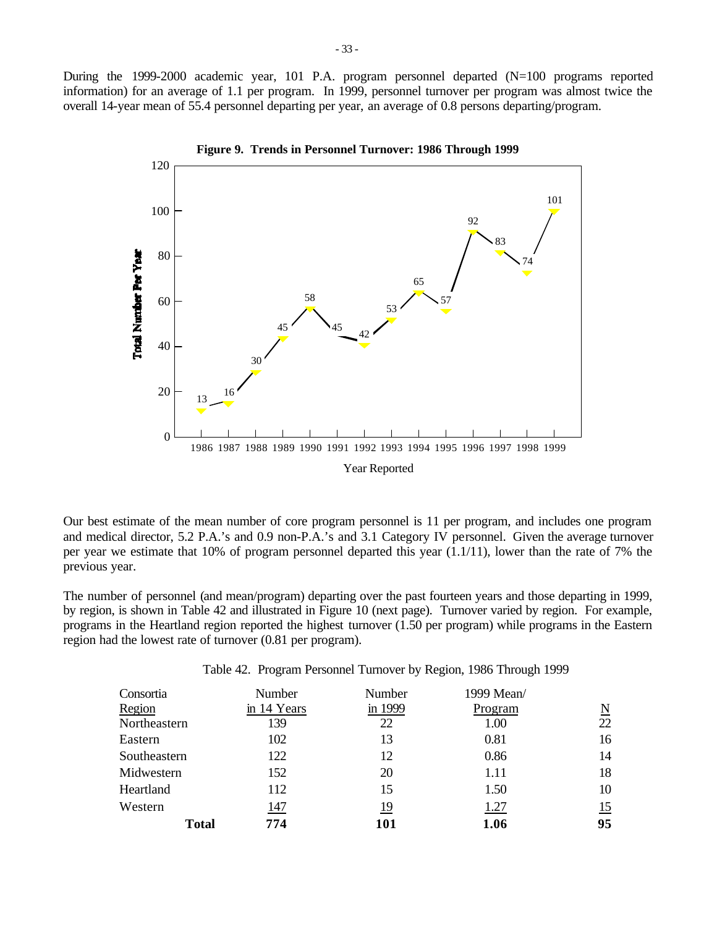During the 1999-2000 academic year, 101 P.A. program personnel departed (N=100 programs reported information) for an average of 1.1 per program. In 1999, personnel turnover per program was almost twice the overall 14-year mean of 55.4 personnel departing per year, an average of 0.8 persons departing/program.



Our best estimate of the mean number of core program personnel is 11 per program, and includes one program and medical director, 5.2 P.A.'s and 0.9 non-P.A.'s and 3.1 Category IV personnel. Given the average turnover per year we estimate that 10% of program personnel departed this year (1.1/11), lower than the rate of 7% the previous year.

The number of personnel (and mean/program) departing over the past fourteen years and those departing in 1999, by region, is shown in Table 42 and illustrated in Figure 10 (next page). Turnover varied by region. For example, programs in the Heartland region reported the highest turnover (1.50 per program) while programs in the Eastern region had the lowest rate of turnover (0.81 per program).

| Table 42. Program Personnel Turnover by Region, 1986 Through 1999 |  |  |  |  |
|-------------------------------------------------------------------|--|--|--|--|
|                                                                   |  |  |  |  |

| Consortia    | Number      | Number     | 1999 Mean/ |                          |
|--------------|-------------|------------|------------|--------------------------|
| Region       | in 14 Years | in 1999    | Program    | $\underline{\mathbf{N}}$ |
| Northeastern | 139         | 22         | 1.00       | 22                       |
| Eastern      | 102         | 13         | 0.81       | 16                       |
| Southeastern | 122         | 12         | 0.86       | 14                       |
| Midwestern   | 152         | 20         | 1.11       | 18                       |
| Heartland    | 112         | 15         | 1.50       | 10                       |
| Western      | 147         | <u> 19</u> | 1.27       | 15                       |
| <b>Total</b> | 774         | 101        | 1.06       | 95                       |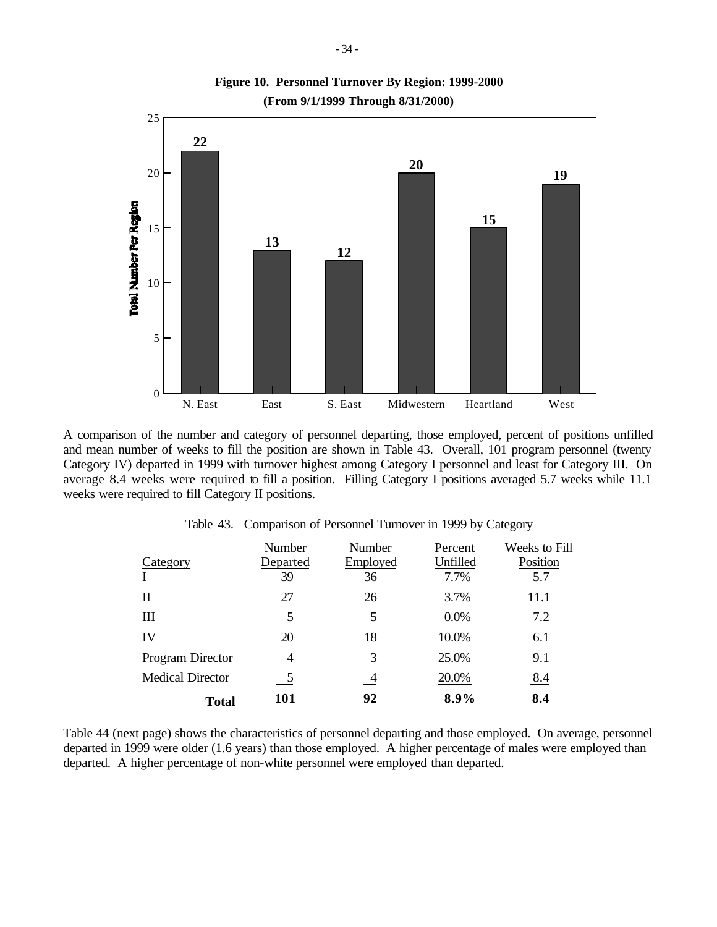

**(From 9/1/1999 Through 8/31/2000) Figure 10. Personnel Turnover By Region: 1999-2000**

A comparison of the number and category of personnel departing, those employed, percent of positions unfilled and mean number of weeks to fill the position are shown in Table 43. Overall, 101 program personnel (twenty Category IV) departed in 1999 with turnover highest among Category I personnel and least for Category III. On average 8.4 weeks were required to fill a position. Filling Category I positions averaged 5.7 weeks while 11.1 weeks were required to fill Category II positions.

| Category                | Number<br>Departed | Number<br>Employed | Percent<br>Unfilled | Weeks to Fill<br>Position |
|-------------------------|--------------------|--------------------|---------------------|---------------------------|
|                         | 39                 | 36                 | 7.7%                | 5.7                       |
| Н                       | 27                 | 26                 | 3.7%                | 11.1                      |
| Ш                       | 5                  | 5                  | 0.0%                | 7.2                       |
| IV                      | 20                 | 18                 | 10.0%               | 6.1                       |
| Program Director        | 4                  | 3                  | 25.0%               | 9.1                       |
| <b>Medical Director</b> | 5                  | $\overline{4}$     | 20.0%               | <u>8.4</u>                |
| Total                   | 101                | 92                 | 8.9%                | 8.4                       |

Table 43. Comparison of Personnel Turnover in 1999 by Category

Table 44 (next page) shows the characteristics of personnel departing and those employed. On average, personnel departed in 1999 were older (1.6 years) than those employed. A higher percentage of males were employed than departed. A higher percentage of non-white personnel were employed than departed.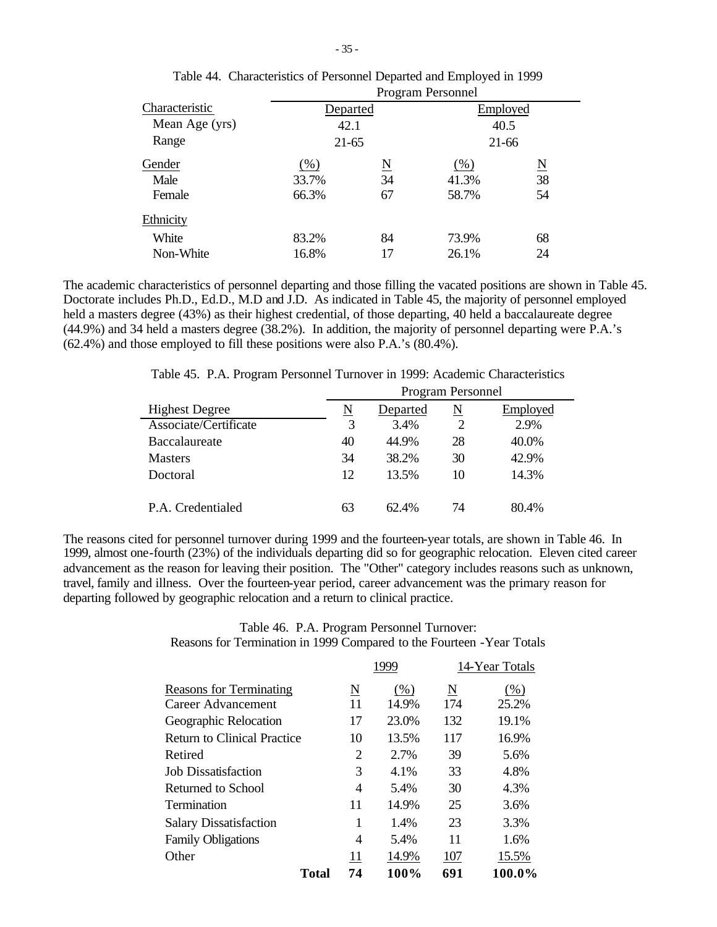|                | <b>Program Personnel</b> |                        |          |                     |  |
|----------------|--------------------------|------------------------|----------|---------------------|--|
| Characteristic | Departed                 |                        | Employed |                     |  |
| Mean Age (yrs) | 42.1                     |                        | 40.5     |                     |  |
| Range          | $21-65$                  |                        | 21-66    |                     |  |
| Gender         | (% )                     | $\underline{\text{N}}$ | $(\%)$   | $\underline{\rm N}$ |  |
| Male           | 33.7%                    | 34                     | 41.3%    | 38                  |  |
| Female         | 66.3%                    | 67                     | 58.7%    | 54                  |  |
| Ethnicity      |                          |                        |          |                     |  |
| White          | 83.2%                    | 84                     | 73.9%    | 68                  |  |
| Non-White      | 16.8%                    | 17                     | 26.1%    | 24                  |  |

| Table 44. Characteristics of Personnel Departed and Employed in 1999 |  |
|----------------------------------------------------------------------|--|
| Drogram Dorsonnal                                                    |  |

The academic characteristics of personnel departing and those filling the vacated positions are shown in Table 45. Doctorate includes Ph.D., Ed.D., M.D and J.D. As indicated in Table 45, the majority of personnel employed held a masters degree (43%) as their highest credential, of those departing, 40 held a baccalaureate degree (44.9%) and 34 held a masters degree (38.2%). In addition, the majority of personnel departing were P.A.'s (62.4%) and those employed to fill these positions were also P.A.'s (80.4%).

|                       | Program Personnel |          |               |          |  |
|-----------------------|-------------------|----------|---------------|----------|--|
| <b>Highest Degree</b> | N                 | Departed | N             | Employed |  |
| Associate/Certificate | 3                 | 3.4%     | $\mathcal{D}$ | 2.9%     |  |
| <b>Baccalaureate</b>  | 40                | 44.9%    | 28            | 40.0%    |  |
| <b>Masters</b>        | 34                | 38.2%    | 30            | 42.9%    |  |
| Doctoral              | 12                | 13.5%    | 10            | 14.3%    |  |
|                       |                   |          |               |          |  |
| P.A. Credentialed     | 63                | 62.4%    | 74            | 80.4%    |  |

Table 45. P.A. Program Personnel Turnover in 1999: Academic Characteristics

The reasons cited for personnel turnover during 1999 and the fourteen-year totals, are shown in Table 46. In 1999, almost one-fourth (23%) of the individuals departing did so for geographic relocation. Eleven cited career advancement as the reason for leaving their position. The "Other" category includes reasons such as unknown, travel, family and illness. Over the fourteen-year period, career advancement was the primary reason for departing followed by geographic relocation and a return to clinical practice.

# Table 46. P.A. Program Personnel Turnover: Reasons for Termination in 1999 Compared to the Fourteen -Year Totals

|                                    |          | 1999  |     | 14-Year Totals |
|------------------------------------|----------|-------|-----|----------------|
| <b>Reasons for Terminating</b>     | <u>N</u> | (%)   | N   | $(\%)$         |
| Career Advancement                 | 11       | 14.9% | 174 | 25.2%          |
| Geographic Relocation              | 17       | 23.0% | 132 | 19.1%          |
| <b>Return to Clinical Practice</b> | 10       | 13.5% | 117 | 16.9%          |
| Retired                            | 2        | 2.7%  | 39  | 5.6%           |
| <b>Job Dissatisfaction</b>         | 3        | 4.1%  | 33  | 4.8%           |
| Returned to School                 | 4        | 5.4%  | 30  | 4.3%           |
| Termination                        | 11       | 14.9% | 25  | 3.6%           |
| <b>Salary Dissatisfaction</b>      | 1        | 1.4%  | 23  | 3.3%           |
| <b>Family Obligations</b>          | 4        | 5.4%  | 11  | 1.6%           |
| Other                              | 11       | 14.9% | 107 | 15.5%          |
| Total                              | 74       | 100%  | 691 | 100.0%         |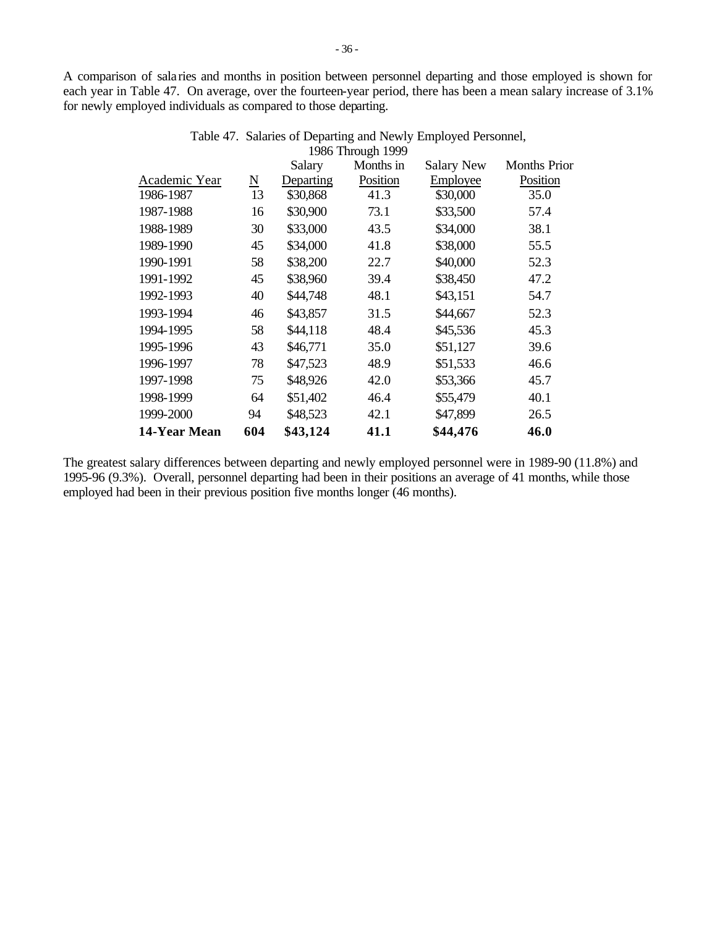A comparison of sala ries and months in position between personnel departing and those employed is shown for each year in Table 47. On average, over the fourteen-year period, there has been a mean salary increase of 3.1% for newly employed individuals as compared to those departing.

|               |                     | Salary    | 1980 THrough 1999<br>Months in | <b>Salary New</b> | <b>Months Prior</b> |
|---------------|---------------------|-----------|--------------------------------|-------------------|---------------------|
| Academic Year | $\underline{\rm N}$ | Departing | Position                       | Employee          | Position            |
| 1986-1987     | 13                  | \$30,868  | 41.3                           | \$30,000          | 35.0                |
| 1987-1988     | 16                  | \$30,900  | 73.1                           | \$33,500          | 57.4                |
| 1988-1989     | 30                  | \$33,000  | 43.5                           | \$34,000          | 38.1                |
| 1989-1990     | 45                  | \$34,000  | 41.8                           | \$38,000          | 55.5                |
| 1990-1991     | 58                  | \$38,200  | 22.7                           | \$40,000          | 52.3                |
| 1991-1992     | 45                  | \$38,960  | 39.4                           | \$38,450          | 47.2                |
| 1992-1993     | 40                  | \$44,748  | 48.1                           | \$43,151          | 54.7                |
| 1993-1994     | 46                  | \$43,857  | 31.5                           | \$44,667          | 52.3                |
| 1994-1995     | 58                  | \$44,118  | 48.4                           | \$45,536          | 45.3                |
| 1995-1996     | 43                  | \$46,771  | 35.0                           | \$51,127          | 39.6                |
| 1996-1997     | 78                  | \$47,523  | 48.9                           | \$51,533          | 46.6                |
| 1997-1998     | 75                  | \$48,926  | 42.0                           | \$53,366          | 45.7                |
| 1998-1999     | 64                  | \$51,402  | 46.4                           | \$55,479          | 40.1                |
| 1999-2000     | 94                  | \$48,523  | 42.1                           | \$47,899          | 26.5                |
| 14-Year Mean  | 604                 | \$43,124  | 41.1                           | \$44,476          | 46.0                |

| Table 47. Salaries of Departing and Newly Employed Personnel, |
|---------------------------------------------------------------|
| 1986 Through 1999                                             |

The greatest salary differences between departing and newly employed personnel were in 1989-90 (11.8%) and 1995-96 (9.3%). Overall, personnel departing had been in their positions an average of 41 months, while those employed had been in their previous position five months longer (46 months).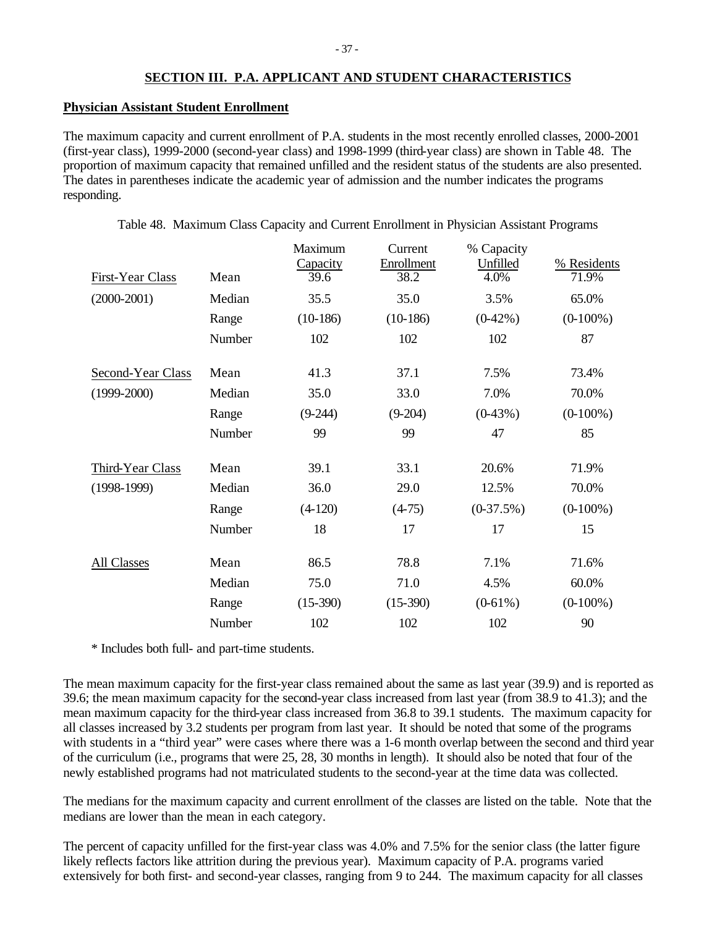# **SECTION III. P.A. APPLICANT AND STUDENT CHARACTERISTICS**

## **Physician Assistant Student Enrollment**

The maximum capacity and current enrollment of P.A. students in the most recently enrolled classes, 2000-2001 (first-year class), 1999-2000 (second-year class) and 1998-1999 (third-year class) are shown in Table 48. The proportion of maximum capacity that remained unfilled and the resident status of the students are also presented. The dates in parentheses indicate the academic year of admission and the number indicates the programs responding.

| First-Year Class  | Mean   | Maximum<br>Capacity<br>39.6 | Current<br>Enrollment<br>38.2 | % Capacity<br>Unfilled<br>4.0% | % Residents<br>71.9% |
|-------------------|--------|-----------------------------|-------------------------------|--------------------------------|----------------------|
| $(2000-2001)$     | Median | 35.5                        | 35.0                          | 3.5%                           | 65.0%                |
|                   | Range  | $(10-186)$                  | $(10-186)$                    | $(0-42\%)$                     | $(0-100\%)$          |
|                   | Number | 102                         | 102                           | 102                            | 87                   |
| Second-Year Class | Mean   | 41.3                        | 37.1                          | 7.5%                           | 73.4%                |
| $(1999 - 2000)$   | Median | 35.0                        | 33.0                          | 7.0%                           | 70.0%                |
|                   | Range  | $(9-244)$                   | $(9-204)$                     | $(0-43%)$                      | $(0-100\%)$          |
|                   | Number | 99                          | 99                            | 47                             | 85                   |
| Third-Year Class  | Mean   | 39.1                        | 33.1                          | 20.6%                          | 71.9%                |
| $(1998-1999)$     | Median | 36.0                        | 29.0                          | 12.5%                          | 70.0%                |
|                   | Range  | $(4-120)$                   | $(4-75)$                      | $(0-37.5%)$                    | $(0-100\%)$          |
|                   | Number | 18                          | 17                            | 17                             | 15                   |
| All Classes       | Mean   | 86.5                        | 78.8                          | 7.1%                           | 71.6%                |
|                   | Median | 75.0                        | 71.0                          | 4.5%                           | 60.0%                |
|                   | Range  | $(15-390)$                  | $(15-390)$                    | $(0-61\%)$                     | $(0-100\%)$          |
|                   | Number | 102                         | 102                           | 102                            | 90                   |
|                   |        |                             |                               |                                |                      |

Table 48. Maximum Class Capacity and Current Enrollment in Physician Assistant Programs

\* Includes both full- and part-time students.

The mean maximum capacity for the first-year class remained about the same as last year (39.9) and is reported as 39.6; the mean maximum capacity for the second-year class increased from last year (from 38.9 to 41.3); and the mean maximum capacity for the third-year class increased from 36.8 to 39.1 students. The maximum capacity for all classes increased by 3.2 students per program from last year. It should be noted that some of the programs with students in a "third year" were cases where there was a 1-6 month overlap between the second and third year of the curriculum (i.e., programs that were 25, 28, 30 months in length). It should also be noted that four of the newly established programs had not matriculated students to the second-year at the time data was collected.

The medians for the maximum capacity and current enrollment of the classes are listed on the table. Note that the medians are lower than the mean in each category.

The percent of capacity unfilled for the first-year class was 4.0% and 7.5% for the senior class (the latter figure likely reflects factors like attrition during the previous year). Maximum capacity of P.A. programs varied extensively for both first- and second-year classes, ranging from 9 to 244. The maximum capacity for all classes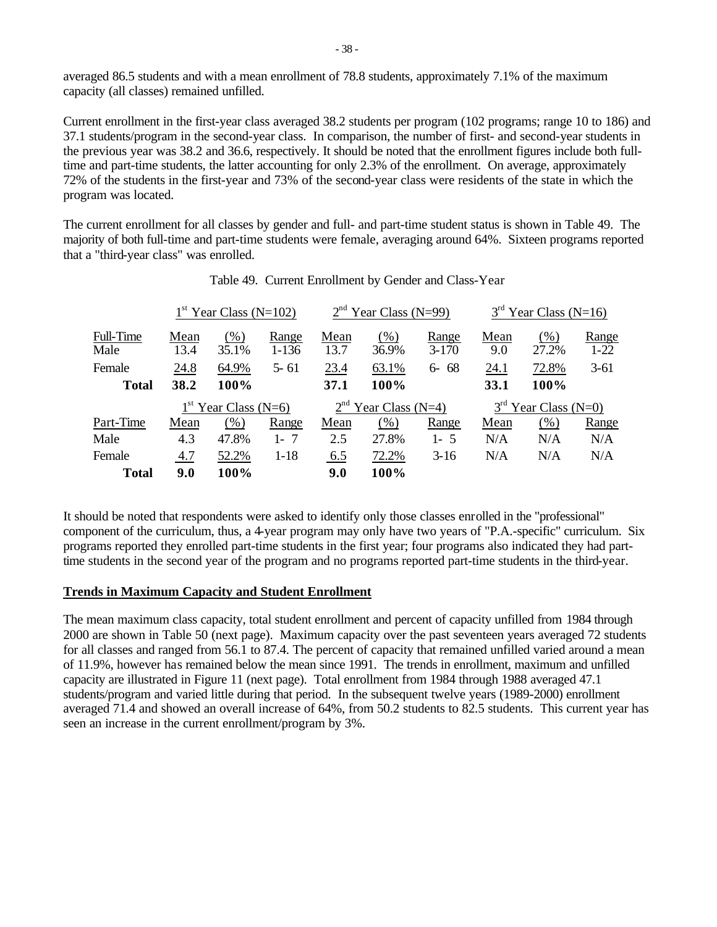averaged 86.5 students and with a mean enrollment of 78.8 students, approximately 7.1% of the maximum capacity (all classes) remained unfilled.

Current enrollment in the first-year class averaged 38.2 students per program (102 programs; range 10 to 186) and 37.1 students/program in the second-year class. In comparison, the number of first- and second-year students in the previous year was 38.2 and 36.6, respectively. It should be noted that the enrollment figures include both fulltime and part-time students, the latter accounting for only 2.3% of the enrollment. On average, approximately 72% of the students in the first-year and 73% of the second-year class were residents of the state in which the program was located.

The current enrollment for all classes by gender and full- and part-time student status is shown in Table 49. The majority of both full-time and part-time students were female, averaging around 64%. Sixteen programs reported that a "third-year class" was enrolled.

|                   |              | $1st$ Year Class (N=102) |                    |              | $2nd$ Year Class (N=99) |                    |             | $3rd$ Year Class (N=16) |                   |
|-------------------|--------------|--------------------------|--------------------|--------------|-------------------------|--------------------|-------------|-------------------------|-------------------|
| Full-Time<br>Male | Mean<br>13.4 | (% )<br>35.1%            | Range<br>$1 - 136$ | Mean<br>13.7 | $(\%)$<br>36.9%         | Range<br>$3 - 170$ | Mean<br>9.0 | (%)<br>27.2%            | Range<br>$1 - 22$ |
| Female            | 24.8         | 64.9%                    | $5 - 61$           | 23.4         | 63.1%                   | $6 - 68$           | 24.1        | 72.8%                   | $3-61$            |
| <b>Total</b>      | 38.2         | 100%                     |                    | 37.1         | 100%                    |                    | 33.1        | 100%                    |                   |
|                   |              | $1st$ Year Class (N=6)   |                    |              | $2nd$ Year Class (N=4)  |                    |             | $3rd$ Year Class (N=0)  |                   |
| Part-Time         | Mean         | (% )                     | Range              | Mean         | $(\%)$                  | Range              | Mean        | (% )                    | Range             |
| Male              | 4.3          | 47.8%                    | -7<br>$1 -$        | 2.5          | 27.8%                   | $1 - 5$            | N/A         | N/A                     | N/A               |
| Female            | 4.7          | 52.2%                    | $1 - 18$           | 6.5          | 72.2%                   | $3-16$             | N/A         | N/A                     | N/A               |
| <b>Total</b>      | 9.0          | 100%                     |                    | 9.0          | 100%                    |                    |             |                         |                   |

It should be noted that respondents were asked to identify only those classes enrolled in the "professional" component of the curriculum, thus, a 4-year program may only have two years of "P.A.-specific" curriculum. Six programs reported they enrolled part-time students in the first year; four programs also indicated they had parttime students in the second year of the program and no programs reported part-time students in the third-year.

## **Trends in Maximum Capacity and Student Enrollment**

The mean maximum class capacity, total student enrollment and percent of capacity unfilled from 1984 through 2000 are shown in Table 50 (next page). Maximum capacity over the past seventeen years averaged 72 students for all classes and ranged from 56.1 to 87.4. The percent of capacity that remained unfilled varied around a mean of 11.9%, however has remained below the mean since 1991. The trends in enrollment, maximum and unfilled capacity are illustrated in Figure 11 (next page). Total enrollment from 1984 through 1988 averaged 47.1 students/program and varied little during that period. In the subsequent twelve years (1989-2000) enrollment averaged 71.4 and showed an overall increase of 64%, from 50.2 students to 82.5 students. This current year has seen an increase in the current enrollment/program by 3%.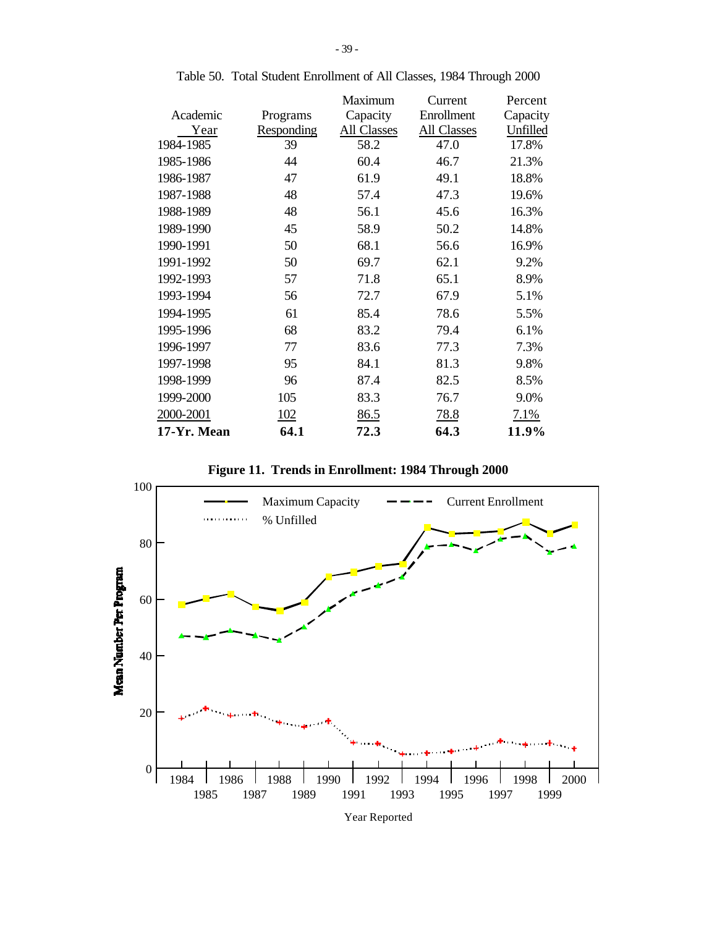|             |            | Maximum     | Current            | Percent  |
|-------------|------------|-------------|--------------------|----------|
| Academic    | Programs   | Capacity    | Enrollment         | Capacity |
| Year        | Responding | All Classes | <b>All Classes</b> | Unfilled |
| 1984-1985   | 39         | 58.2        | 47.0               | 17.8%    |
| 1985-1986   | 44         | 60.4        | 46.7               | 21.3%    |
| 1986-1987   | 47         | 61.9        | 49.1               | 18.8%    |
| 1987-1988   | 48         | 57.4        | 47.3               | 19.6%    |
| 1988-1989   | 48         | 56.1        | 45.6               | 16.3%    |
| 1989-1990   | 45         | 58.9        | 50.2               | 14.8%    |
| 1990-1991   | 50         | 68.1        | 56.6               | 16.9%    |
| 1991-1992   | 50         | 69.7        | 62.1               | 9.2%     |
| 1992-1993   | 57         | 71.8        | 65.1               | 8.9%     |
| 1993-1994   | 56         | 72.7        | 67.9               | 5.1%     |
| 1994-1995   | 61         | 85.4        | 78.6               | 5.5%     |
| 1995-1996   | 68         | 83.2        | 79.4               | 6.1%     |
| 1996-1997   | 77         | 83.6        | 77.3               | 7.3%     |
| 1997-1998   | 95         | 84.1        | 81.3               | 9.8%     |
| 1998-1999   | 96         | 87.4        | 82.5               | 8.5%     |
| 1999-2000   | 105        | 83.3        | 76.7               | 9.0%     |
| 2000-2001   | 102        | 86.5        | <u>78.8</u>        | 7.1%     |
| 17-Yr. Mean | 64.1       | 72.3        | 64.3               | 11.9%    |

Table 50. Total Student Enrollment of All Classes, 1984 Through 2000

**Figure 11. Trends in Enrollment: 1984 Through 2000**



Year Reported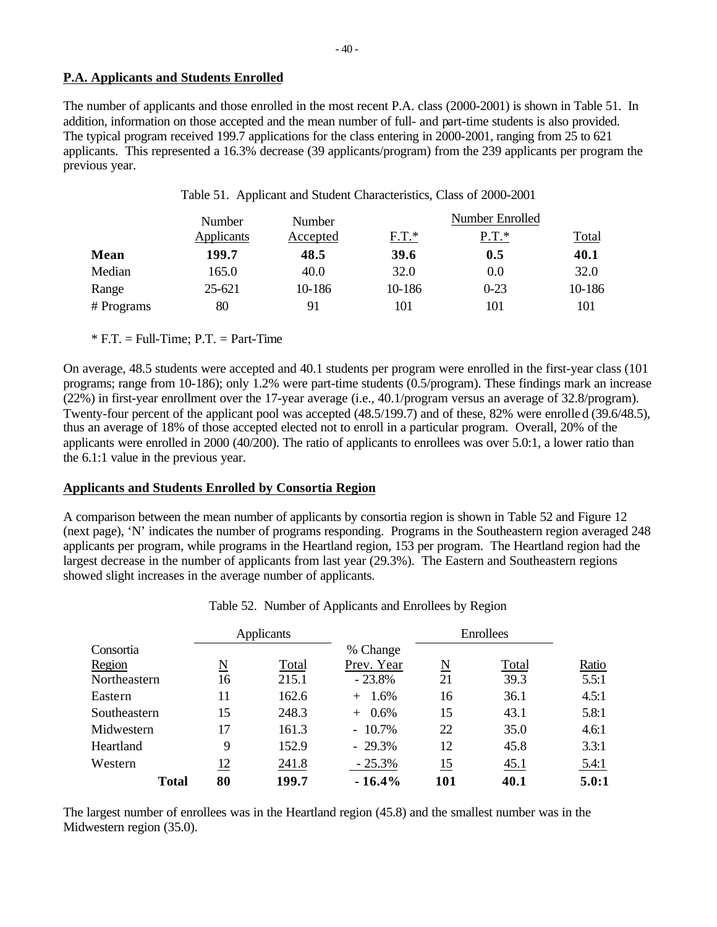# **P.A. Applicants and Students Enrolled**

The number of applicants and those enrolled in the most recent P.A. class (2000-2001) is shown in Table 51. In addition, information on those accepted and the mean number of full- and part-time students is also provided. The typical program received 199.7 applications for the class entering in 2000-2001, ranging from 25 to 621 applicants. This represented a 16.3% decrease (39 applicants/program) from the 239 applicants per program the previous year.

|            | Number     | Number   |         | Number Enrolled |              |
|------------|------------|----------|---------|-----------------|--------------|
|            | Applicants | Accepted | $F.T.*$ | $P.T.*$         | <b>Total</b> |
| Mean       | 199.7      | 48.5     | 39.6    | 0.5             | 40.1         |
| Median     | 165.0      | 40.0     | 32.0    | 0.0             | 32.0         |
| Range      | 25-621     | 10-186   | 10-186  | $0-23$          | 10-186       |
| # Programs | 80         | 91       | 101     | 101             | 101          |

Table 51. Applicant and Student Characteristics, Class of 2000-2001

 $*$  F.T. = Full-Time; P.T. = Part-Time

On average, 48.5 students were accepted and 40.1 students per program were enrolled in the first-year class (101 programs; range from 10-186); only 1.2% were part-time students (0.5/program). These findings mark an increase (22%) in first-year enrollment over the 17-year average (i.e., 40.1/program versus an average of 32.8/program). Twenty-four percent of the applicant pool was accepted (48.5/199.7) and of these, 82% were enrolled (39.6/48.5), thus an average of 18% of those accepted elected not to enroll in a particular program. Overall, 20% of the applicants were enrolled in 2000 (40/200). The ratio of applicants to enrollees was over 5.0:1, a lower ratio than the 6.1:1 value in the previous year.

# **Applicants and Students Enrolled by Consortia Region**

A comparison between the mean number of applicants by consortia region is shown in Table 52 and Figure 12 (next page), 'N' indicates the number of programs responding. Programs in the Southeastern region averaged 248 applicants per program, while programs in the Heartland region, 153 per program. The Heartland region had the largest decrease in the number of applicants from last year (29.3%). The Eastern and Southeastern regions showed slight increases in the average number of applicants.

|              |    | Applicants |             |     | Enrollees |       |
|--------------|----|------------|-------------|-----|-----------|-------|
| Consortia    |    |            | % Change    |     |           |       |
| Region       | N  | Total      | Prev. Year  | N   | Total     | Ratio |
| Northeastern | 16 | 215.1      | $-23.8%$    | 21  | 39.3      | 5.5:1 |
| Eastern      | 11 | 162.6      | $+$ 1.6%    | 16  | 36.1      | 4.5:1 |
| Southeastern | 15 | 248.3      | 0.6%<br>$+$ | 15  | 43.1      | 5.8:1 |
| Midwestern   | 17 | 161.3      | $-10.7\%$   | 22  | 35.0      | 4.6:1 |
| Heartland    | 9  | 152.9      | $-29.3%$    | 12  | 45.8      | 3.3:1 |
| Western      | 12 | 241.8      | $-25.3%$    | 15  | 45.1      | 5.4:1 |
| <b>Total</b> | 80 | 199.7      | $-16.4%$    | 101 | 40.1      | 5.0:1 |

Table 52. Number of Applicants and Enrollees by Region

The largest number of enrollees was in the Heartland region (45.8) and the smallest number was in the Midwestern region (35.0).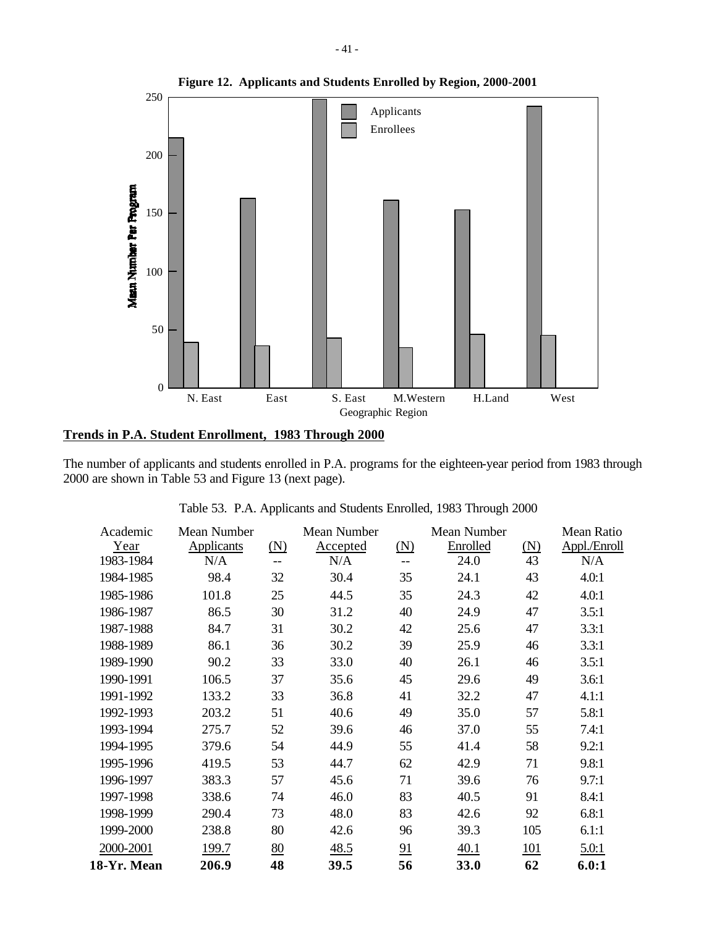

# **Trends in P.A. Student Enrollment, 1983 Through 2000**

The number of applicants and students enrolled in P.A. programs for the eighteen-year period from 1983 through 2000 are shown in Table 53 and Figure 13 (next page).

| Academic    | Mean Number |                   | Mean Number |            | Mean Number |     | Mean Ratio   |
|-------------|-------------|-------------------|-------------|------------|-------------|-----|--------------|
| Year        | Applicants  | $(\underline{N})$ | Accepted    | <u>(N)</u> | Enrolled    | (N) | Appl./Enroll |
| 1983-1984   | N/A         | --                | N/A         |            | 24.0        | 43  | N/A          |
| 1984-1985   | 98.4        | 32                | 30.4        | 35         | 24.1        | 43  | 4.0:1        |
| 1985-1986   | 101.8       | 25                | 44.5        | 35         | 24.3        | 42  | 4.0:1        |
| 1986-1987   | 86.5        | 30                | 31.2        | 40         | 24.9        | 47  | 3.5:1        |
| 1987-1988   | 84.7        | 31                | 30.2        | 42         | 25.6        | 47  | 3.3:1        |
| 1988-1989   | 86.1        | 36                | 30.2        | 39         | 25.9        | 46  | 3.3:1        |
| 1989-1990   | 90.2        | 33                | 33.0        | 40         | 26.1        | 46  | 3.5:1        |
| 1990-1991   | 106.5       | 37                | 35.6        | 45         | 29.6        | 49  | 3.6:1        |
| 1991-1992   | 133.2       | 33                | 36.8        | 41         | 32.2        | 47  | 4.1:1        |
| 1992-1993   | 203.2       | 51                | 40.6        | 49         | 35.0        | 57  | 5.8:1        |
| 1993-1994   | 275.7       | 52                | 39.6        | 46         | 37.0        | 55  | 7.4:1        |
| 1994-1995   | 379.6       | 54                | 44.9        | 55         | 41.4        | 58  | 9.2:1        |
| 1995-1996   | 419.5       | 53                | 44.7        | 62         | 42.9        | 71  | 9.8:1        |
| 1996-1997   | 383.3       | 57                | 45.6        | 71         | 39.6        | 76  | 9.7:1        |
| 1997-1998   | 338.6       | 74                | 46.0        | 83         | 40.5        | 91  | 8.4:1        |
| 1998-1999   | 290.4       | 73                | 48.0        | 83         | 42.6        | 92  | 6.8:1        |
| 1999-2000   | 238.8       | 80                | 42.6        | 96         | 39.3        | 105 | 6.1:1        |
| 2000-2001   | 199.7       | 80                | 48.5        | 91         | 40.1        | 101 | 5.0:1        |
| 18-Yr. Mean | 206.9       | 48                | 39.5        | 56         | 33.0        | 62  | 6.0:1        |

Table 53. P.A. Applicants and Students Enrolled, 1983 Through 2000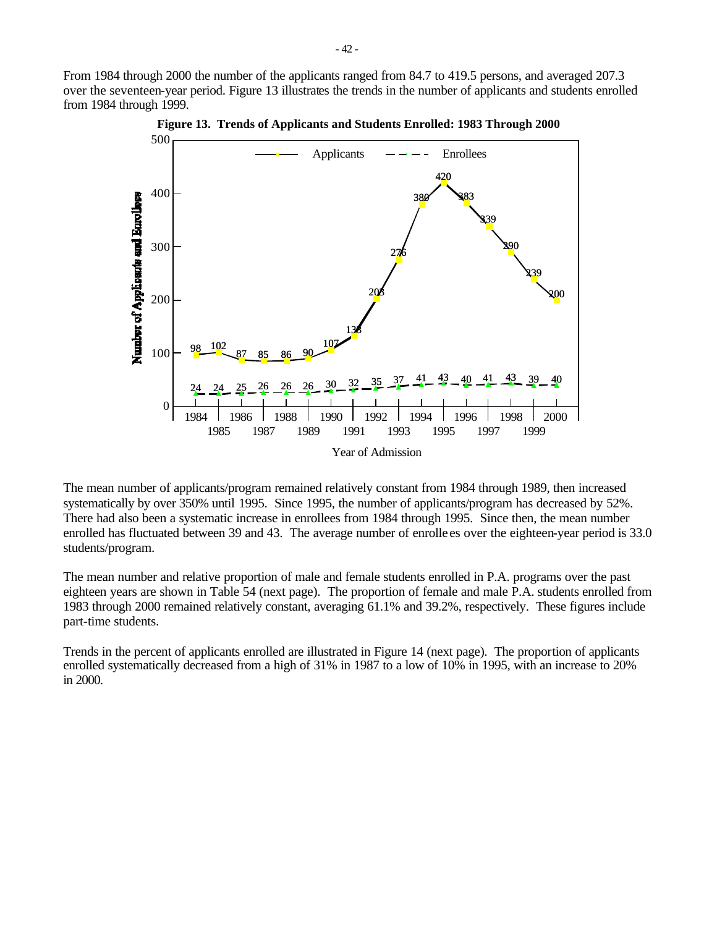From 1984 through 2000 the number of the applicants ranged from 84.7 to 419.5 persons, and averaged 207.3 over the seventeen-year period. Figure 13 illustrates the trends in the number of applicants and students enrolled from 1984 through 1999.



**Figure 13. Trends of Applicants and Students Enrolled: 1983 Through 2000**

The mean number of applicants/program remained relatively constant from 1984 through 1989, then increased systematically by over 350% until 1995. Since 1995, the number of applicants/program has decreased by 52%. There had also been a systematic increase in enrollees from 1984 through 1995. Since then, the mean number enrolled has fluctuated between 39 and 43. The average number of enrolle es over the eighteen-year period is 33.0 students/program.

The mean number and relative proportion of male and female students enrolled in P.A. programs over the past eighteen years are shown in Table 54 (next page). The proportion of female and male P.A. students enrolled from 1983 through 2000 remained relatively constant, averaging 61.1% and 39.2%, respectively. These figures include part-time students.

Trends in the percent of applicants enrolled are illustrated in Figure 14 (next page). The proportion of applicants enrolled systematically decreased from a high of 31% in 1987 to a low of 10% in 1995, with an increase to 20% in 2000.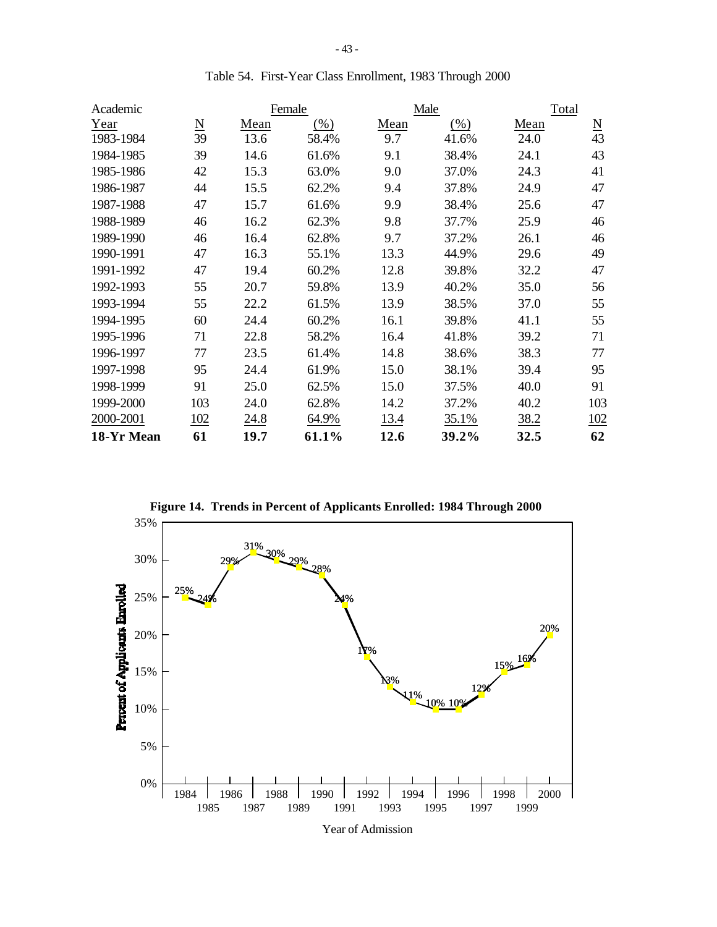| Academic   |                          |             | Female  |      | Male   | Total |                             |
|------------|--------------------------|-------------|---------|------|--------|-------|-----------------------------|
| Year       | $\underline{\mathbf{N}}$ | Mean        | $(\% )$ | Mean | $(\%)$ | Mean  | $\underline{\underline{N}}$ |
| 1983-1984  | 39                       | 13.6        | 58.4%   | 9.7  | 41.6%  | 24.0  | 43                          |
| 1984-1985  | 39                       | 14.6        | 61.6%   | 9.1  | 38.4%  | 24.1  | 43                          |
| 1985-1986  | 42                       | 15.3        | 63.0%   | 9.0  | 37.0%  | 24.3  | 41                          |
| 1986-1987  | 44                       | 15.5        | 62.2%   | 9.4  | 37.8%  | 24.9  | 47                          |
| 1987-1988  | 47                       | 15.7        | 61.6%   | 9.9  | 38.4%  | 25.6  | 47                          |
| 1988-1989  | 46                       | 16.2        | 62.3%   | 9.8  | 37.7%  | 25.9  | 46                          |
| 1989-1990  | 46                       | 16.4        | 62.8%   | 9.7  | 37.2%  | 26.1  | 46                          |
| 1990-1991  | 47                       | 16.3        | 55.1%   | 13.3 | 44.9%  | 29.6  | 49                          |
| 1991-1992  | 47                       | 19.4        | 60.2%   | 12.8 | 39.8%  | 32.2  | 47                          |
| 1992-1993  | 55                       | 20.7        | 59.8%   | 13.9 | 40.2%  | 35.0  | 56                          |
| 1993-1994  | 55                       | 22.2        | 61.5%   | 13.9 | 38.5%  | 37.0  | 55                          |
| 1994-1995  | 60                       | 24.4        | 60.2%   | 16.1 | 39.8%  | 41.1  | 55                          |
| 1995-1996  | 71                       | 22.8        | 58.2%   | 16.4 | 41.8%  | 39.2  | 71                          |
| 1996-1997  | 77                       | 23.5        | 61.4%   | 14.8 | 38.6%  | 38.3  | 77                          |
| 1997-1998  | 95                       | 24.4        | 61.9%   | 15.0 | 38.1%  | 39.4  | 95                          |
| 1998-1999  | 91                       | 25.0        | 62.5%   | 15.0 | 37.5%  | 40.0  | 91                          |
| 1999-2000  | 103                      | 24.0        | 62.8%   | 14.2 | 37.2%  | 40.2  | 103                         |
| 2000-2001  | 102                      | <u>24.8</u> | 64.9%   | 13.4 | 35.1%  | 38.2  | 102                         |
| 18-Yr Mean | 61                       | 19.7        | 61.1%   | 12.6 | 39.2%  | 32.5  | 62                          |

Table 54. First-Year Class Enrollment, 1983 Through 2000

**Figure 14. Trends in Percent of Applicants Enrolled: 1984 Through 2000**

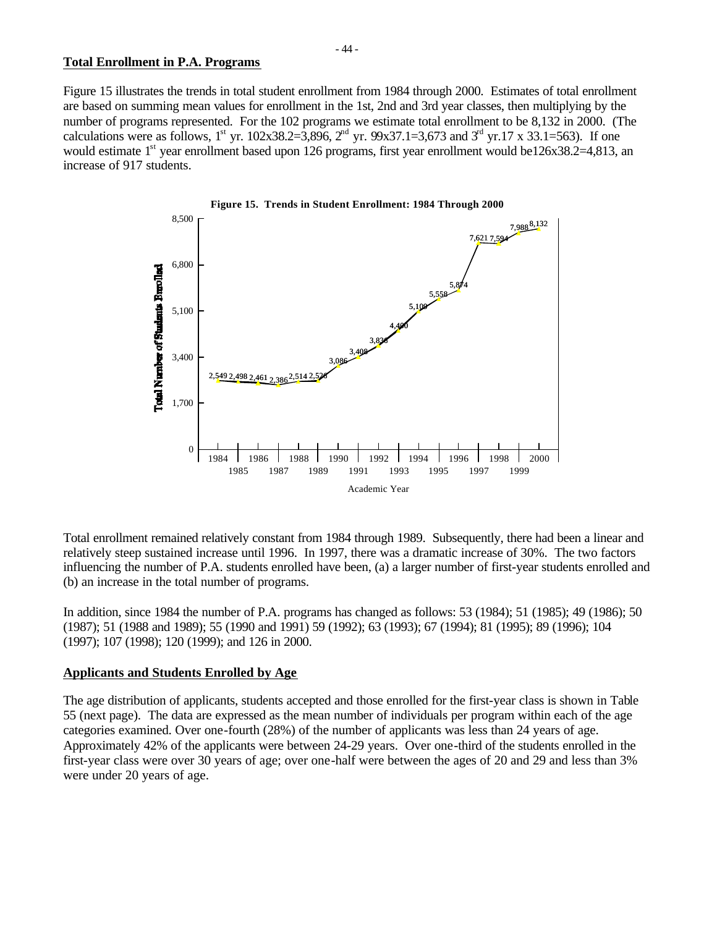### **Total Enrollment in P.A. Programs**

Figure 15 illustrates the trends in total student enrollment from 1984 through 2000. Estimates of total enrollment are based on summing mean values for enrollment in the 1st, 2nd and 3rd year classes, then multiplying by the number of programs represented. For the 102 programs we estimate total enrollment to be 8,132 in 2000. (The calculations were as follows, 1<sup>st</sup> yr. 102x38.2=3,896, 2<sup>nd</sup> yr. 99x37.1=3,673 and 3<sup>rd</sup> yr.17 x 33.1=563). If one would estimate 1<sup>st</sup> year enrollment based upon 126 programs, first year enrollment would be126x38.2=4,813, an increase of 917 students.



Total enrollment remained relatively constant from 1984 through 1989. Subsequently, there had been a linear and relatively steep sustained increase until 1996. In 1997, there was a dramatic increase of 30%. The two factors influencing the number of P.A. students enrolled have been, (a) a larger number of first-year students enrolled and (b) an increase in the total number of programs.

In addition, since 1984 the number of P.A. programs has changed as follows: 53 (1984); 51 (1985); 49 (1986); 50 (1987); 51 (1988 and 1989); 55 (1990 and 1991) 59 (1992); 63 (1993); 67 (1994); 81 (1995); 89 (1996); 104 (1997); 107 (1998); 120 (1999); and 126 in 2000.

## **Applicants and Students Enrolled by Age**

The age distribution of applicants, students accepted and those enrolled for the first-year class is shown in Table 55 (next page). The data are expressed as the mean number of individuals per program within each of the age categories examined. Over one-fourth (28%) of the number of applicants was less than 24 years of age. Approximately 42% of the applicants were between 24-29 years. Over one-third of the students enrolled in the first-year class were over 30 years of age; over one-half were between the ages of 20 and 29 and less than 3% were under 20 years of age.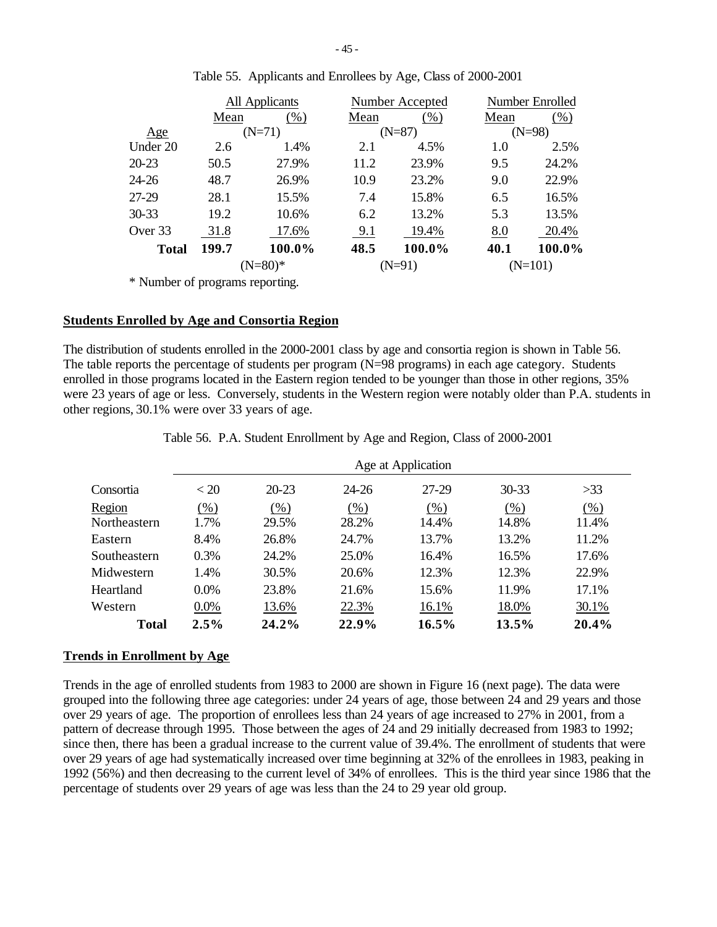|              |           | All Applicants |      | Number Accepted | Number Enrolled |          |  |
|--------------|-----------|----------------|------|-----------------|-----------------|----------|--|
|              | Mean      | $(\% )$        | Mean | $(\% )$         | Mean            | $(\%)$   |  |
| Age          |           | $(N=71)$       |      | $(N=87)$        |                 | $(N=98)$ |  |
| Under 20     | 2.6       | 1.4%           | 2.1  | 4.5%            | 1.0             | 2.5%     |  |
| $20 - 23$    | 50.5      | 27.9%          | 11.2 | 23.9%           | 9.5             | 24.2%    |  |
| 24-26        | 48.7      | 26.9%          | 10.9 | 23.2%           | 9.0             | 22.9%    |  |
| 27-29        | 28.1      | 15.5%          | 7.4  | 15.8%           | 6.5             | 16.5%    |  |
| $30 - 33$    | 19.2      | 10.6%          | 6.2  | 13.2%           | 5.3             | 13.5%    |  |
| Over 33      | 31.8      | 17.6%          | 9.1  | 19.4%           | 8.0             | 20.4%    |  |
| <b>Total</b> | 199.7     | 100.0%         | 48.5 | 100.0%          | 40.1            | 100.0%   |  |
|              | $(N=80)*$ |                |      | (N=91)          | $(N=101)$       |          |  |

|  | Table 55. Applicants and Enrollees by Age, Class of 2000-2001 |
|--|---------------------------------------------------------------|
|  |                                                               |

\* Number of programs reporting.

#### **Students Enrolled by Age and Consortia Region**

The distribution of students enrolled in the 2000-2001 class by age and consortia region is shown in Table 56. The table reports the percentage of students per program (N=98 programs) in each age category. Students enrolled in those programs located in the Eastern region tended to be younger than those in other regions, 35% were 23 years of age or less. Conversely, students in the Western region were notably older than P.A. students in other regions, 30.1% were over 33 years of age.

|              |         |           |       | Age at Application |           |        |
|--------------|---------|-----------|-------|--------------------|-----------|--------|
| Consortia    | < 20    | $20 - 23$ | 24-26 | 27-29              | $30 - 33$ | >33    |
| Region       | $(\%)$  | (% )      | (% )  | (% )               | (% )      | $(\%)$ |
| Northeastern | 1.7%    | 29.5%     | 28.2% | 14.4%              | 14.8%     | 11.4%  |
| Eastern      | 8.4%    | 26.8%     | 24.7% | 13.7%              | 13.2%     | 11.2%  |
| Southeastern | 0.3%    | 24.2%     | 25.0% | 16.4%              | 16.5%     | 17.6%  |
| Midwestern   | 1.4%    | 30.5%     | 20.6% | 12.3%              | 12.3%     | 22.9%  |
| Heartland    | 0.0%    | 23.8%     | 21.6% | 15.6%              | 11.9%     | 17.1%  |
| Western      | $0.0\%$ | 13.6%     | 22.3% | 16.1%              | 18.0%     | 30.1%  |
| <b>Total</b> | 2.5%    | 24.2%     | 22.9% | 16.5%              | 13.5%     | 20.4%  |

Table 56. P.A. Student Enrollment by Age and Region, Class of 2000-2001

## **Trends in Enrollment by Age**

Trends in the age of enrolled students from 1983 to 2000 are shown in Figure 16 (next page). The data were grouped into the following three age categories: under 24 years of age, those between 24 and 29 years and those over 29 years of age. The proportion of enrollees less than 24 years of age increased to 27% in 2001, from a pattern of decrease through 1995. Those between the ages of 24 and 29 initially decreased from 1983 to 1992; since then, there has been a gradual increase to the current value of 39.4%. The enrollment of students that were over 29 years of age had systematically increased over time beginning at 32% of the enrollees in 1983, peaking in 1992 (56%) and then decreasing to the current level of 34% of enrollees. This is the third year since 1986 that the percentage of students over 29 years of age was less than the 24 to 29 year old group.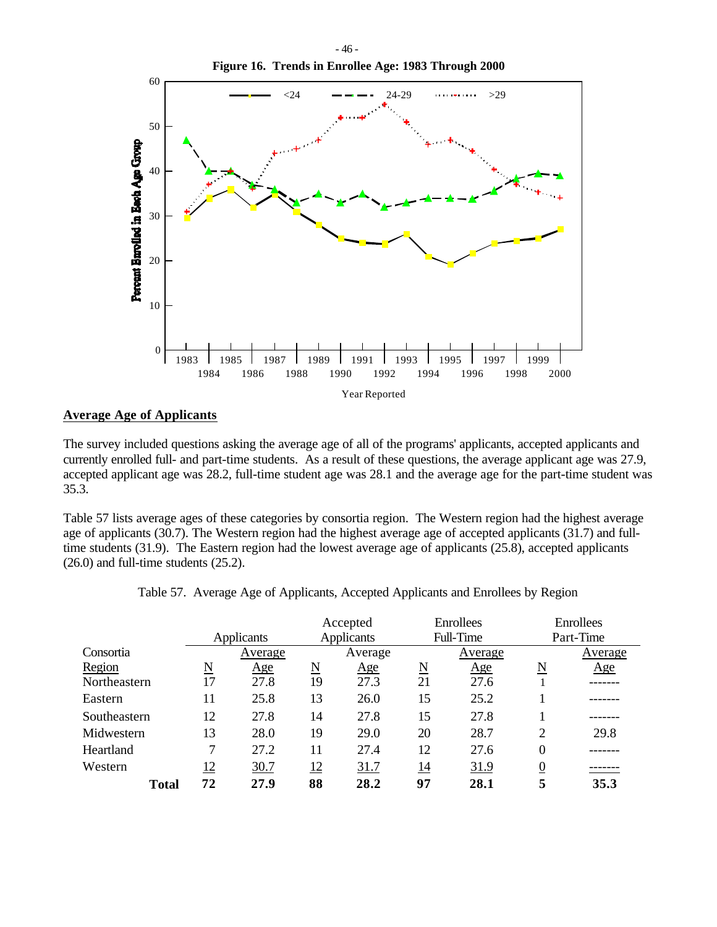

## **Average Age of Applicants**

The survey included questions asking the average age of all of the programs' applicants, accepted applicants and currently enrolled full- and part-time students. As a result of these questions, the average applicant age was 27.9, accepted applicant age was 28.2, full-time student age was 28.1 and the average age for the part-time student was 35.3.

Table 57 lists average ages of these categories by consortia region. The Western region had the highest average age of applicants (30.7). The Western region had the highest average age of accepted applicants (31.7) and fulltime students (31.9). The Eastern region had the lowest average age of applicants (25.8), accepted applicants (26.0) and full-time students (25.2).

|              |                     |            |                     | Accepted          |                     | Enrollees   |                  | Enrollees |
|--------------|---------------------|------------|---------------------|-------------------|---------------------|-------------|------------------|-----------|
|              |                     | Applicants |                     | <b>Applicants</b> |                     | Full-Time   |                  | Part-Time |
| Consortia    |                     | Average    |                     | Average           |                     | Average     |                  | Average   |
| Region       | $\underline{\rm N}$ | <u>Age</u> | $\underline{\rm N}$ | <u>Age</u>        | $\underline{\rm N}$ | Age         | N                | Age       |
| Northeastern | 17                  | 27.8       | 19                  | 27.3              | 21                  | 27.6        |                  |           |
| Eastern      | 11                  | 25.8       | 13                  | 26.0              | 15                  | 25.2        |                  |           |
| Southeastern | 12                  | 27.8       | 14                  | 27.8              | 15                  | 27.8        |                  |           |
| Midwestern   | 13                  | 28.0       | 19                  | 29.0              | 20                  | 28.7        | 2                | 29.8      |
| Heartland    | 7                   | 27.2       | 11                  | 27.4              | 12                  | 27.6        | $\boldsymbol{0}$ |           |
| Western      | 12                  | 30.7       | <u>12</u>           | 31.7              | <u>14</u>           | <u>31.9</u> | $\boldsymbol{0}$ |           |
| <b>Total</b> | 72                  | 27.9       | 88                  | 28.2              | 97                  | 28.1        | 5                | 35.3      |

|  | Table 57. Average Age of Applicants, Accepted Applicants and Enrollees by Region |  |  |  |
|--|----------------------------------------------------------------------------------|--|--|--|
|  |                                                                                  |  |  |  |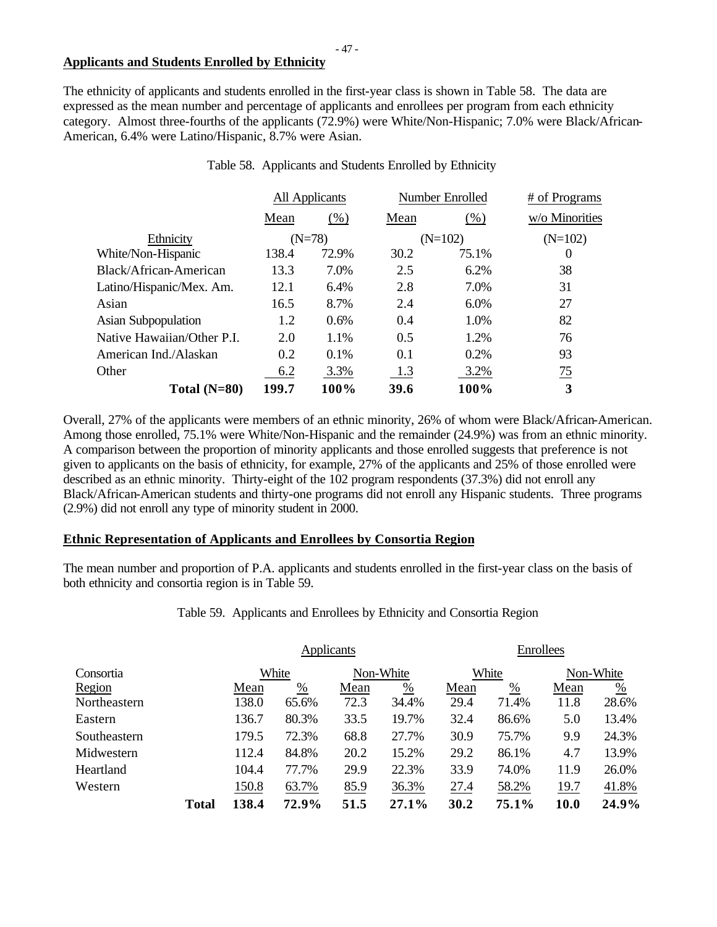## **Applicants and Students Enrolled by Ethnicity**

The ethnicity of applicants and students enrolled in the first-year class is shown in Table 58. The data are expressed as the mean number and percentage of applicants and enrollees per program from each ethnicity category. Almost three-fourths of the applicants (72.9%) were White/Non-Hispanic; 7.0% were Black/African-American, 6.4% were Latino/Hispanic, 8.7% were Asian.

|                            |          | All Applicants |      | Number Enrolled | # of Programs  |  |
|----------------------------|----------|----------------|------|-----------------|----------------|--|
|                            | Mean     | (% )           | Mean | (% )            | w/o Minorities |  |
| Ethnicity                  | $(N=78)$ |                |      | $(N=102)$       | $(N=102)$      |  |
| White/Non-Hispanic         | 138.4    | 72.9%          | 30.2 | 75.1%           | O              |  |
| Black/African-American     | 13.3     | 7.0%           | 2.5  | 6.2%            | 38             |  |
| Latino/Hispanic/Mex. Am.   | 12.1     | 6.4%           | 2.8  | 7.0%            | 31             |  |
| Asian                      | 16.5     | 8.7%           | 2.4  | 6.0%            | 27             |  |
| <b>Asian Subpopulation</b> | 1.2      | 0.6%           | 0.4  | 1.0%            | 82             |  |
| Native Hawaiian/Other P.I. | 2.0      | 1.1%           | 0.5  | 1.2%            | 76             |  |
| American Ind./Alaskan      | 0.2      | 0.1%           | 0.1  | 0.2%            | 93             |  |
| Other                      | 6.2      | 3.3%           | 1.3  | 3.2%            | $\frac{75}{2}$ |  |
| Total $(N=80)$             | 199.7    | 100%           | 39.6 | 100%            | 3              |  |

## Table 58. Applicants and Students Enrolled by Ethnicity

Overall, 27% of the applicants were members of an ethnic minority, 26% of whom were Black/African-American. Among those enrolled, 75.1% were White/Non-Hispanic and the remainder (24.9%) was from an ethnic minority. A comparison between the proportion of minority applicants and those enrolled suggests that preference is not given to applicants on the basis of ethnicity, for example, 27% of the applicants and 25% of those enrolled were described as an ethnic minority. Thirty-eight of the 102 program respondents (37.3%) did not enroll any Black/African-American students and thirty-one programs did not enroll any Hispanic students. Three programs (2.9%) did not enroll any type of minority student in 2000.

# **Ethnic Representation of Applicants and Enrollees by Consortia Region**

The mean number and proportion of P.A. applicants and students enrolled in the first-year class on the basis of both ethnicity and consortia region is in Table 59.

Table 59. Applicants and Enrollees by Ethnicity and Consortia Region

|              |              | <b>Applicants</b> |                 |           |               |       | Enrollees     |           |               |  |
|--------------|--------------|-------------------|-----------------|-----------|---------------|-------|---------------|-----------|---------------|--|
| Consortia    |              | White             |                 | Non-White |               | White |               | Non-White |               |  |
| Region       |              | Mean              | $\frac{\%}{\%}$ | Mean      | $\frac{0}{0}$ | Mean  | $\frac{0}{0}$ | Mean      | $\frac{0}{0}$ |  |
| Northeastern |              | 138.0             | 65.6%           | 72.3      | 34.4%         | 29.4  | 71.4%         | 11.8      | 28.6%         |  |
| Eastern      |              | 136.7             | 80.3%           | 33.5      | 19.7%         | 32.4  | 86.6%         | 5.0       | 13.4%         |  |
| Southeastern |              | 179.5             | 72.3%           | 68.8      | 27.7%         | 30.9  | 75.7%         | 9.9       | 24.3%         |  |
| Midwestern   |              | 112.4             | 84.8%           | 20.2      | 15.2%         | 29.2  | 86.1%         | 4.7       | 13.9%         |  |
| Heartland    |              | 104.4             | 77.7%           | 29.9      | 22.3%         | 33.9  | 74.0%         | 11.9      | 26.0%         |  |
| Western      |              | 150.8             | 63.7%           | 85.9      | 36.3%         | 27.4  | 58.2%         | 19.7      | 41.8%         |  |
|              | <b>Total</b> | 138.4             | 72.9%           | 51.5      | 27.1%         | 30.2  | 75.1%         | 10.0      | 24.9%         |  |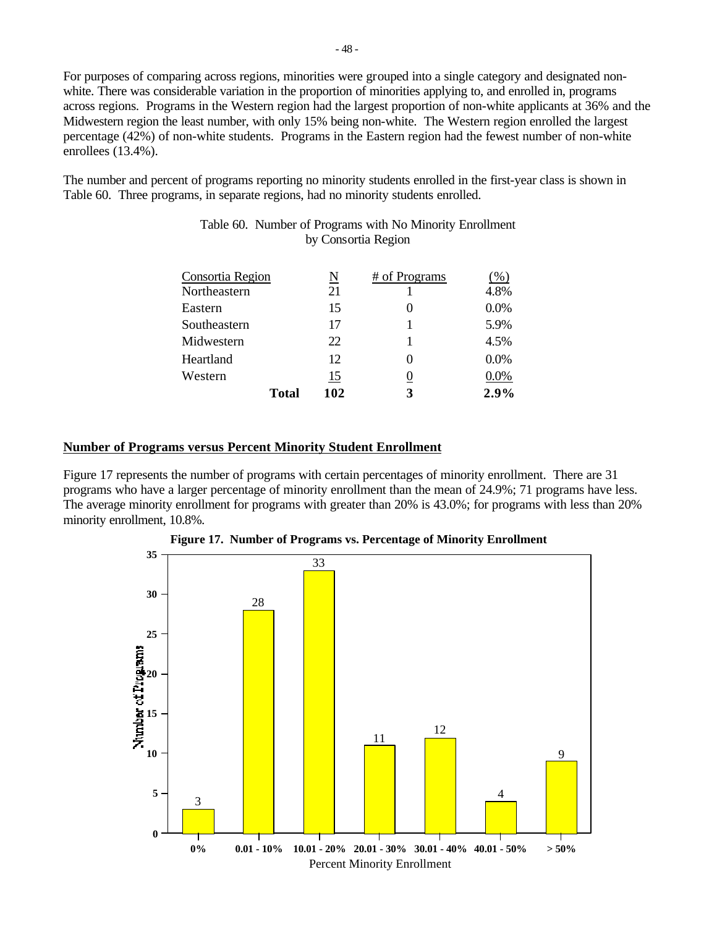For purposes of comparing across regions, minorities were grouped into a single category and designated nonwhite. There was considerable variation in the proportion of minorities applying to, and enrolled in, programs across regions. Programs in the Western region had the largest proportion of non-white applicants at 36% and the Midwestern region the least number, with only 15% being non-white. The Western region enrolled the largest percentage (42%) of non-white students. Programs in the Eastern region had the fewest number of non-white enrollees (13.4%).

The number and percent of programs reporting no minority students enrolled in the first-year class is shown in Table 60. Three programs, in separate regions, had no minority students enrolled.

|                  | Total | 102 | 3             | 2.9%    |
|------------------|-------|-----|---------------|---------|
| Western          |       | 15  |               | 0.0%    |
| Heartland        |       | 12. |               | $0.0\%$ |
| Midwestern       |       | 22  |               | 4.5%    |
| Southeastern     |       | 17  |               | 5.9%    |
| Eastern          |       | 15  |               | 0.0%    |
| Northeastern     |       | 21  |               | 4.8%    |
| Consortia Region |       | N   | # of Programs | %       |
|                  |       |     |               |         |

# Table 60. Number of Programs with No Minority Enrollment by Consortia Region

# **Number of Programs versus Percent Minority Student Enrollment**

Figure 17 represents the number of programs with certain percentages of minority enrollment. There are 31 programs who have a larger percentage of minority enrollment than the mean of 24.9%; 71 programs have less. The average minority enrollment for programs with greater than 20% is 43.0%; for programs with less than 20% minority enrollment, 10.8%.



**Figure 17. Number of Programs vs. Percentage of Minority Enrollment**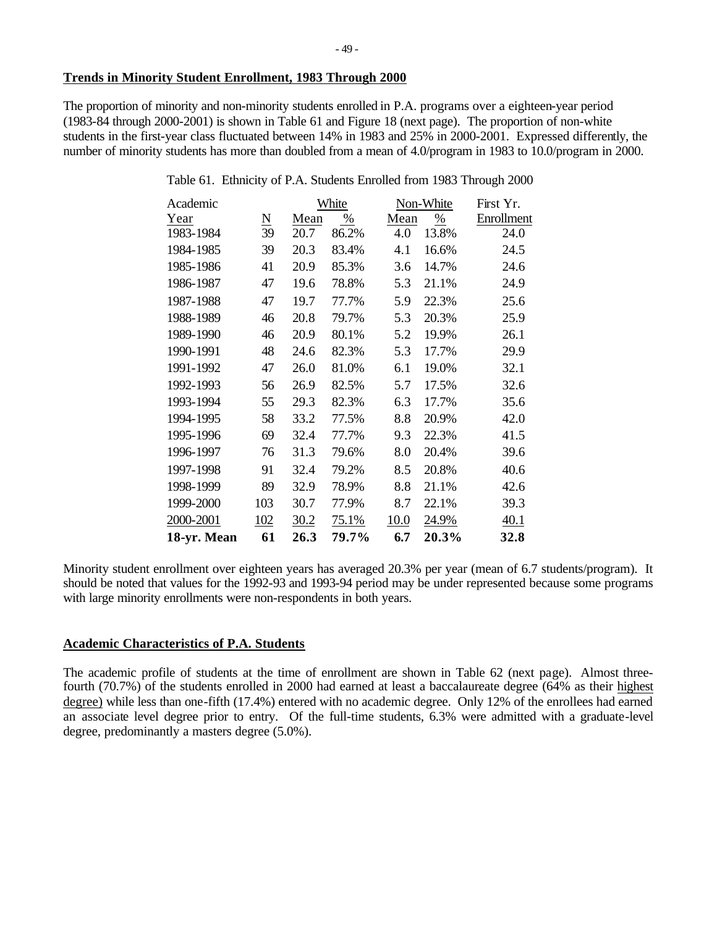## **Trends in Minority Student Enrollment, 1983 Through 2000**

The proportion of minority and non-minority students enrolled in P.A. programs over a eighteen-year period (1983-84 through 2000-2001) is shown in Table 61 and Figure 18 (next page). The proportion of non-white students in the first-year class fluctuated between 14% in 1983 and 25% in 2000-2001. Expressed differently, the number of minority students has more than doubled from a mean of 4.0/program in 1983 to 10.0/program in 2000.

| Table 61. Ethnicity of P.A. Students Enrolled from 1983 Through 2000 |  |  |  |  |
|----------------------------------------------------------------------|--|--|--|--|
|                                                                      |  |  |  |  |

| Academic    |     |      | White |      | Non-White     | First Yr.  |
|-------------|-----|------|-------|------|---------------|------------|
| Year        | N   | Mean | %     | Mean | $\frac{0}{0}$ | Enrollment |
| 1983-1984   | 39  | 20.7 | 86.2% | 4.0  | 13.8%         | 24.0       |
| 1984-1985   | 39  | 20.3 | 83.4% | 4.1  | 16.6%         | 24.5       |
| 1985-1986   | 41  | 20.9 | 85.3% | 3.6  | 14.7%         | 24.6       |
| 1986-1987   | 47  | 19.6 | 78.8% | 5.3  | 21.1%         | 24.9       |
| 1987-1988   | 47  | 19.7 | 77.7% | 5.9  | 22.3%         | 25.6       |
| 1988-1989   | 46  | 20.8 | 79.7% | 5.3  | 20.3%         | 25.9       |
| 1989-1990   | 46  | 20.9 | 80.1% | 5.2  | 19.9%         | 26.1       |
| 1990-1991   | 48  | 24.6 | 82.3% | 5.3  | 17.7%         | 29.9       |
| 1991-1992   | 47  | 26.0 | 81.0% | 6.1  | 19.0%         | 32.1       |
| 1992-1993   | 56  | 26.9 | 82.5% | 5.7  | 17.5%         | 32.6       |
| 1993-1994   | 55  | 29.3 | 82.3% | 6.3  | 17.7%         | 35.6       |
| 1994-1995   | 58  | 33.2 | 77.5% | 8.8  | 20.9%         | 42.0       |
| 1995-1996   | 69  | 32.4 | 77.7% | 9.3  | 22.3%         | 41.5       |
| 1996-1997   | 76  | 31.3 | 79.6% | 8.0  | 20.4%         | 39.6       |
| 1997-1998   | 91  | 32.4 | 79.2% | 8.5  | 20.8%         | 40.6       |
| 1998-1999   | 89  | 32.9 | 78.9% | 8.8  | 21.1%         | 42.6       |
| 1999-2000   | 103 | 30.7 | 77.9% | 8.7  | 22.1%         | 39.3       |
| 2000-2001   | 102 | 30.2 | 75.1% | 10.0 | 24.9%         | 40.1       |
| 18-yr. Mean | 61  | 26.3 | 79.7% | 6.7  | 20.3%         | 32.8       |

Minority student enrollment over eighteen years has averaged 20.3% per year (mean of 6.7 students/program). It should be noted that values for the 1992-93 and 1993-94 period may be under represented because some programs with large minority enrollments were non-respondents in both years.

# **Academic Characteristics of P.A. Students**

The academic profile of students at the time of enrollment are shown in Table 62 (next page). Almost threefourth (70.7%) of the students enrolled in 2000 had earned at least a baccalaureate degree (64% as their highest degree) while less than one-fifth (17.4%) entered with no academic degree. Only 12% of the enrollees had earned an associate level degree prior to entry. Of the full-time students, 6.3% were admitted with a graduate-level degree, predominantly a masters degree (5.0%).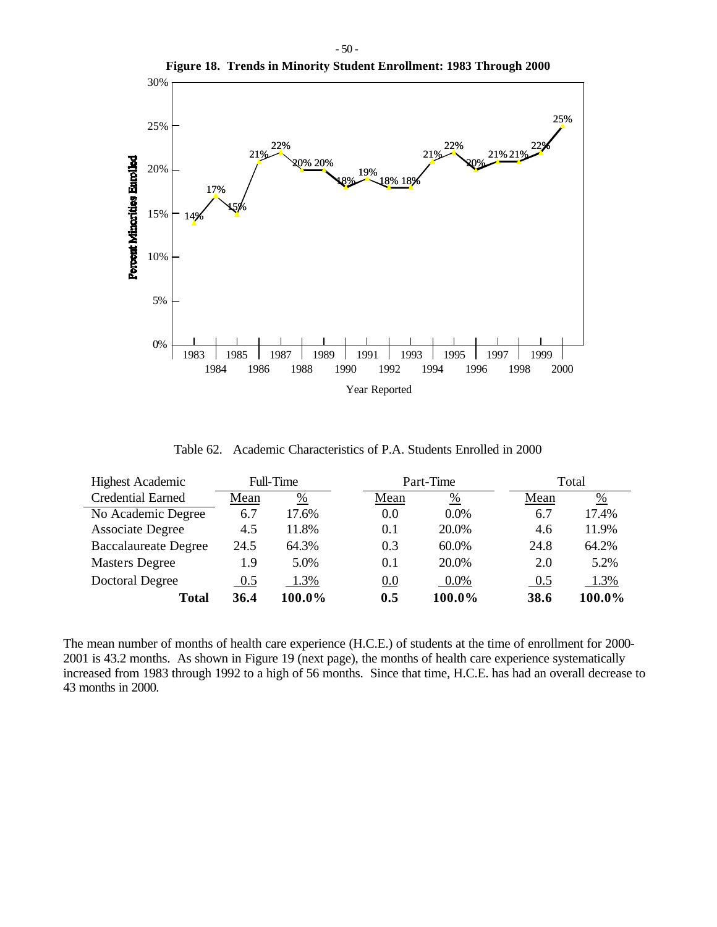

Table 62. Academic Characteristics of P.A. Students Enrolled in 2000

| <b>Highest Academic</b>     |      | Full-Time     | Part-Time |         |      | Total         |
|-----------------------------|------|---------------|-----------|---------|------|---------------|
| <b>Credential Earned</b>    | Mean | $\frac{0}{0}$ | Mean      | %       | Mean | $\frac{0}{0}$ |
| No Academic Degree          | 6.7  | 17.6%         | 0.0       | $0.0\%$ | 6.7  | 17.4%         |
| <b>Associate Degree</b>     | 4.5  | 11.8%         | 0.1       | 20.0%   | 4.6  | 11.9%         |
| <b>Baccalaureate Degree</b> | 24.5 | 64.3%         | 0.3       | 60.0%   | 24.8 | 64.2%         |
| <b>Masters Degree</b>       | 1.9  | 5.0%          | 0.1       | 20.0%   | 2.0  | 5.2%          |
| Doctoral Degree             | 0.5  | 1.3%          | 0.0       | $0.0\%$ | 0.5  | 1.3%          |
| Total                       | 36.4 | 100.0%        | 0.5       | 100.0%  | 38.6 | 100.0%        |

The mean number of months of health care experience (H.C.E.) of students at the time of enrollment for 2000- 2001 is 43.2 months. As shown in Figure 19 (next page), the months of health care experience systematically increased from 1983 through 1992 to a high of 56 months. Since that time, H.C.E. has had an overall decrease to 43 months in 2000.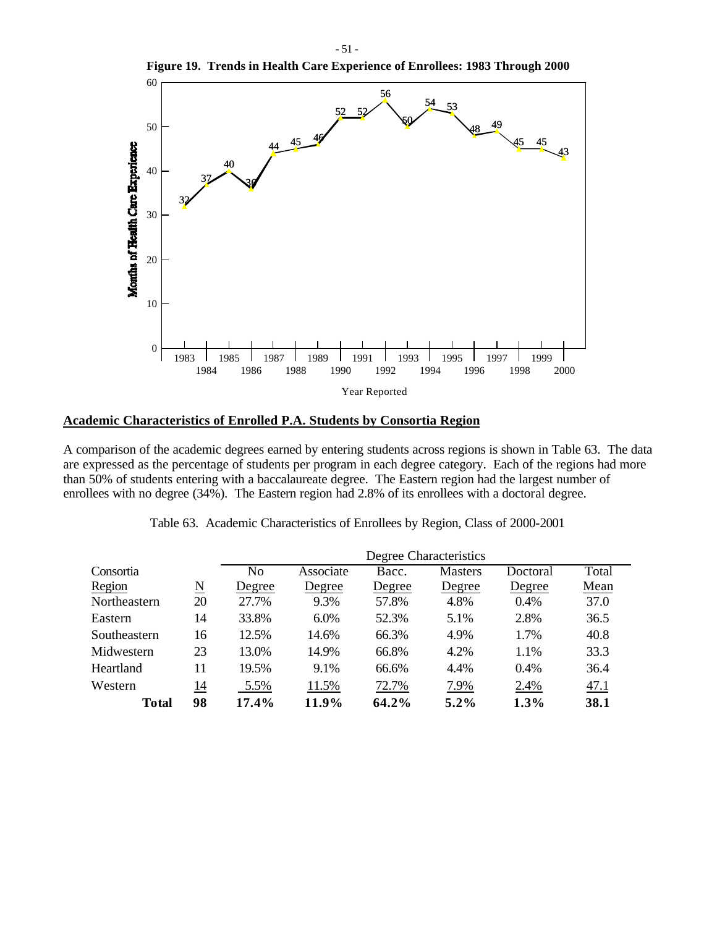

**Figure 19. Trends in Health Care Experience of Enrollees: 1983 Through 2000**

## **Academic Characteristics of Enrolled P.A. Students by Consortia Region**

A comparison of the academic degrees earned by entering students across regions is shown in Table 63. The data are expressed as the percentage of students per program in each degree category. Each of the regions had more than 50% of students entering with a baccalaureate degree. The Eastern region had the largest number of enrollees with no degree (34%). The Eastern region had 2.8% of its enrollees with a doctoral degree.

|              |                        | Degree Characteristics |           |        |                |          |       |  |
|--------------|------------------------|------------------------|-----------|--------|----------------|----------|-------|--|
| Consortia    |                        | No                     | Associate | Bacc.  | <b>Masters</b> | Doctoral | Total |  |
| Region       | $\underline{\text{N}}$ | Degree                 | Degree    | Degree | Degree         | Degree   | Mean  |  |
| Northeastern | 20                     | 27.7%                  | 9.3%      | 57.8%  | 4.8%           | 0.4%     | 37.0  |  |
| Eastern      | 14                     | 33.8%                  | $6.0\%$   | 52.3%  | 5.1%           | 2.8%     | 36.5  |  |
| Southeastern | 16                     | 12.5%                  | 14.6%     | 66.3%  | 4.9%           | 1.7%     | 40.8  |  |
| Midwestern   | 23                     | 13.0%                  | 14.9%     | 66.8%  | 4.2%           | 1.1%     | 33.3  |  |
| Heartland    | 11                     | 19.5%                  | 9.1%      | 66.6%  | 4.4%           | 0.4%     | 36.4  |  |
| Western      | 14                     | 5.5%                   | 11.5%     | 72.7%  | 7.9%           | 2.4%     | 47.1  |  |
| <b>Total</b> | 98                     | 17.4%                  | 11.9%     | 64.2%  | $5.2\%$        | $1.3\%$  | 38.1  |  |

Table 63. Academic Characteristics of Enrollees by Region, Class of 2000-2001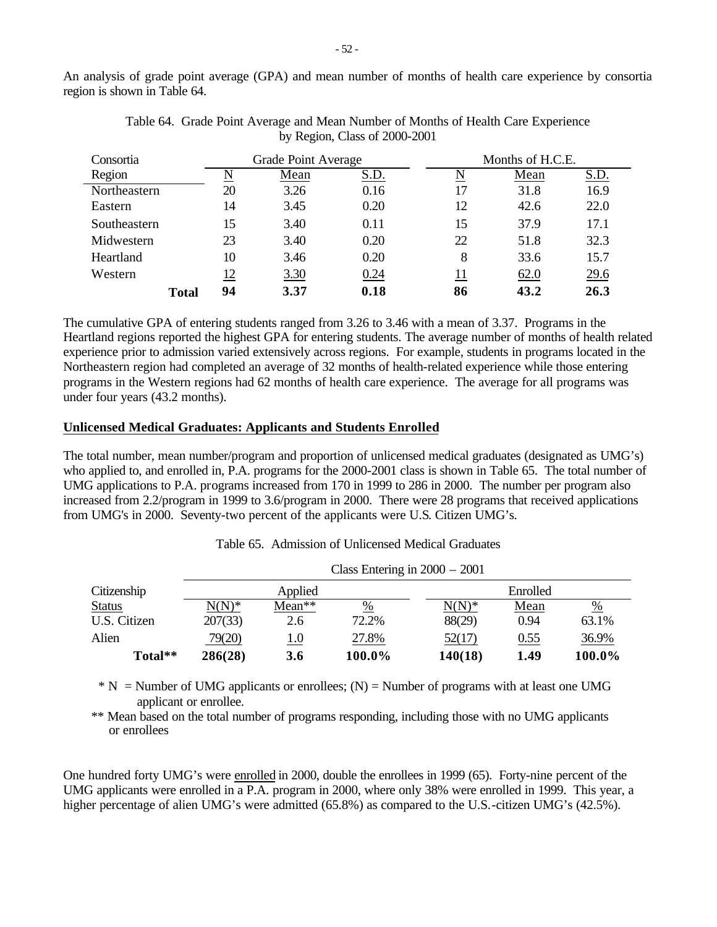An analysis of grade point average (GPA) and mean number of months of health care experience by consortia region is shown in Table 64.

| Consortia    |           | Grade Point Average |             |    | Months of H.C.E. |             |  |
|--------------|-----------|---------------------|-------------|----|------------------|-------------|--|
| Region       |           | Mean                | <u>S.D.</u> | N  | Mean             | <u>S.D.</u> |  |
| Northeastern | 20        | 3.26                | 0.16        | 17 | 31.8             | 16.9        |  |
| Eastern      | 14        | 3.45                | 0.20        | 12 | 42.6             | 22.0        |  |
| Southeastern | 15        | 3.40                | 0.11        | 15 | 37.9             | 17.1        |  |
| Midwestern   | 23        | 3.40                | 0.20        | 22 | 51.8             | 32.3        |  |
| Heartland    | 10        | 3.46                | 0.20        | 8  | 33.6             | 15.7        |  |
| Western      | <u>12</u> | 3.30                | 0.24        | 11 | 62.0             | 29.6        |  |
| Total        | 94        | 3.37                | 0.18        | 86 | 43.2             | 26.3        |  |

Table 64. Grade Point Average and Mean Number of Months of Health Care Experience by Region, Class of 2000-2001

The cumulative GPA of entering students ranged from 3.26 to 3.46 with a mean of 3.37. Programs in the Heartland regions reported the highest GPA for entering students. The average number of months of health related experience prior to admission varied extensively across regions. For example, students in programs located in the Northeastern region had completed an average of 32 months of health-related experience while those entering programs in the Western regions had 62 months of health care experience. The average for all programs was under four years (43.2 months).

## **Unlicensed Medical Graduates: Applicants and Students Enrolled**

The total number, mean number/program and proportion of unlicensed medical graduates (designated as UMG's) who applied to, and enrolled in, P.A. programs for the 2000-2001 class is shown in Table 65. The total number of UMG applications to P.A. programs increased from 170 in 1999 to 286 in 2000. The number per program also increased from 2.2/program in 1999 to 3.6/program in 2000. There were 28 programs that received applications from UMG's in 2000. Seventy-two percent of the applicants were U.S. Citizen UMG's.

Table 65. Admission of Unlicensed Medical Graduates

 $\overline{C}$   $\overline{C}$   $\overline{C}$   $\overline{C}$   $\overline{C}$   $\overline{C}$   $\overline{C}$   $\overline{C}$   $\overline{C}$   $\overline{C}$   $\overline{C}$   $\overline{C}$   $\overline{C}$   $\overline{C}$   $\overline{C}$   $\overline{C}$   $\overline{C}$   $\overline{C}$   $\overline{C}$   $\overline{C}$   $\overline{C}$   $\overline{C}$   $\overline{C}$   $\overline{C}$   $\overline{$ 

|               |          |            | Class Entering in $2000 - 2001$ |          |          |               |  |
|---------------|----------|------------|---------------------------------|----------|----------|---------------|--|
| Citizenship   |          | Applied    |                                 |          | Enrolled |               |  |
| <b>Status</b> | $N(N)^*$ | $Mean**$   | %                               | $N(N)^*$ | Mean     | $\frac{0}{0}$ |  |
| U.S. Citizen  | 207(33)  | 2.6        | 72.2%                           | 88(29)   | 0.94     | 63.1%         |  |
| Alien         | 79(20)   | <u>1.0</u> | 27.8%                           | 52(17)   | 0.55     | 36.9%         |  |
| Total**       | 286(28)  | 3.6        | 100.0%                          | 140(18)  | 1.49     | 100.0%        |  |

 $* N =$  Number of UMG applicants or enrollees; (N) = Number of programs with at least one UMG applicant or enrollee.

\*\* Mean based on the total number of programs responding, including those with no UMG applicants or enrollees

One hundred forty UMG's were enrolled in 2000, double the enrollees in 1999 (65). Forty-nine percent of the UMG applicants were enrolled in a P.A. program in 2000, where only 38% were enrolled in 1999. This year, a higher percentage of alien UMG's were admitted (65.8%) as compared to the U.S.-citizen UMG's (42.5%).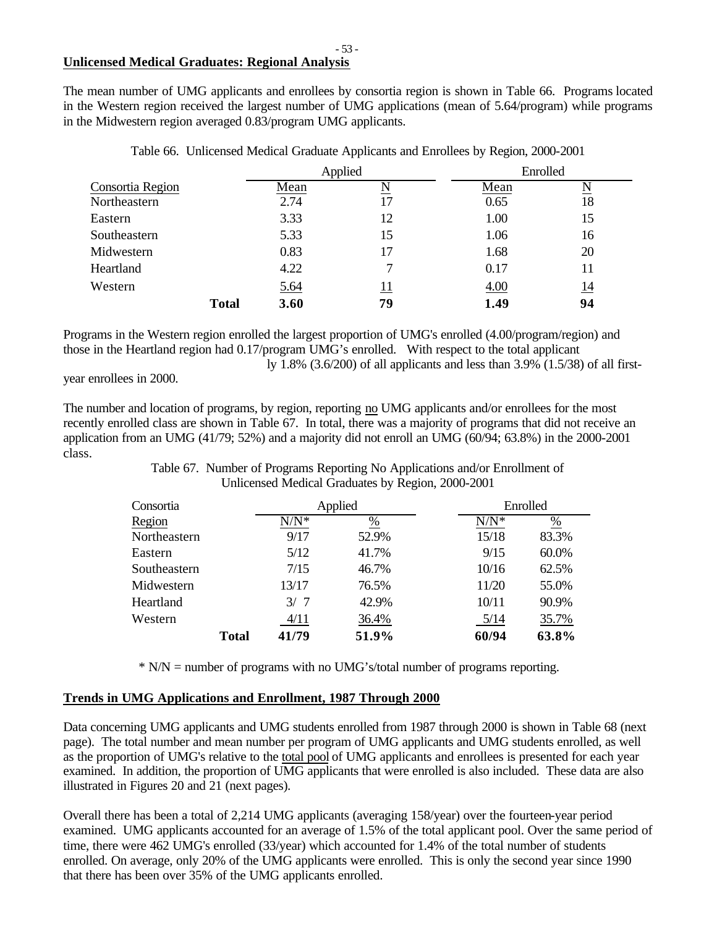# **Unlicensed Medical Graduates: Regional Analysis**

The mean number of UMG applicants and enrollees by consortia region is shown in Table 66. Programs located in the Western region received the largest number of UMG applications (mean of 5.64/program) while programs in the Midwestern region averaged 0.83/program UMG applicants.

| Applied          |              |             | Enrolled |      |                          |
|------------------|--------------|-------------|----------|------|--------------------------|
| Consortia Region |              | Mean        | N        | Mean | $\underline{\mathbf{N}}$ |
| Northeastern     |              | 2.74        | 17       | 0.65 | 18                       |
| Eastern          |              | 3.33        | 12       | 1.00 | 15                       |
| Southeastern     |              | 5.33        | 15       | 1.06 | 16                       |
| Midwestern       |              | 0.83        | 17       | 1.68 | 20                       |
| Heartland        |              | 4.22        |          | 0.17 | 11                       |
| Western          |              | <u>5.64</u> | 11       | 4.00 | <u>14</u>                |
|                  | <b>Total</b> | 3.60        | 79       | 1.49 | 94                       |

Table 66. Unlicensed Medical Graduate Applicants and Enrollees by Region, 2000-2001

Programs in the Western region enrolled the largest proportion of UMG's enrolled (4.00/program/region) and those in the Heartland region had 0.17/program UMG's enrolled. With respect to the total applicant ly 1.8% (3.6/200) of all applicants and less than 3.9% (1.5/38) of all first-

year enrollees in 2000.

The number and location of programs, by region, reporting no UMG applicants and/or enrollees for the most recently enrolled class are shown in Table 67. In total, there was a majority of programs that did not receive an application from an UMG (41/79; 52%) and a majority did not enroll an UMG (60/94; 63.8%) in the 2000-2001 class.

> Table 67. Number of Programs Reporting No Applications and/or Enrollment of Unlicensed Medical Graduates by Region, 2000-2001

| Consortia    |              | Applied<br>Enrolled |               |         |               |
|--------------|--------------|---------------------|---------------|---------|---------------|
| Region       |              | $N/N^*$             | $\frac{0}{0}$ | $N/N^*$ | $\frac{0}{0}$ |
| Northeastern |              | 9/17                | 52.9%         | 15/18   | 83.3%         |
| Eastern      |              | 5/12                | 41.7%         | 9/15    | 60.0%         |
| Southeastern |              | 7/15                | 46.7%         | 10/16   | 62.5%         |
| Midwestern   |              | 13/17               | 76.5%         | 11/20   | 55.0%         |
| Heartland    |              | 3/7                 | 42.9%         | 10/11   | 90.9%         |
| Western      |              | 4/11                | 36.4%         | 5/14    | 35.7%         |
|              | <b>Total</b> | 41/79               | 51.9%         | 60/94   | 63.8%         |

\* N/N = number of programs with no UMG's/total number of programs reporting.

# **Trends in UMG Applications and Enrollment, 1987 Through 2000**

Data concerning UMG applicants and UMG students enrolled from 1987 through 2000 is shown in Table 68 (next page). The total number and mean number per program of UMG applicants and UMG students enrolled, as well as the proportion of UMG's relative to the total pool of UMG applicants and enrollees is presented for each year examined. In addition, the proportion of UMG applicants that were enrolled is also included. These data are also illustrated in Figures 20 and 21 (next pages).

Overall there has been a total of 2,214 UMG applicants (averaging 158/year) over the fourteen-year period examined. UMG applicants accounted for an average of 1.5% of the total applicant pool. Over the same period of time, there were 462 UMG's enrolled (33/year) which accounted for 1.4% of the total number of students enrolled. On average, only 20% of the UMG applicants were enrolled. This is only the second year since 1990 that there has been over 35% of the UMG applicants enrolled.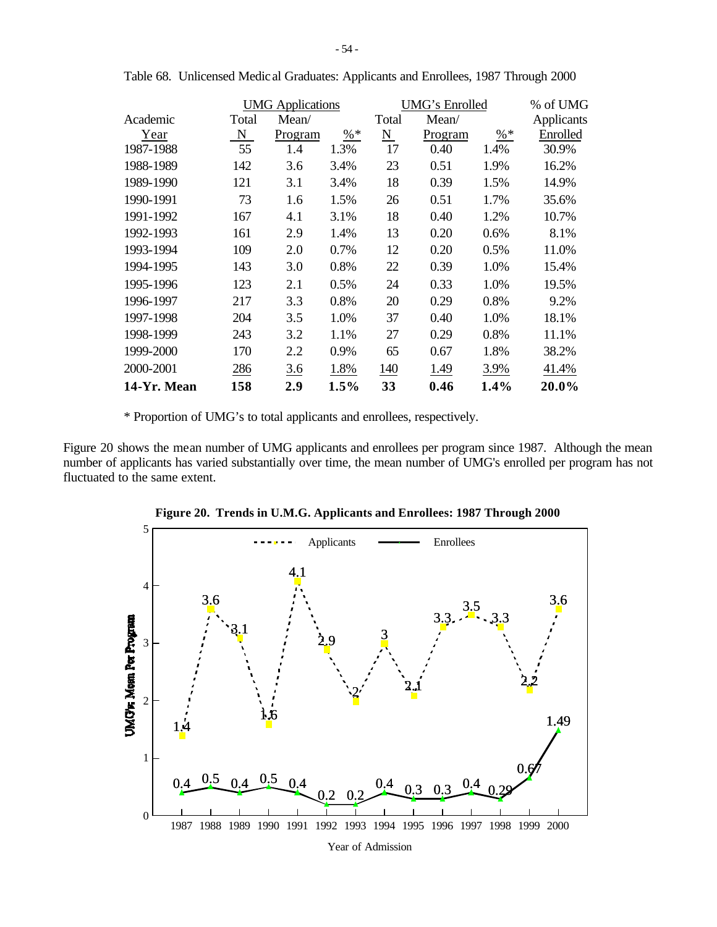|             |       | <b>UMG</b> Applications |        |       | UMG's Enrolled |                 | % of UMG   |
|-------------|-------|-------------------------|--------|-------|----------------|-----------------|------------|
| Academic    | Total | Mean/                   |        | Total | Mean/          |                 | Applicants |
| Year        | N     | Program                 | $\% *$ | N     | Program        | $\frac{9}{6}$ * | Enrolled   |
| 1987-1988   | 55    | 1.4                     | 1.3%   | 17    | 0.40           | 1.4%            | 30.9%      |
| 1988-1989   | 142   | 3.6                     | 3.4%   | 23    | 0.51           | 1.9%            | 16.2%      |
| 1989-1990   | 121   | 3.1                     | 3.4%   | 18    | 0.39           | 1.5%            | 14.9%      |
| 1990-1991   | 73    | 1.6                     | 1.5%   | 26    | 0.51           | 1.7%            | 35.6%      |
| 1991-1992   | 167   | 4.1                     | 3.1%   | 18    | 0.40           | 1.2%            | 10.7%      |
| 1992-1993   | 161   | 2.9                     | 1.4%   | 13    | 0.20           | 0.6%            | 8.1%       |
| 1993-1994   | 109   | 2.0                     | 0.7%   | 12    | 0.20           | 0.5%            | 11.0%      |
| 1994-1995   | 143   | 3.0                     | 0.8%   | 22    | 0.39           | 1.0%            | 15.4%      |
| 1995-1996   | 123   | 2.1                     | 0.5%   | 24    | 0.33           | 1.0%            | 19.5%      |
| 1996-1997   | 217   | 3.3                     | 0.8%   | 20    | 0.29           | 0.8%            | 9.2%       |
| 1997-1998   | 204   | 3.5                     | 1.0%   | 37    | 0.40           | 1.0%            | 18.1%      |
| 1998-1999   | 243   | 3.2                     | 1.1%   | 27    | 0.29           | 0.8%            | 11.1%      |
| 1999-2000   | 170   | 2.2                     | 0.9%   | 65    | 0.67           | 1.8%            | 38.2%      |
| 2000-2001   | 286   | 3.6                     | 1.8%   | 140   | 1.49           | 3.9%            | 41.4%      |
| 14-Yr. Mean | 158   | 2.9                     | 1.5%   | 33    | 0.46           | 1.4%            | 20.0%      |

Table 68. Unlicensed Medic al Graduates: Applicants and Enrollees, 1987 Through 2000

\* Proportion of UMG's to total applicants and enrollees, respectively.

Figure 20 shows the mean number of UMG applicants and enrollees per program since 1987. Although the mean number of applicants has varied substantially over time, the mean number of UMG's enrolled per program has not fluctuated to the same extent.



**Figure 20. Trends in U.M.G. Applicants and Enrollees: 1987 Through 2000**

Year of Admission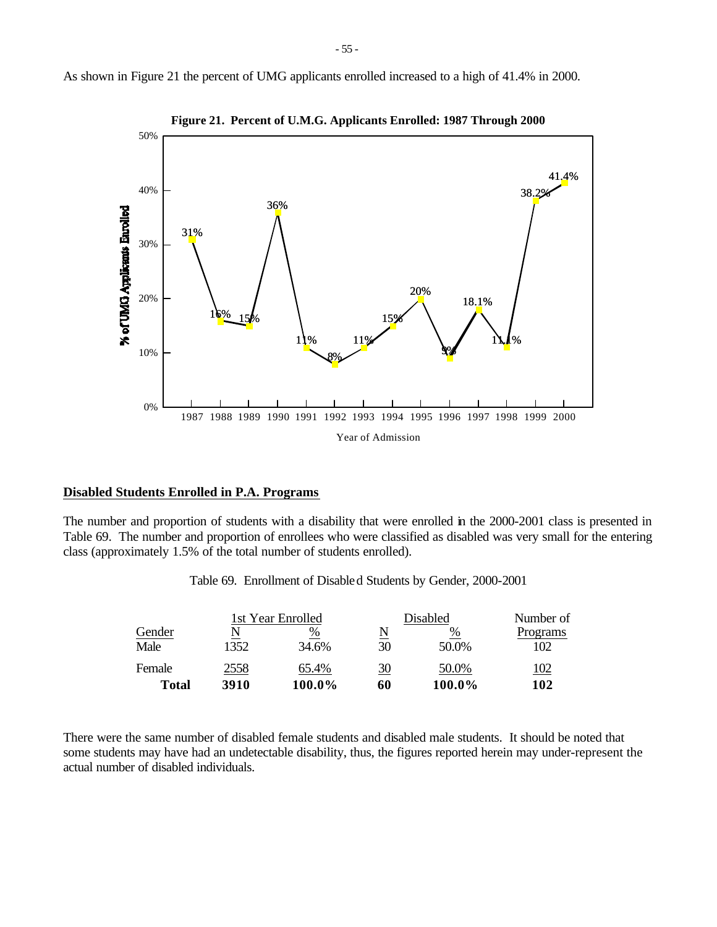



**Figure 21. Percent of U.M.G. Applicants Enrolled: 1987 Through 2000**

## **Disabled Students Enrolled in P.A. Programs**

The number and proportion of students with a disability that were enrolled in the 2000-2001 class is presented in Table 69. The number and proportion of enrollees who were classified as disabled was very small for the entering class (approximately 1.5% of the total number of students enrolled).

|  | Table 69. Enrollment of Disable d Students by Gender, 2000-2001 |  |  |  |  |
|--|-----------------------------------------------------------------|--|--|--|--|
|--|-----------------------------------------------------------------|--|--|--|--|

|        |      | 1st Year Enrolled |    | Disabled | Number of   |
|--------|------|-------------------|----|----------|-------------|
| Gender |      | %                 | N  | %        | Programs    |
| Male   | 1352 | 34.6%             | 30 | 50.0%    | 102         |
| Female | 2558 | 65.4%             | 30 | 50.0%    | <u> 102</u> |
| Total  | 3910 | 100.0%            | 60 | 100.0%   | 102         |

There were the same number of disabled female students and disabled male students. It should be noted that some students may have had an undetectable disability, thus, the figures reported herein may under-represent the actual number of disabled individuals.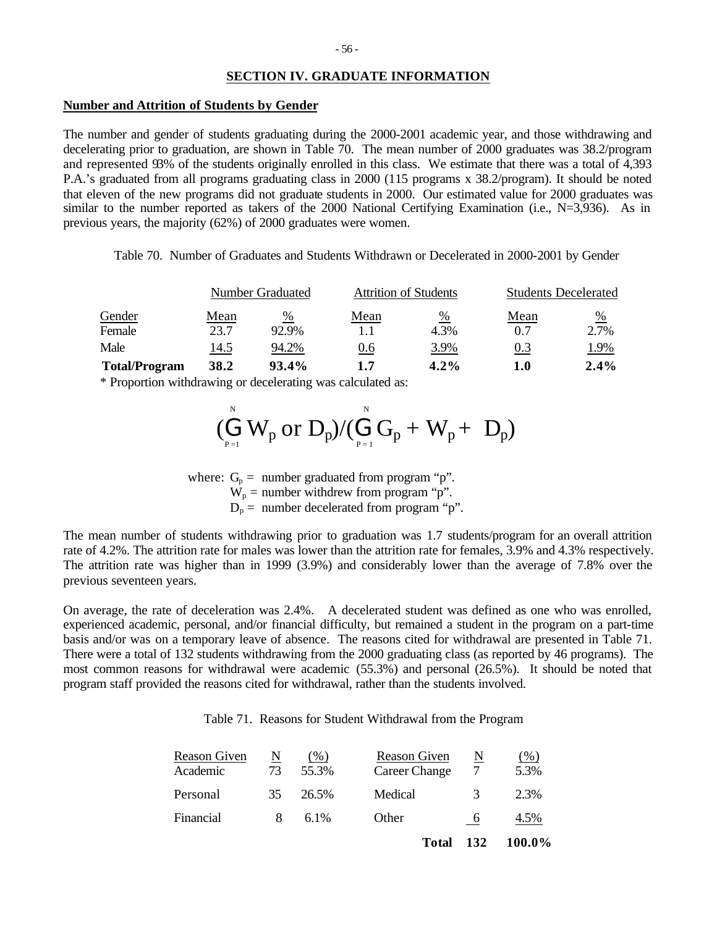## **SECTION IV. GRADUATE INFORMATION**

#### **Number and Attrition of Students by Gender**

The number and gender of students graduating during the 2000-2001 academic year, and those withdrawing and decelerating prior to graduation, are shown in Table 70. The mean number of 2000 graduates was 38.2/program and represented 93% of the students originally enrolled in this class. We estimate that there was a total of 4,393 P.A.'s graduated from all programs graduating class in 2000 (115 programs x 38.2/program). It should be noted that eleven of the new programs did not graduate students in 2000. Our estimated value for 2000 graduates was similar to the number reported as takers of the 2000 National Certifying Examination (i.e., N=3,936). As in previous years, the majority (62%) of 2000 graduates were women.

Table 70. Number of Graduates and Students Withdrawn or Decelerated in 2000-2001 by Gender

|                      |      | Number Graduated |      | <b>Attrition of Students</b> | <b>Students Decelerated</b> |      |  |
|----------------------|------|------------------|------|------------------------------|-----------------------------|------|--|
| Gender               | Mean | %                | Mean | %                            | Mean                        | %    |  |
| Female               | 23.7 | 92.9%            |      | 4.3%                         | 0.7                         | 2.7% |  |
| Male                 | 14.5 | 94.2%            | 0.6  | 3.9%                         | 0.3                         | 1.9% |  |
| <b>Total/Program</b> | 38.2 | 93.4%            | 1.7  | $4.2\%$                      | 1.0                         | 2.4% |  |

\* Proportion withdrawing or decelerating was calculated as:

$$
(\stackrel{\scriptscriptstyle{N}}{\underset{\scriptscriptstyle{P=1}}{\bigoplus}}W_p~\textrm{or}~D_p)/(\stackrel{\scriptscriptstyle{N}}{\underset{\scriptscriptstyle{P=1}}{\bigoplus}}G_p+W_p+\ D_p)
$$

where:  $G_p =$  number graduated from program "p".  $W_p$  = number withdrew from program "p".  $D_p$  = number decelerated from program "p".

The mean number of students withdrawing prior to graduation was 1.7 students/program for an overall attrition rate of 4.2%. The attrition rate for males was lower than the attrition rate for females, 3.9% and 4.3% respectively. The attrition rate was higher than in 1999 (3.9%) and considerably lower than the average of 7.8% over the previous seventeen years.

On average, the rate of deceleration was 2.4%. A decelerated student was defined as one who was enrolled, experienced academic, personal, and/or financial difficulty, but remained a student in the program on a part-time basis and/or was on a temporary leave of absence. The reasons cited for withdrawal are presented in Table 71. There were a total of 132 students withdrawing from the 2000 graduating class (as reported by 46 programs). The most common reasons for withdrawal were academic (55.3%) and personal (26.5%). It should be noted that program staff provided the reasons cited for withdrawal, rather than the students involved.

Table 71. Reasons for Student Withdrawal from the Program

| Reason Given<br>Academic | N<br>73 | $($ %)<br>55.3% | Reason Given<br>Career Change | N   | $(\%)$<br>5.3% |
|--------------------------|---------|-----------------|-------------------------------|-----|----------------|
| Personal                 | 35      | 26.5%           | Medical                       | 3   | 2.3%           |
| Financial                | 8       | $6.1\%$         | Other                         |     | 4.5%           |
|                          |         |                 | Total                         | 132 | 100.0%         |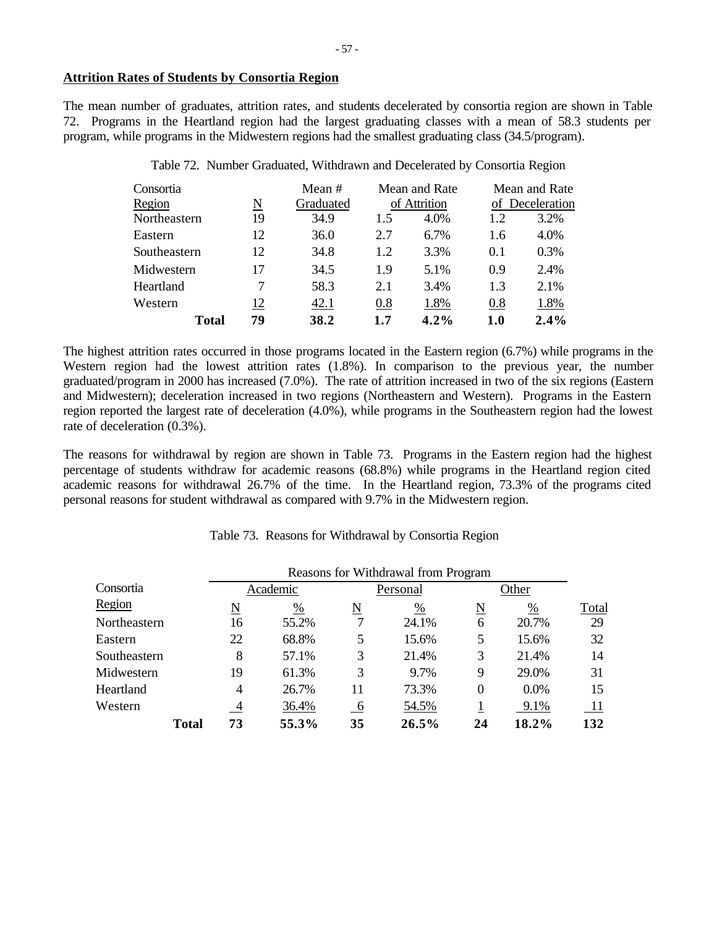## **Attrition Rates of Students by Consortia Region**

The mean number of graduates, attrition rates, and students decelerated by consortia region are shown in Table 72. Programs in the Heartland region had the largest graduating classes with a mean of 58.3 students per program, while programs in the Midwestern regions had the smallest graduating class (34.5/program).

| Consortia    |          | Mean #    |     | Mean and Rate |     | Mean and Rate   |
|--------------|----------|-----------|-----|---------------|-----|-----------------|
| Region       | <u>N</u> | Graduated |     | of Attrition  |     | of Deceleration |
| Northeastern | 19       | 34.9      | 1.5 | 4.0%          | 1.2 | 3.2%            |
| Eastern      | 12       | 36.0      | 2.7 | 6.7%          | 1.6 | 4.0%            |
| Southeastern | 12       | 34.8      | 1.2 | 3.3%          | 0.1 | 0.3%            |
| Midwestern   | 17       | 34.5      | 1.9 | 5.1%          | 0.9 | 2.4%            |
| Heartland    |          | 58.3      | 2.1 | 3.4%          | 1.3 | 2.1%            |
| Western      | 12       | 42.1      | 0.8 | 1.8%          | 0.8 | 1.8%            |
| Total        | 79       | 38.2      | 1.7 | 4.2%          | 1.0 | 2.4%            |

Table 72. Number Graduated, Withdrawn and Decelerated by Consortia Region

The highest attrition rates occurred in those programs located in the Eastern region (6.7%) while programs in the Western region had the lowest attrition rates (1.8%). In comparison to the previous year, the number graduated/program in 2000 has increased (7.0%). The rate of attrition increased in two of the six regions (Eastern and Midwestern); deceleration increased in two regions (Northeastern and Western). Programs in the Eastern region reported the largest rate of deceleration (4.0%), while programs in the Southeastern region had the lowest rate of deceleration (0.3%).

The reasons for withdrawal by region are shown in Table 73. Programs in the Eastern region had the highest percentage of students withdraw for academic reasons (68.8%) while programs in the Heartland region cited academic reasons for withdrawal 26.7% of the time. In the Heartland region, 73.3% of the programs cited personal reasons for student withdrawal as compared with 9.7% in the Midwestern region.

|  |  | Table 73. Reasons for Withdrawal by Consortia Region |  |  |
|--|--|------------------------------------------------------|--|--|
|--|--|------------------------------------------------------|--|--|

|              |       | Reasons for Withdrawal from Program |               |                     |          |                                      |               |       |  |
|--------------|-------|-------------------------------------|---------------|---------------------|----------|--------------------------------------|---------------|-------|--|
| Consortia    |       |                                     | Academic      |                     | Personal |                                      | Other         |       |  |
| Region       |       | N                                   | $\frac{0}{0}$ | $\underline{\rm N}$ | %        | $\underline{\underline{\mathrm{N}}}$ | $\frac{0}{0}$ | Total |  |
| Northeastern |       | 16                                  | 55.2%         |                     | 24.1%    | 6                                    | 20.7%         | 29    |  |
| Eastern      |       | 22                                  | 68.8%         | 5                   | 15.6%    | 5                                    | 15.6%         | 32    |  |
| Southeastern |       | 8                                   | 57.1%         | 3                   | 21.4%    | 3                                    | 21.4%         | 14    |  |
| Midwestern   |       | 19                                  | 61.3%         | 3                   | 9.7%     | 9                                    | 29.0%         | 31    |  |
| Heartland    |       | 4                                   | 26.7%         | 11                  | 73.3%    | $\Omega$                             | 0.0%          | 15    |  |
| Western      |       | $\overline{4}$                      | 36.4%         | 6                   | 54.5%    |                                      | 9.1%          | 11    |  |
|              | Total | 73                                  | 55.3%         | 35                  | 26.5%    | 24                                   | 18.2%         | 132   |  |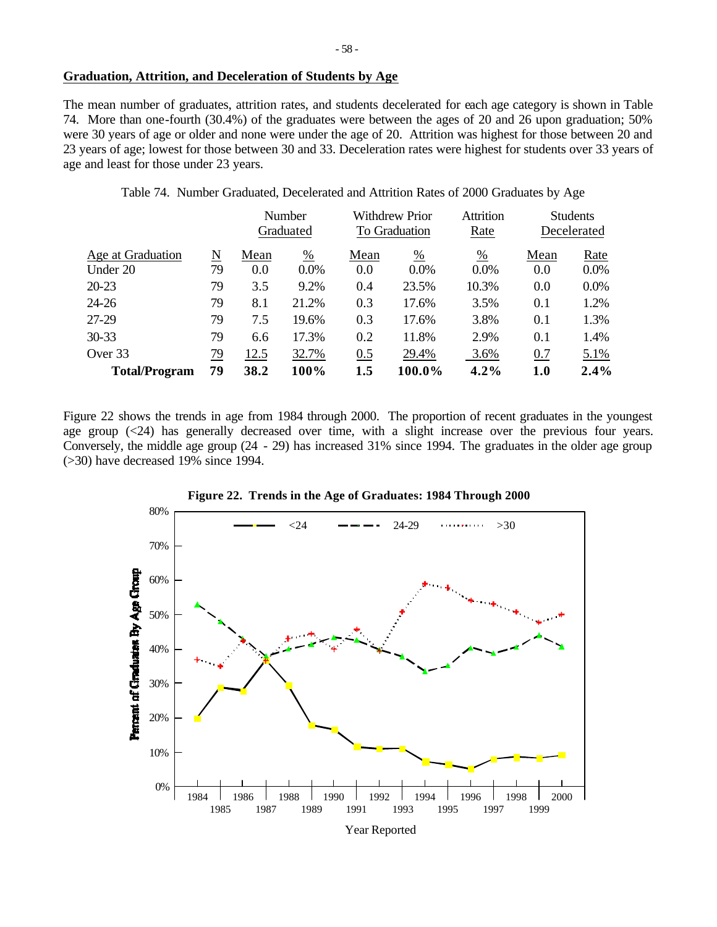# **Graduation, Attrition, and Deceleration of Students by Age**

The mean number of graduates, attrition rates, and students decelerated for each age category is shown in Table 74. More than one-fourth (30.4%) of the graduates were between the ages of 20 and 26 upon graduation; 50% were 30 years of age or older and none were under the age of 20. Attrition was highest for those between 20 and 23 years of age; lowest for those between 30 and 33. Deceleration rates were highest for students over 33 years of age and least for those under 23 years.

Table 74. Number Graduated, Decelerated and Attrition Rates of 2000 Graduates by Age

|                      |           |      | Number                     |      | <b>Withdrew Prior</b> |               | <b>Students</b> |             |  |
|----------------------|-----------|------|----------------------------|------|-----------------------|---------------|-----------------|-------------|--|
|                      |           |      | Graduated<br>To Graduation |      |                       | Rate          |                 | Decelerated |  |
| Age at Graduation    | N         | Mean | $\frac{0}{0}$              | Mean | $\frac{0}{0}$         | $\frac{0}{0}$ | Mean            | Rate        |  |
| Under 20             | 79        | 0.0  | $0.0\%$                    | 0.0  | $0.0\%$               | $0.0\%$       | 0.0             | $0.0\%$     |  |
| $20 - 23$            | 79        | 3.5  | 9.2%                       | 0.4  | 23.5%                 | 10.3%         | 0.0             | $0.0\%$     |  |
| $24 - 26$            | 79        | 8.1  | 21.2%                      | 0.3  | 17.6%                 | 3.5%          | 0.1             | 1.2%        |  |
| 27-29                | 79        | 7.5  | 19.6%                      | 0.3  | 17.6%                 | 3.8%          | 0.1             | 1.3%        |  |
| $30 - 33$            | 79        | 6.6  | 17.3%                      | 0.2  | 11.8%                 | 2.9%          | 0.1             | 1.4%        |  |
| Over 33              | <u>79</u> | 12.5 | 32.7%                      | 0.5  | 29.4%                 | 3.6%          | 0.7             | 5.1%        |  |
| <b>Total/Program</b> | 79        | 38.2 | 100%                       | 1.5  | 100.0%                | $4.2\%$       | 1.0             | 2.4%        |  |

Figure 22 shows the trends in age from 1984 through 2000. The proportion of recent graduates in the youngest age group (<24) has generally decreased over time, with a slight increase over the previous four years. Conversely, the middle age group (24 - 29) has increased 31% since 1994. The graduates in the older age group (>30) have decreased 19% since 1994.



**Figure 22. Trends in the Age of Graduates: 1984 Through 2000**

Year Reported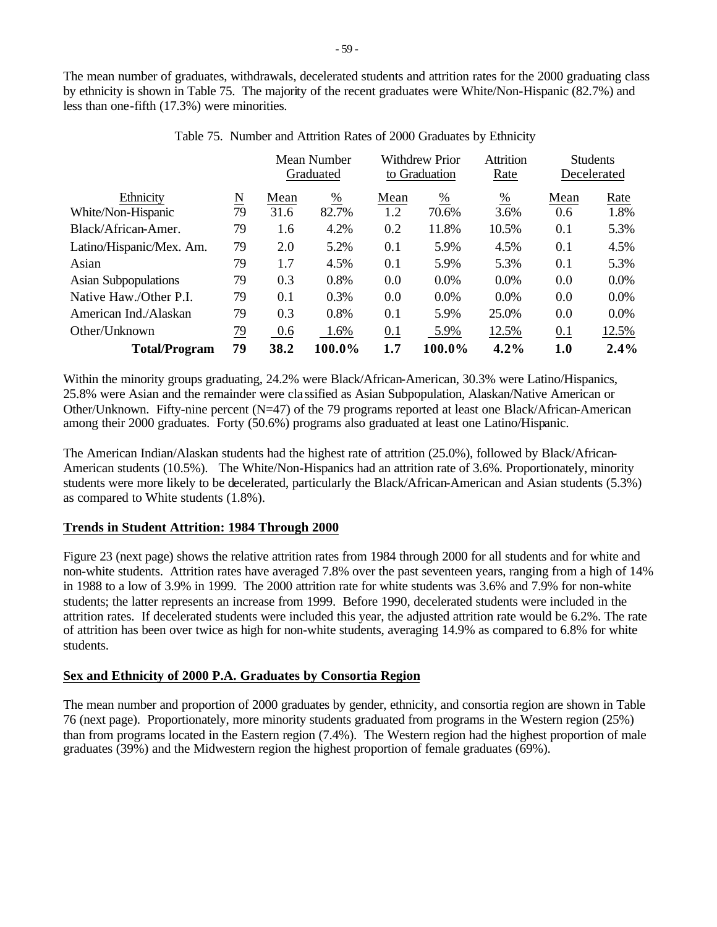The mean number of graduates, withdrawals, decelerated students and attrition rates for the 2000 graduating class by ethnicity is shown in Table 75. The majority of the recent graduates were White/Non-Hispanic (82.7%) and less than one-fifth (17.3%) were minorities.

|                             |                     |      | Mean Number<br>Graduated |      | <b>Withdrew Prior</b><br>to Graduation | <b>Attrition</b><br>Rate |      | <b>Students</b><br>Decelerated |
|-----------------------------|---------------------|------|--------------------------|------|----------------------------------------|--------------------------|------|--------------------------------|
| Ethnicity                   | $\underline{\rm N}$ | Mean | $\frac{\%}{\%}$          | Mean | $\frac{0}{0}$                          | $\frac{0}{0}$            | Mean | Rate                           |
| White/Non-Hispanic          | 79                  | 31.6 | 82.7%                    | 1.2  | 70.6%                                  | 3.6%                     | 0.6  | 1.8%                           |
| Black/African-Amer.         | 79                  | 1.6  | 4.2%                     | 0.2  | 11.8%                                  | 10.5%                    | 0.1  | 5.3%                           |
| Latino/Hispanic/Mex. Am.    | 79                  | 2.0  | 5.2%                     | 0.1  | 5.9%                                   | 4.5%                     | 0.1  | 4.5%                           |
| Asian                       | 79                  | 1.7  | 4.5%                     | 0.1  | 5.9%                                   | 5.3%                     | 0.1  | 5.3%                           |
| <b>Asian Subpopulations</b> | 79                  | 0.3  | 0.8%                     | 0.0  | $0.0\%$                                | $0.0\%$                  | 0.0  | $0.0\%$                        |
| Native Haw./Other P.I.      | 79                  | 0.1  | 0.3%                     | 0.0  | $0.0\%$                                | $0.0\%$                  | 0.0  | 0.0%                           |
| American Ind./Alaskan       | 79                  | 0.3  | 0.8%                     | 0.1  | 5.9%                                   | 25.0%                    | 0.0  | 0.0%                           |
| Other/Unknown               | <u>79</u>           | 0.6  | 1.6%                     | 0.1  | 5.9%                                   | 12.5%                    | 0.1  | 12.5%                          |
| <b>Total/Program</b>        | 79                  | 38.2 | 100.0%                   | 1.7  | 100.0%                                 | $4.2\%$                  | 1.0  | 2.4%                           |

Table 75. Number and Attrition Rates of 2000 Graduates by Ethnicity

Within the minority groups graduating, 24.2% were Black/African-American, 30.3% were Latino/Hispanics, 25.8% were Asian and the remainder were cla ssified as Asian Subpopulation, Alaskan/Native American or Other/Unknown. Fifty-nine percent (N=47) of the 79 programs reported at least one Black/African-American among their 2000 graduates. Forty (50.6%) programs also graduated at least one Latino/Hispanic.

The American Indian/Alaskan students had the highest rate of attrition (25.0%), followed by Black/African-American students (10.5%). The White/Non-Hispanics had an attrition rate of 3.6%. Proportionately, minority students were more likely to be decelerated, particularly the Black/African-American and Asian students (5.3%) as compared to White students (1.8%).

# **Trends in Student Attrition: 1984 Through 2000**

Figure 23 (next page) shows the relative attrition rates from 1984 through 2000 for all students and for white and non-white students. Attrition rates have averaged 7.8% over the past seventeen years, ranging from a high of 14% in 1988 to a low of 3.9% in 1999. The 2000 attrition rate for white students was 3.6% and 7.9% for non-white students; the latter represents an increase from 1999. Before 1990, decelerated students were included in the attrition rates. If decelerated students were included this year, the adjusted attrition rate would be 6.2%. The rate of attrition has been over twice as high for non-white students, averaging 14.9% as compared to 6.8% for white students.

# **Sex and Ethnicity of 2000 P.A. Graduates by Consortia Region**

The mean number and proportion of 2000 graduates by gender, ethnicity, and consortia region are shown in Table 76 (next page). Proportionately, more minority students graduated from programs in the Western region (25%) than from programs located in the Eastern region (7.4%). The Western region had the highest proportion of male graduates (39%) and the Midwestern region the highest proportion of female graduates (69%).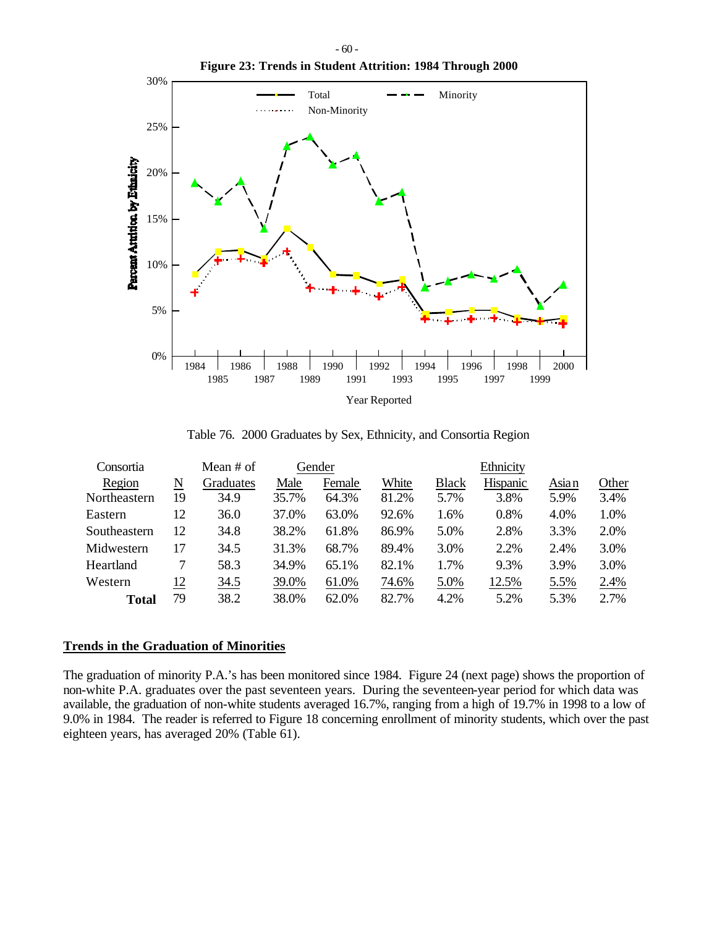

Table 76. 2000 Graduates by Sex, Ethnicity, and Consortia Region

| Consortia    |    | Mean # of |       | Gender |       |              | Ethnicity |       |       |
|--------------|----|-----------|-------|--------|-------|--------------|-----------|-------|-------|
| Region       | N  | Graduates | Male  | Female | White | <b>Black</b> | Hispanic  | Asian | Other |
| Northeastern | 19 | 34.9      | 35.7% | 64.3%  | 81.2% | 5.7%         | 3.8%      | 5.9%  | 3.4%  |
| Eastern      | 12 | 36.0      | 37.0% | 63.0%  | 92.6% | 1.6%         | 0.8%      | 4.0%  | 1.0%  |
| Southeastern | 12 | 34.8      | 38.2% | 61.8%  | 86.9% | 5.0%         | 2.8%      | 3.3%  | 2.0%  |
| Midwestern   | 17 | 34.5      | 31.3% | 68.7%  | 89.4% | 3.0%         | 2.2%      | 2.4%  | 3.0%  |
| Heartland    |    | 58.3      | 34.9% | 65.1%  | 82.1% | 1.7%         | 9.3%      | 3.9%  | 3.0%  |
| Western      | 12 | 34.5      | 39.0% | 61.0%  | 74.6% | 5.0%         | 12.5%     | 5.5%  | 2.4%  |
| Total        | 79 | 38.2      | 38.0% | 62.0%  | 82.7% | 4.2%         | 5.2%      | 5.3%  | 2.7%  |

## **Trends in the Graduation of Minorities**

The graduation of minority P.A.'s has been monitored since 1984. Figure 24 (next page) shows the proportion of non-white P.A. graduates over the past seventeen years. During the seventeen-year period for which data was available, the graduation of non-white students averaged 16.7%, ranging from a high of 19.7% in 1998 to a low of 9.0% in 1984. The reader is referred to Figure 18 concerning enrollment of minority students, which over the past eighteen years, has averaged 20% (Table 61).

- 60 -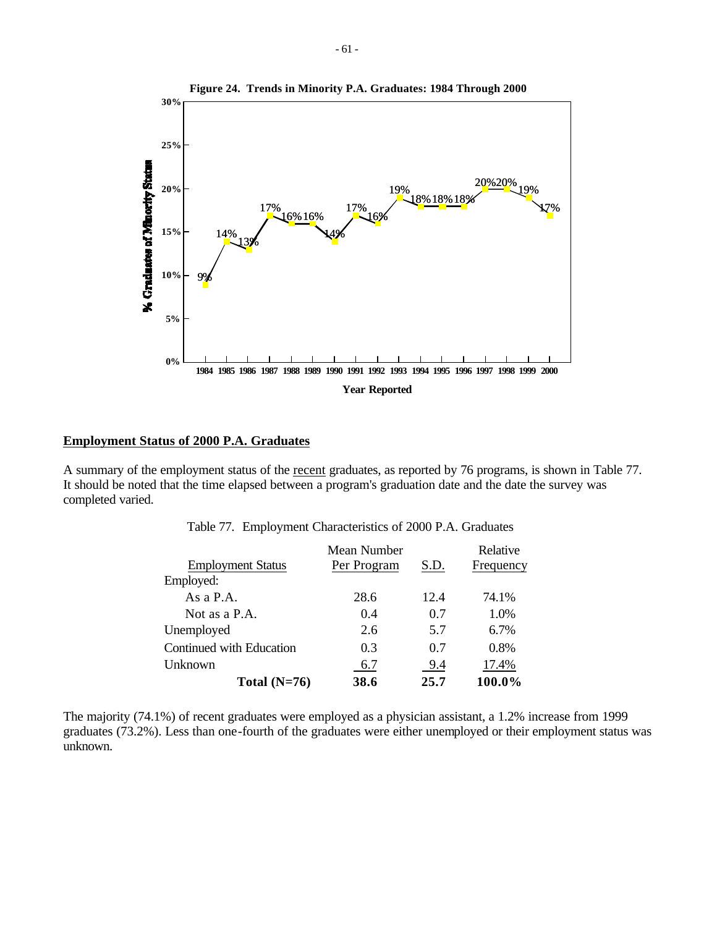

# **Employment Status of 2000 P.A. Graduates**

A summary of the employment status of the recent graduates, as reported by 76 programs, is shown in Table 77. It should be noted that the time elapsed between a program's graduation date and the date the survey was completed varied.

|                          | Mean Number |      | Relative  |  |
|--------------------------|-------------|------|-----------|--|
| <b>Employment Status</b> | Per Program | S.D. | Frequency |  |
| Employed:                |             |      |           |  |
| As a $P.A.$              | 28.6        | 12.4 | 74.1%     |  |
| Not as a P.A.            | 0.4         | 0.7  | 1.0%      |  |
| Unemployed               | 2.6         | 5.7  | 6.7%      |  |
| Continued with Education | 0.3         | 0.7  | 0.8%      |  |
| Unknown                  | 6.7         | 9.4  | 17.4%     |  |
| Total $(N=76)$           | 38.6        | 25.7 | 100.0%    |  |

Table 77. Employment Characteristics of 2000 P.A. Graduates

The majority (74.1%) of recent graduates were employed as a physician assistant, a 1.2% increase from 1999 graduates (73.2%). Less than one-fourth of the graduates were either unemployed or their employment status was unknown.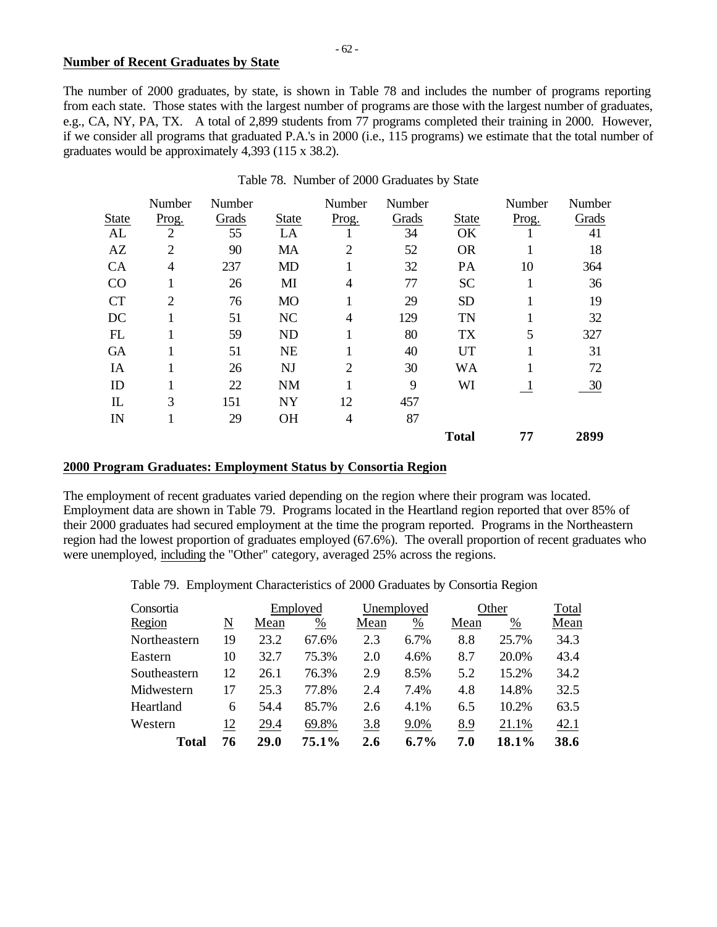## **Number of Recent Graduates by State**

The number of 2000 graduates, by state, is shown in Table 78 and includes the number of programs reporting from each state. Those states with the largest number of programs are those with the largest number of graduates, e.g., CA, NY, PA, TX. A total of 2,899 students from 77 programs completed their training in 2000. However, if we consider all programs that graduated P.A.'s in 2000 (i.e., 115 programs) we estimate that the total number of graduates would be approximately 4,393 (115 x 38.2).

|              | Number         | Number |              | Number         | Number |              | Number       | Number |
|--------------|----------------|--------|--------------|----------------|--------|--------------|--------------|--------|
| <b>State</b> | Prog.          | Grads  | <b>State</b> | Prog.          | Grads  | <b>State</b> | Prog.        | Grads  |
| AL           | $\overline{2}$ | 55     | LA           |                | 34     | OK           |              | 41     |
| AZ           | $\overline{2}$ | 90     | MA           | $\overline{2}$ | 52     | <b>OR</b>    |              | 18     |
| CA           | 4              | 237    | <b>MD</b>    | 1              | 32     | PA           | 10           | 364    |
| CO           |                | 26     | MI           | 4              | 77     | <b>SC</b>    | 1            | 36     |
| <b>CT</b>    | $\overline{2}$ | 76     | <b>MO</b>    | 1              | 29     | <b>SD</b>    |              | 19     |
| DC           |                | 51     | NC           | 4              | 129    | <b>TN</b>    |              | 32     |
| FL           |                | 59     | <b>ND</b>    | 1              | 80     | <b>TX</b>    | 5            | 327    |
| <b>GA</b>    |                | 51     | <b>NE</b>    |                | 40     | UT           |              | 31     |
| IA           |                | 26     | <b>NJ</b>    | $\overline{2}$ | 30     | WA           |              | 72     |
| ID           |                | 22     | <b>NM</b>    |                | 9      | WI           | $\mathbf{I}$ | 30     |
| $\mathbb{L}$ | 3              | 151    | <b>NY</b>    | 12             | 457    |              |              |        |
| IN           |                | 29     | <b>OH</b>    | 4              | 87     |              |              |        |
|              |                |        |              |                |        | <b>Total</b> | 77           | 2899   |

## Table 78. Number of 2000 Graduates by State

## **2000 Program Graduates: Employment Status by Consortia Region**

The employment of recent graduates varied depending on the region where their program was located. Employment data are shown in Table 79. Programs located in the Heartland region reported that over 85% of their 2000 graduates had secured employment at the time the program reported. Programs in the Northeastern region had the lowest proportion of graduates employed (67.6%). The overall proportion of recent graduates who were unemployed, including the "Other" category, averaged 25% across the regions.

Table 79. Employment Characteristics of 2000 Graduates by Consortia Region

| Consortia    |    |      | Employed      |      | Unemployed    |      | Other | Total |
|--------------|----|------|---------------|------|---------------|------|-------|-------|
| Region       | N  | Mean | $\frac{0}{0}$ | Mean | $\frac{0}{0}$ | Mean | %     | Mean  |
| Northeastern | 19 | 23.2 | 67.6%         | 2.3  | 6.7%          | 8.8  | 25.7% | 34.3  |
| Eastern      | 10 | 32.7 | 75.3%         | 2.0  | 4.6%          | 8.7  | 20.0% | 43.4  |
| Southeastern | 12 | 26.1 | 76.3%         | 2.9  | 8.5%          | 5.2  | 15.2% | 34.2  |
| Midwestern   | 17 | 25.3 | 77.8%         | 2.4  | 7.4%          | 4.8  | 14.8% | 32.5  |
| Heartland    | 6  | 54.4 | 85.7%         | 2.6  | 4.1%          | 6.5  | 10.2% | 63.5  |
| Western      | 12 | 29.4 | 69.8%         | 3.8  | 9.0%          | 8.9  | 21.1% | 42.1  |
| Total        | 76 | 29.0 | 75.1%         | 2.6  | $6.7\%$       | 7.0  | 18.1% | 38.6  |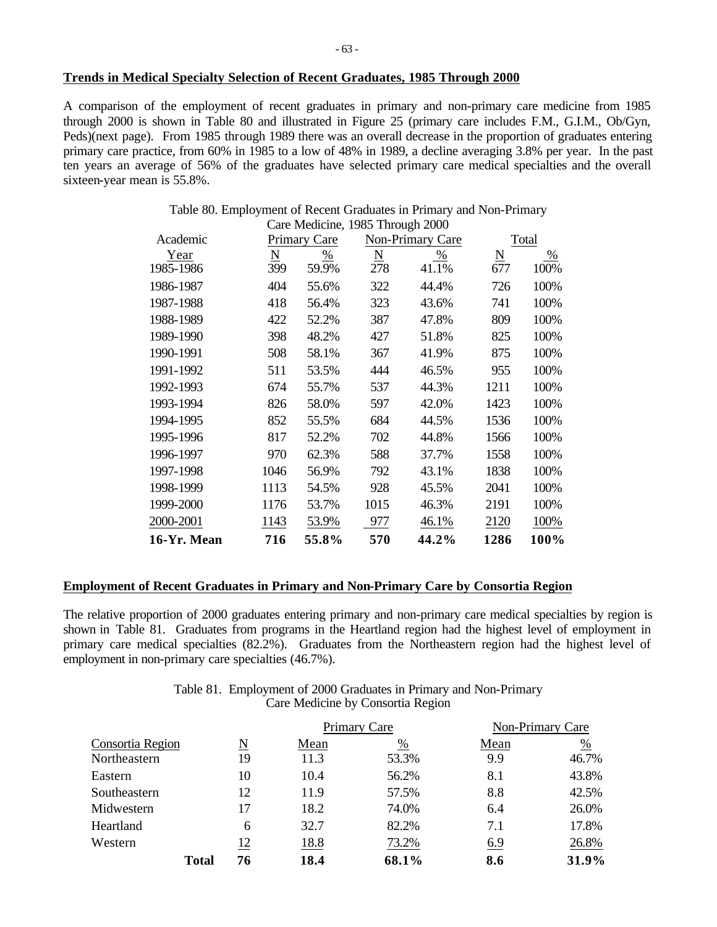## **Trends in Medical Specialty Selection of Recent Graduates, 1985 Through 2000**

A comparison of the employment of recent graduates in primary and non-primary care medicine from 1985 through 2000 is shown in Table 80 and illustrated in Figure 25 (primary care includes F.M., G.I.M., Ob/Gyn, Peds)(next page). From 1985 through 1989 there was an overall decrease in the proportion of graduates entering primary care practice, from 60% in 1985 to a low of 48% in 1989, a decline averaging 3.8% per year. In the past ten years an average of 56% of the graduates have selected primary care medical specialties and the overall sixteen-year mean is 55.8%.

Table 80. Employment of Recent Graduates in Primary and Non-Primary

| 1986-1987   | 404  | 55.6% | 322  | 44.4% | 726  | 100% |
|-------------|------|-------|------|-------|------|------|
| 1987-1988   | 418  | 56.4% | 323  | 43.6% | 741  | 100% |
| 1988-1989   | 422  | 52.2% | 387  | 47.8% | 809  | 100% |
| 1989-1990   | 398  | 48.2% | 427  | 51.8% | 825  | 100% |
| 1990-1991   | 508  | 58.1% | 367  | 41.9% | 875  | 100% |
| 1991-1992   | 511  | 53.5% | 444  | 46.5% | 955  | 100% |
| 1992-1993   | 674  | 55.7% | 537  | 44.3% | 1211 | 100% |
| 1993-1994   | 826  | 58.0% | 597  | 42.0% | 1423 | 100% |
| 1994-1995   | 852  | 55.5% | 684  | 44.5% | 1536 | 100% |
| 1995-1996   | 817  | 52.2% | 702  | 44.8% | 1566 | 100% |
| 1996-1997   | 970  | 62.3% | 588  | 37.7% | 1558 | 100% |
| 1997-1998   | 1046 | 56.9% | 792  | 43.1% | 1838 | 100% |
| 1998-1999   | 1113 | 54.5% | 928  | 45.5% | 2041 | 100% |
| 1999-2000   | 1176 | 53.7% | 1015 | 46.3% | 2191 | 100% |
| 2000-2001   | 1143 | 53.9% | 977  | 46.1% | 2120 | 100% |
| 16-Yr. Mean | 716  | 55.8% | 570  | 44.2% | 1286 | 100% |

## **Employment of Recent Graduates in Primary and Non-Primary Care by Consortia Region**

The relative proportion of 2000 graduates entering primary and non-primary care medical specialties by region is shown in Table 81. Graduates from programs in the Heartland region had the highest level of employment in primary care medical specialties (82.2%). Graduates from the Northeastern region had the highest level of employment in non-primary care specialties (46.7%).

| Table 81. Employment of 2000 Graduates in Primary and Non-Primary |
|-------------------------------------------------------------------|
| Care Medicine by Consortia Region                                 |

|                  |              |            |      | Primary Care | Non-Primary Care |               |
|------------------|--------------|------------|------|--------------|------------------|---------------|
| Consortia Region |              | N          | Mean | %            | Mean             | $\frac{0}{0}$ |
| Northeastern     |              | 19         | 11.3 | 53.3%        | 9.9              | 46.7%         |
| Eastern          |              | 10         | 10.4 | 56.2%        | 8.1              | 43.8%         |
| Southeastern     |              | 12         | 11.9 | 57.5%        | 8.8              | 42.5%         |
| Midwestern       |              | 17         | 18.2 | 74.0%        | 6.4              | 26.0%         |
| Heartland        |              | 6          | 32.7 | 82.2%        | 7.1              | 17.8%         |
| Western          |              | <u> 12</u> | 18.8 | 73.2%        | 6.9              | 26.8%         |
|                  | <b>Total</b> | 76         | 18.4 | 68.1%        | 8.6              | 31.9%         |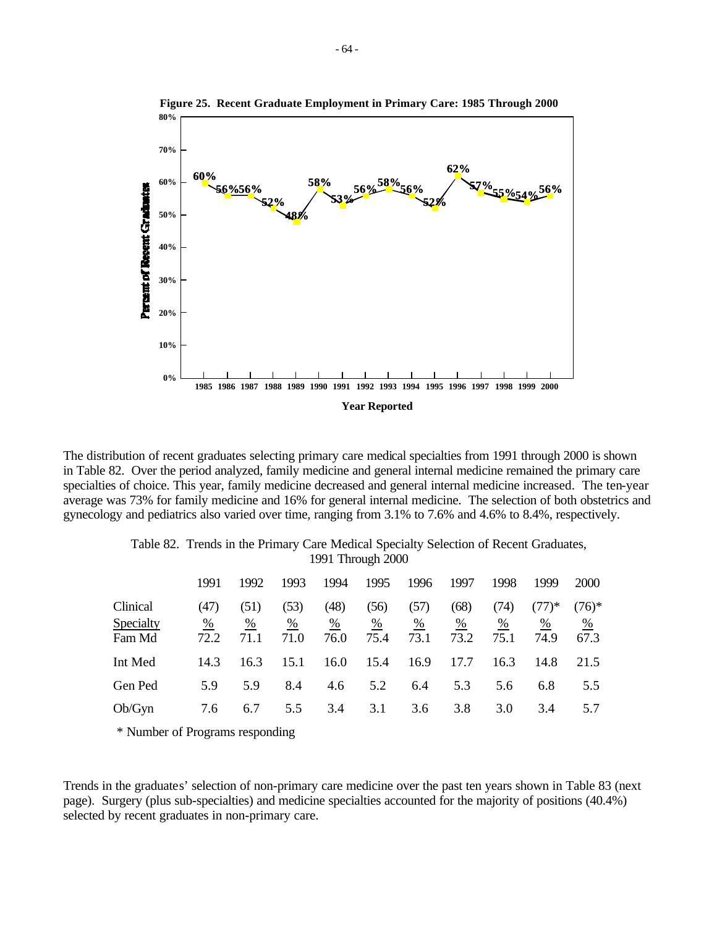

The distribution of recent graduates selecting primary care medical specialties from 1991 through 2000 is shown in Table 82. Over the period analyzed, family medicine and general internal medicine remained the primary care specialties of choice. This year, family medicine decreased and general internal medicine increased. The ten-year average was 73% for family medicine and 16% for general internal medicine. The selection of both obstetrics and gynecology and pediatrics also varied over time, ranging from 3.1% to 7.6% and 4.6% to 8.4%, respectively.

Table 82. Trends in the Primary Care Medical Specialty Selection of Recent Graduates,

| 1991 Through 2000               |                                 |                               |                                 |                               |                               |                               |                                 |                               |                                    |                                    |
|---------------------------------|---------------------------------|-------------------------------|---------------------------------|-------------------------------|-------------------------------|-------------------------------|---------------------------------|-------------------------------|------------------------------------|------------------------------------|
|                                 | 1991                            | 1992                          | 1993                            | 1994                          | 1995                          | 1996                          | 1997                            | 1998                          | 1999                               | <b>2000</b>                        |
| Clinical<br>Specialty<br>Fam Md | (47)<br>$\frac{\%}{\%}$<br>72.2 | (51)<br>$\frac{0}{0}$<br>71.1 | (53)<br>$\frac{\%}{\%}$<br>71.0 | (48)<br>$\frac{0}{0}$<br>76.0 | (56)<br>$\frac{9}{6}$<br>75.4 | (57)<br>$\frac{0}{0}$<br>73.1 | (68)<br>$\frac{\%}{\%}$<br>73.2 | (74)<br>$\frac{0}{6}$<br>75.1 | $(77)*$<br>$\frac{\%}{\%}$<br>74.9 | $(76)*$<br>$\frac{\%}{\%}$<br>67.3 |
| Int Med                         | 14.3                            | 16.3                          | 15.1                            | 16.0                          | 15.4                          | 16.9                          | 17.7                            | 16.3                          | 14.8                               | 21.5                               |
| Gen Ped                         | 5.9                             | 5.9                           | 8.4                             | 4.6                           | 5.2                           | 6.4                           | 5.3                             | 5.6                           | 6.8                                | 5.5                                |
| Ob/Gyn                          | 7.6                             | 6.7                           | 5.5                             | 3.4                           | 3.1                           | 3.6                           | 3.8                             | 3.0                           | 3.4                                | 5.7                                |

**Figure 25. Recent Graduate Employment in Primary Care: 1985 Through 2000**

\* Number of Programs responding

Trends in the graduates' selection of non-primary care medicine over the past ten years shown in Table 83 (next page). Surgery (plus sub-specialties) and medicine specialties accounted for the majority of positions (40.4%) selected by recent graduates in non-primary care.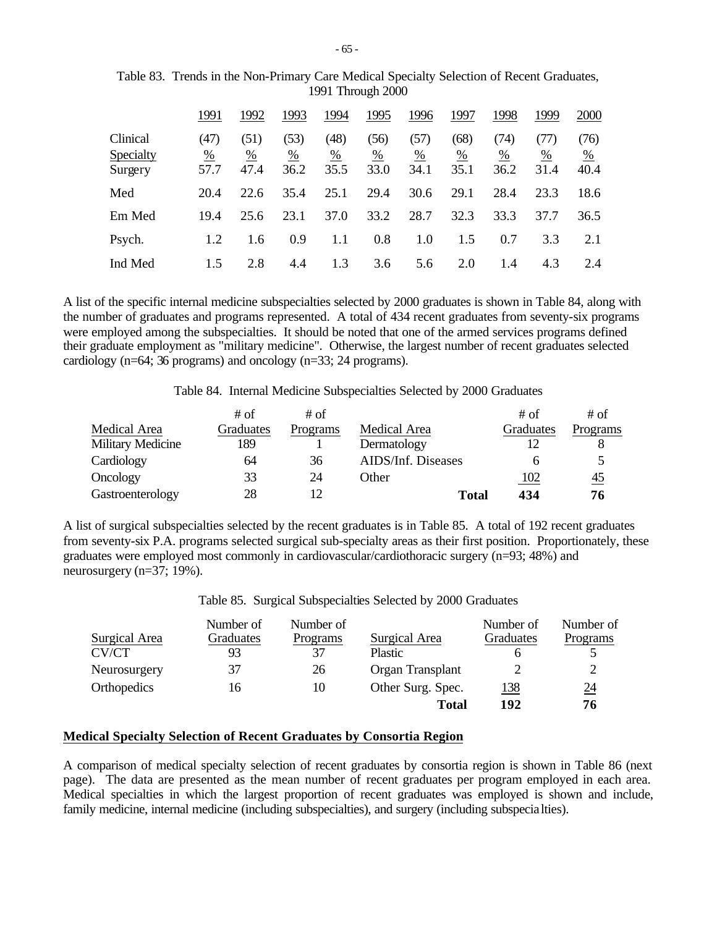|                                  | 1991                          | 1992              | 1993                          | 1994                          | 1995              | 1996              | 1997                          | 1998              | 1999              | 2000                          |
|----------------------------------|-------------------------------|-------------------|-------------------------------|-------------------------------|-------------------|-------------------|-------------------------------|-------------------|-------------------|-------------------------------|
| Clinical<br>Specialty<br>Surgery | (47)<br>$\frac{0}{0}$<br>57.7 | (51)<br>%<br>47.4 | (53)<br>$\frac{0}{0}$<br>36.2 | (48)<br>$\frac{0}{0}$<br>35.5 | (56)<br>%<br>33.0 | (57)<br>%<br>34.1 | (68)<br>$\frac{0}{0}$<br>35.1 | (74)<br>%<br>36.2 | (77)<br>%<br>31.4 | (76)<br>$\frac{0}{6}$<br>40.4 |
| Med                              | 20.4                          | 22.6              | 35.4                          | 25.1                          | 29.4              | 30.6              | 29.1                          | 28.4              | 23.3              | 18.6                          |
| Em Med                           | 19.4                          | 25.6              | 23.1                          | 37.0                          | 33.2              | 28.7              | 32.3                          | 33.3              | 37.7              | 36.5                          |
| Psych.                           | 1.2                           | 1.6               | 0.9                           | 1.1                           | 0.8               | 1.0               | 1.5                           | 0.7               | 3.3               | 2.1                           |
| Ind Med                          | 1.5                           | 2.8               | 4.4                           | 1.3                           | 3.6               | 5.6               | 2.0                           | 1.4               | 4.3               | 2.4                           |

Table 83. Trends in the Non-Primary Care Medical Specialty Selection of Recent Graduates, 1991 Through 2000

A list of the specific internal medicine subspecialties selected by 2000 graduates is shown in Table 84, along with the number of graduates and programs represented. A total of 434 recent graduates from seventy-six programs were employed among the subspecialties. It should be noted that one of the armed services programs defined their graduate employment as "military medicine". Otherwise, the largest number of recent graduates selected cardiology (n=64; 36 programs) and oncology (n=33; 24 programs).

Table 84. Internal Medicine Subspecialties Selected by 2000 Graduates

|                          | # of      | # of     |                    | # of        | # of      |
|--------------------------|-----------|----------|--------------------|-------------|-----------|
| Medical Area             | Graduates | Programs | Medical Area       | Graduates   | Programs  |
| <b>Military Medicine</b> | 189       |          | Dermatology        |             |           |
| Cardiology               | 64        | 36       | AIDS/Inf. Diseases |             |           |
| Oncology                 | 33        | 24       | Other              | <u> 102</u> | <u>45</u> |
| Gastroenterology         | 28        |          | <b>Total</b>       | 434         | 76        |

A list of surgical subspecialties selected by the recent graduates is in Table 85. A total of 192 recent graduates from seventy-six P.A. programs selected surgical sub-specialty areas as their first position. Proportionately, these graduates were employed most commonly in cardiovascular/cardiothoracic surgery (n=93; 48%) and neurosurgery (n=37; 19%).

Table 85. Surgical Subspecialties Selected by 2000 Graduates

| Surgical Area | Number of<br>Graduates | Number of<br>Programs | Surgical Area     | Number of<br>Graduates | Number of<br>Programs |
|---------------|------------------------|-----------------------|-------------------|------------------------|-----------------------|
| CV/CT         | 93                     | 37                    | <b>Plastic</b>    | n                      |                       |
| Neurosurgery  | 37                     | 26                    | Organ Transplant  |                        |                       |
| Orthopedics   | 16                     | 10                    | Other Surg. Spec. | <u> 138</u>            | $\underline{24}$      |
|               |                        |                       | Total             | 192                    | 76                    |

# **Medical Specialty Selection of Recent Graduates by Consortia Region**

A comparison of medical specialty selection of recent graduates by consortia region is shown in Table 86 (next page). The data are presented as the mean number of recent graduates per program employed in each area. Medical specialties in which the largest proportion of recent graduates was employed is shown and include, family medicine, internal medicine (including subspecialties), and surgery (including subspecialties).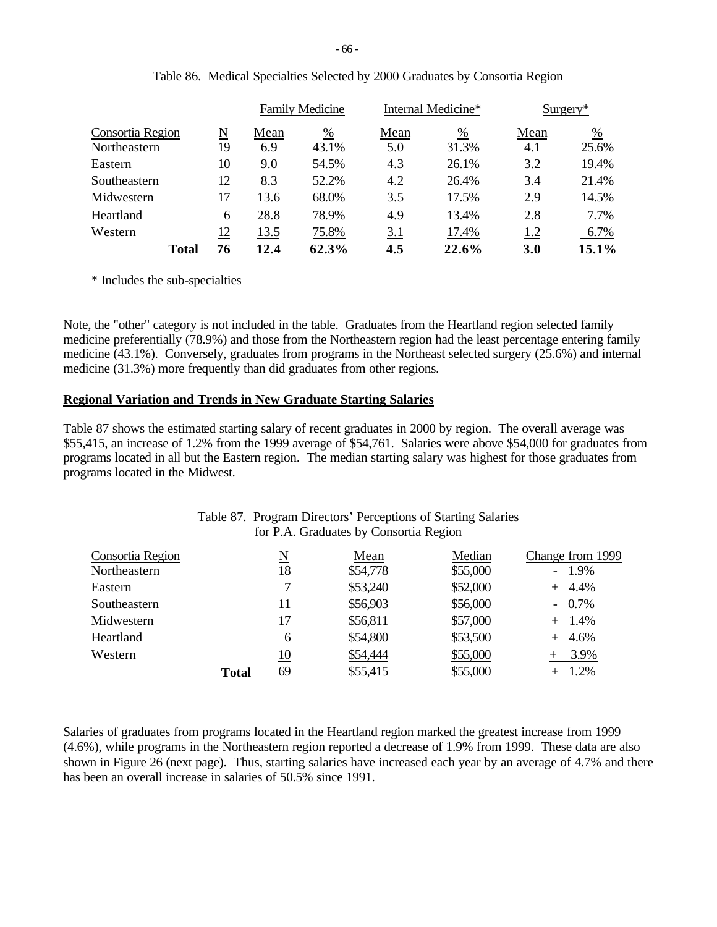|                  |    | <b>Family Medicine</b> |       |      | Internal Medicine* | $Surgery*$ |               |
|------------------|----|------------------------|-------|------|--------------------|------------|---------------|
| Consortia Region | N  | Mean                   | %     | Mean | %                  | Mean       | $\frac{0}{0}$ |
| Northeastern     | 19 | 6.9                    | 43.1% | 5.0  | 31.3%              | 4.1        | 25.6%         |
| Eastern          | 10 | 9.0                    | 54.5% | 4.3  | 26.1%              | 3.2        | 19.4%         |
| Southeastern     | 12 | 8.3                    | 52.2% | 4.2  | 26.4%              | 3.4        | 21.4%         |
| Midwestern       | 17 | 13.6                   | 68.0% | 3.5  | 17.5%              | 2.9        | 14.5%         |
| Heartland        | 6  | 28.8                   | 78.9% | 4.9  | 13.4%              | 2.8        | 7.7%          |
| Western          | 12 | 13.5                   | 75.8% | 3.1  | 17.4%              | 1.2        | 6.7%          |
| <b>Total</b>     | 76 | 12.4                   | 62.3% | 4.5  | 22.6%              | <b>3.0</b> | 15.1%         |

|  | Table 86. Medical Specialties Selected by 2000 Graduates by Consortia Region |  |  |  |
|--|------------------------------------------------------------------------------|--|--|--|
|  |                                                                              |  |  |  |

\* Includes the sub-specialties

Note, the "other" category is not included in the table. Graduates from the Heartland region selected family medicine preferentially (78.9%) and those from the Northeastern region had the least percentage entering family medicine (43.1%). Conversely, graduates from programs in the Northeast selected surgery (25.6%) and internal medicine (31.3%) more frequently than did graduates from other regions.

## **Regional Variation and Trends in New Graduate Starting Salaries**

Table 87 shows the estimated starting salary of recent graduates in 2000 by region. The overall average was \$55,415, an increase of 1.2% from the 1999 average of \$54,761. Salaries were above \$54,000 for graduates from programs located in all but the Eastern region. The median starting salary was highest for those graduates from programs located in the Midwest.

|                                  |              |           | for P.A. Graduates by Consortia Region |                    |                              |
|----------------------------------|--------------|-----------|----------------------------------------|--------------------|------------------------------|
| Consortia Region<br>Northeastern |              | N<br>18   | Mean<br>\$54,778                       | Median<br>\$55,000 | Change from 1999<br>$-1.9\%$ |
| Eastern                          |              |           | \$53,240                               | \$52,000           | $+ 4.4%$                     |
| Southeastern                     |              | 11        | \$56,903                               | \$56,000           | $-0.7\%$                     |
| Midwestern                       |              | 17        | \$56,811                               | \$57,000           | $+ 1.4%$                     |
| Heartland                        |              | 6         | \$54,800                               | \$53,500           | $+ 4.6\%$                    |
| Western                          |              | <u>10</u> | \$54,444                               | \$55,000           | $+ 3.9%$                     |
|                                  | <b>Total</b> | 69        | \$55,415                               | \$55,000           | $+ 1.2\%$                    |

# Table 87. Program Directors' Perceptions of Starting Salaries

Salaries of graduates from programs located in the Heartland region marked the greatest increase from 1999 (4.6%), while programs in the Northeastern region reported a decrease of 1.9% from 1999. These data are also shown in Figure 26 (next page). Thus, starting salaries have increased each year by an average of 4.7% and there has been an overall increase in salaries of 50.5% since 1991.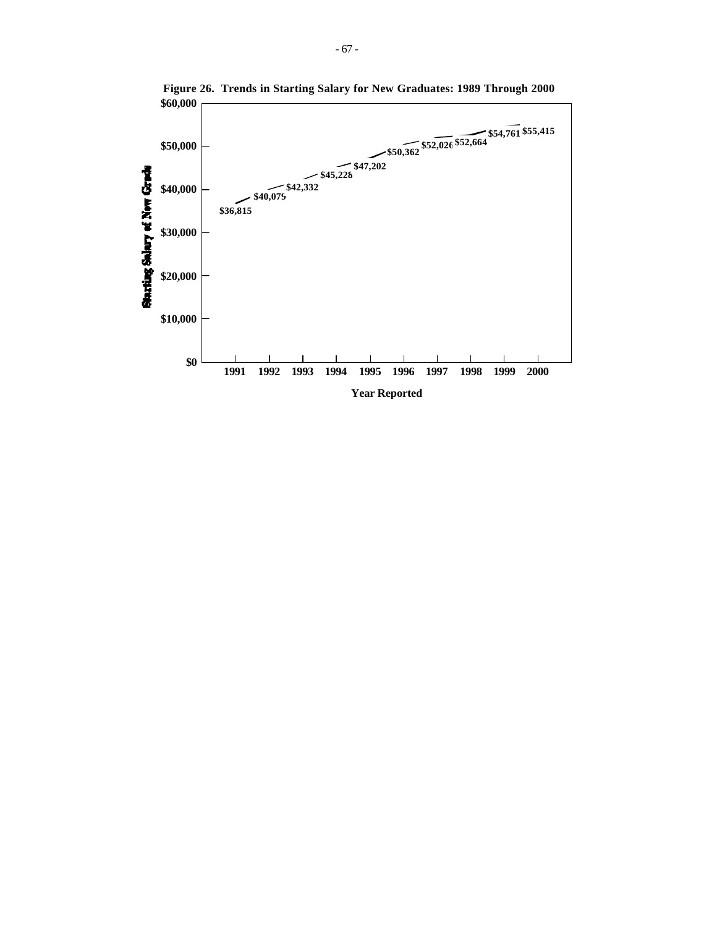

**Figure 26. Trends in Starting Salary for New Graduates: 1989 Through 2000**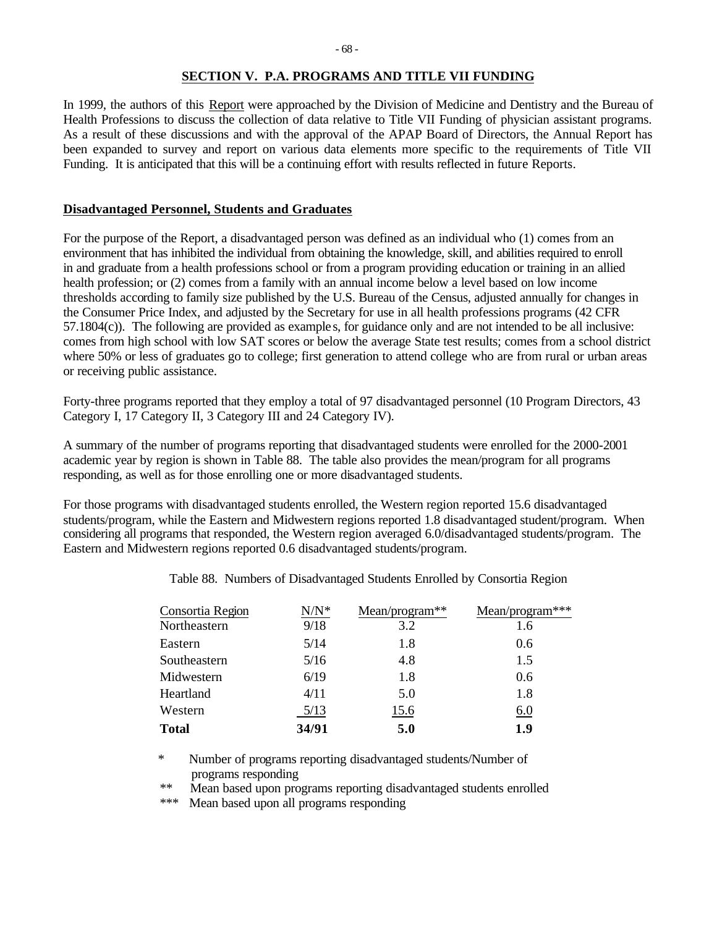### **SECTION V. P.A. PROGRAMS AND TITLE VII FUNDING**

In 1999, the authors of this Report were approached by the Division of Medicine and Dentistry and the Bureau of Health Professions to discuss the collection of data relative to Title VII Funding of physician assistant programs. As a result of these discussions and with the approval of the APAP Board of Directors, the Annual Report has been expanded to survey and report on various data elements more specific to the requirements of Title VII Funding. It is anticipated that this will be a continuing effort with results reflected in future Reports.

### **Disadvantaged Personnel, Students and Graduates**

For the purpose of the Report, a disadvantaged person was defined as an individual who (1) comes from an environment that has inhibited the individual from obtaining the knowledge, skill, and abilities required to enroll in and graduate from a health professions school or from a program providing education or training in an allied health profession; or (2) comes from a family with an annual income below a level based on low income thresholds according to family size published by the U.S. Bureau of the Census, adjusted annually for changes in the Consumer Price Index, and adjusted by the Secretary for use in all health professions programs (42 CFR 57.1804(c)). The following are provided as example s, for guidance only and are not intended to be all inclusive: comes from high school with low SAT scores or below the average State test results; comes from a school district where 50% or less of graduates go to college; first generation to attend college who are from rural or urban areas or receiving public assistance.

Forty-three programs reported that they employ a total of 97 disadvantaged personnel (10 Program Directors, 43 Category I, 17 Category II, 3 Category III and 24 Category IV).

A summary of the number of programs reporting that disadvantaged students were enrolled for the 2000-2001 academic year by region is shown in Table 88. The table also provides the mean/program for all programs responding, as well as for those enrolling one or more disadvantaged students.

For those programs with disadvantaged students enrolled, the Western region reported 15.6 disadvantaged students/program, while the Eastern and Midwestern regions reported 1.8 disadvantaged student/program. When considering all programs that responded, the Western region averaged 6.0/disadvantaged students/program. The Eastern and Midwestern regions reported 0.6 disadvantaged students/program.

| Consortia Region | $N/N^*$ | Mean/program** | Mean/program*** |
|------------------|---------|----------------|-----------------|
| Northeastern     | 9/18    | 3.2            | 1.6             |
| Eastern          | 5/14    | 1.8            | 0.6             |
| Southeastern     | 5/16    | 4.8            | 1.5             |
| Midwestern       | 6/19    | 1.8            | 0.6             |
| Heartland        | 4/11    | 5.0            | 1.8             |
| Western          | 5/13    | 15.6           | 6.0             |
| <b>Total</b>     | 34/91   | 5.0            | 1.9             |

Table 88. Numbers of Disadvantaged Students Enrolled by Consortia Region

\* Number of programs reporting disadvantaged students/Number of programs responding<br>\*\* Mean based upon pro

Mean based upon programs reporting disadvantaged students enrolled

\*\*\* Mean based upon all programs responding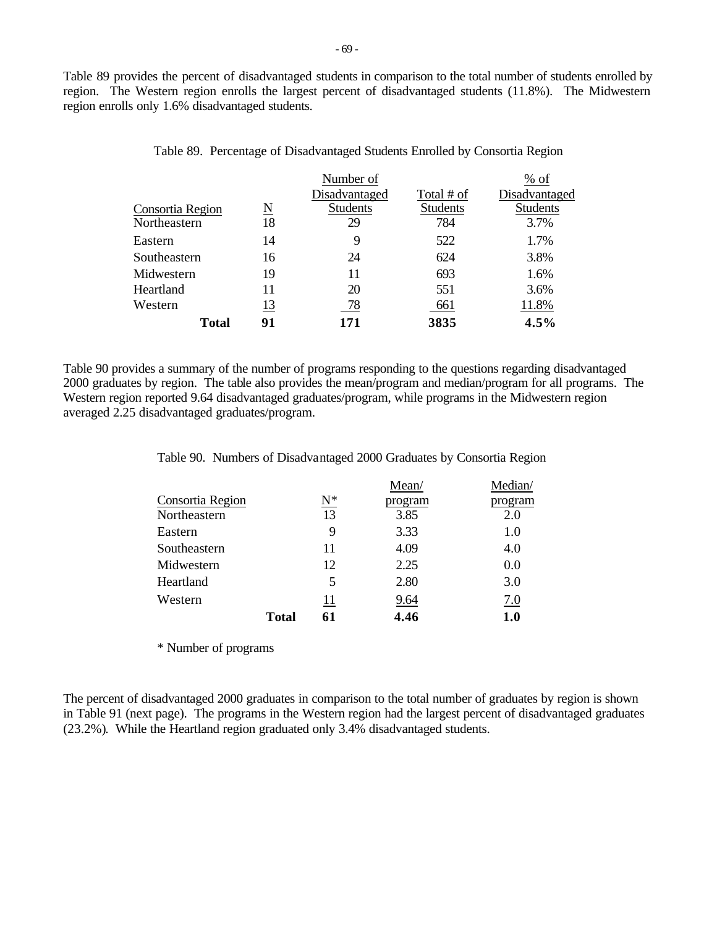Table 89 provides the percent of disadvantaged students in comparison to the total number of students enrolled by region. The Western region enrolls the largest percent of disadvantaged students (11.8%). The Midwestern region enrolls only 1.6% disadvantaged students.

|                  |                        | Number of       |                 | % of            |
|------------------|------------------------|-----------------|-----------------|-----------------|
|                  |                        | Disadvantaged   | Total # of      | Disadvantaged   |
| Consortia Region | $\underline{\text{N}}$ | <b>Students</b> | <b>Students</b> | <b>Students</b> |
| Northeastern     | 18                     | 29              | 784             | 3.7%            |
| Eastern          | 14                     | 9               | 522             | 1.7%            |
| Southeastern     | 16                     | 24              | 624             | 3.8%            |
| Midwestern       | 19                     | 11              | 693             | 1.6%            |
| Heartland        | 11                     | 20              | 551             | 3.6%            |
| Western          | <u>13</u>              | 78              | 661             | 11.8%           |
| Total            | 91                     | 171             | 3835            | 4.5%            |

Table 89. Percentage of Disadvantaged Students Enrolled by Consortia Region

Table 90 provides a summary of the number of programs responding to the questions regarding disadvantaged 2000 graduates by region. The table also provides the mean/program and median/program for all programs. The Western region reported 9.64 disadvantaged graduates/program, while programs in the Midwestern region averaged 2.25 disadvantaged graduates/program.

Table 90. Numbers of Disadvantaged 2000 Graduates by Consortia Region

|                  |              |                   | Mean/   | Median/ |
|------------------|--------------|-------------------|---------|---------|
| Consortia Region |              | $\underline{N^*}$ | program | program |
| Northeastern     |              | 13                | 3.85    | 2.0     |
| Eastern          |              | 9                 | 3.33    | 1.0     |
| Southeastern     |              | 11                | 4.09    | 4.0     |
| Midwestern       |              | 12                | 2.25    | 0.0     |
| Heartland        |              | 5                 | 2.80    | 3.0     |
| Western          |              | 11                | 9.64    | 7.0     |
|                  | <b>Total</b> | 61                | 4.46    | 1.0     |

\* Number of programs

The percent of disadvantaged 2000 graduates in comparison to the total number of graduates by region is shown in Table 91 (next page). The programs in the Western region had the largest percent of disadvantaged graduates (23.2%). While the Heartland region graduated only 3.4% disadvantaged students.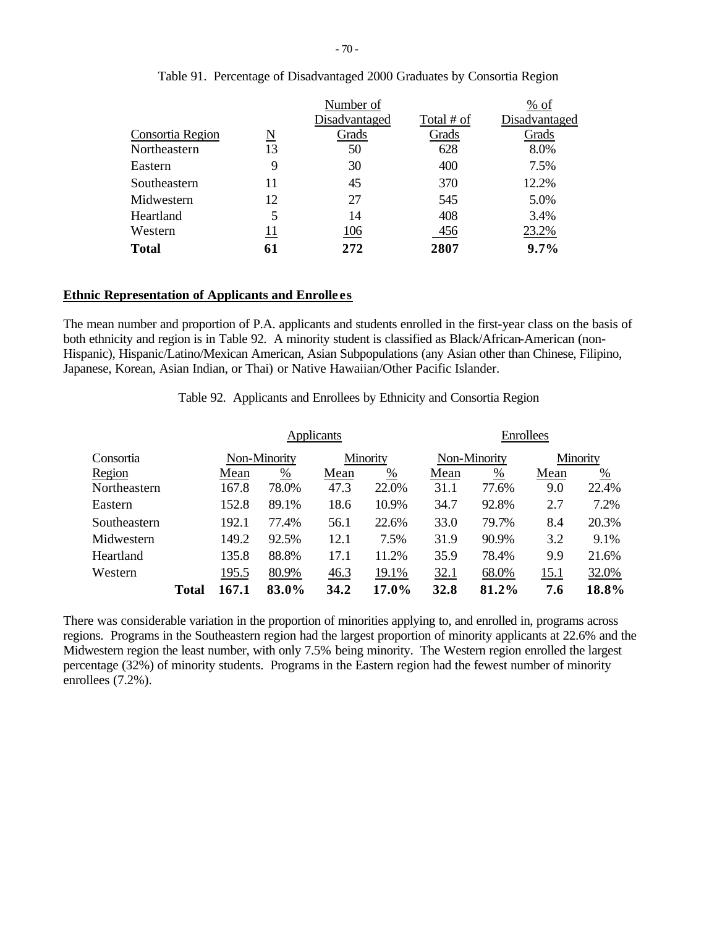|                  |    | Number of     |            | % of          |
|------------------|----|---------------|------------|---------------|
|                  |    | Disadvantaged | Total # of | Disadvantaged |
| Consortia Region | N  | Grads         | Grads      | Grads         |
| Northeastern     | 13 | 50            | 628        | 8.0%          |
| Eastern          | 9  | 30            | 400        | 7.5%          |
| Southeastern     | 11 | 45            | 370        | 12.2%         |
| Midwestern       | 12 | 27            | 545        | 5.0%          |
| Heartland        | 5  | 14            | 408        | 3.4%          |
| Western          | 11 | 106           | 456        | 23.2%         |
| <b>Total</b>     | 61 | 272           | 2807       | $9.7\%$       |

# Table 91. Percentage of Disadvantaged 2000 Graduates by Consortia Region

#### **Ethnic Representation of Applicants and Enrolle es**

The mean number and proportion of P.A. applicants and students enrolled in the first-year class on the basis of both ethnicity and region is in Table 92. A minority student is classified as Black/African-American (non-Hispanic), Hispanic/Latino/Mexican American, Asian Subpopulations (any Asian other than Chinese, Filipino, Japanese, Korean, Asian Indian, or Thai) or Native Hawaiian/Other Pacific Islander.

Table 92. Applicants and Enrollees by Ethnicity and Consortia Region

|              |       |       |              | Applicants |               | Enrollees   |               |      |               |  |
|--------------|-------|-------|--------------|------------|---------------|-------------|---------------|------|---------------|--|
| Consortia    |       |       | Non-Minority |            | Minority      |             | Non-Minority  |      | Minority      |  |
| Region       |       | Mean  | %            | Mean       | $\frac{0}{0}$ | Mean        | $\frac{0}{0}$ | Mean | $\frac{0}{0}$ |  |
| Northeastern |       | 167.8 | 78.0%        | 47.3       | 22.0%         | 31.1        | 77.6%         | 9.0  | 22.4%         |  |
| Eastern      |       | 152.8 | 89.1%        | 18.6       | 10.9%         | 34.7        | 92.8%         | 2.7  | 7.2%          |  |
| Southeastern |       | 192.1 | 77.4%        | 56.1       | 22.6%         | <b>33.0</b> | 79.7%         | 8.4  | 20.3%         |  |
| Midwestern   |       | 149.2 | 92.5%        | 12.1       | 7.5%          | 31.9        | 90.9%         | 3.2  | 9.1%          |  |
| Heartland    |       | 135.8 | 88.8%        | 17.1       | 11.2%         | 35.9        | 78.4%         | 9.9  | 21.6%         |  |
| Western      |       | 195.5 | 80.9%        | 46.3       | 19.1%         | 32.1        | 68.0%         | 15.1 | 32.0%         |  |
|              | Total | 167.1 | 83.0%        | 34.2       | 17.0%         | 32.8        | 81.2%         | 7.6  | 18.8%         |  |

There was considerable variation in the proportion of minorities applying to, and enrolled in, programs across regions. Programs in the Southeastern region had the largest proportion of minority applicants at 22.6% and the Midwestern region the least number, with only 7.5% being minority. The Western region enrolled the largest percentage (32%) of minority students. Programs in the Eastern region had the fewest number of minority enrollees (7.2%).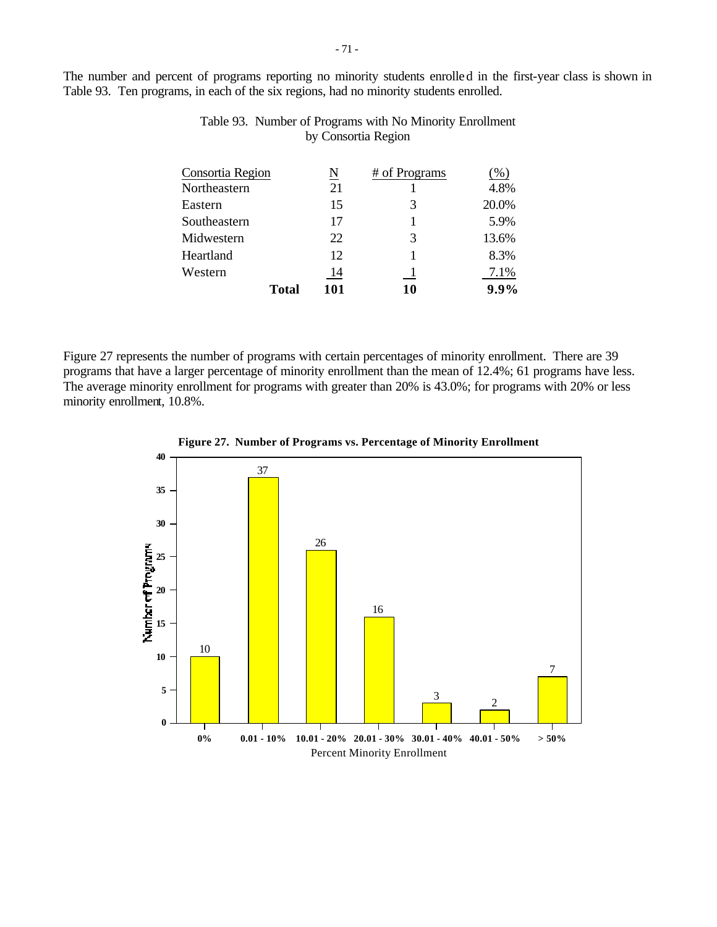The number and percent of programs reporting no minority students enrolled in the first-year class is shown in Table 93. Ten programs, in each of the six regions, had no minority students enrolled.

| Consortia Region |              | <u>N</u> | # of Programs | %     |
|------------------|--------------|----------|---------------|-------|
| Northeastern     |              | 21       |               | 4.8%  |
| Eastern          |              | 15       | 3             | 20.0% |
| Southeastern     |              | 17       |               | 5.9%  |
| Midwestern       |              | 22       | 3             | 13.6% |
| Heartland        |              | 12       |               | 8.3%  |
| Western          |              | 14       |               | 7.1%  |
|                  | <b>Total</b> | 101      | 10            | 9.9%  |

Table 93. Number of Programs with No Minority Enrollment by Consortia Region

Figure 27 represents the number of programs with certain percentages of minority enrollment. There are 39 programs that have a larger percentage of minority enrollment than the mean of 12.4%; 61 programs have less. The average minority enrollment for programs with greater than 20% is 43.0%; for programs with 20% or less minority enrollment, 10.8%.



**Figure 27. Number of Programs vs. Percentage of Minority Enrollment**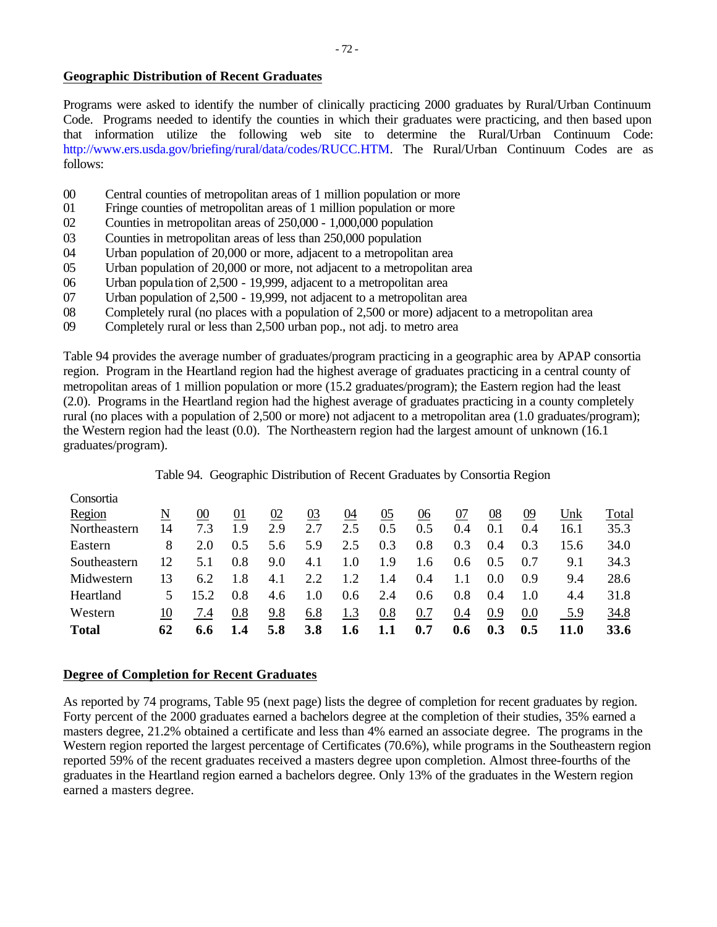# **Geographic Distribution of Recent Graduates**

Programs were asked to identify the number of clinically practicing 2000 graduates by Rural/Urban Continuum Code. Programs needed to identify the counties in which their graduates were practicing, and then based upon that information utilize the following web site to determine the Rural/Urban Continuum Code: http://www.ers.usda.gov/briefing/rural/data/codes/RUCC.HTM. The Rural/Urban Continuum Codes are as follows:

- 00 Central counties of metropolitan areas of 1 million population or more
- 01 Fringe counties of metropolitan areas of 1 million population or more
- 02 Counties in metropolitan areas of 250,000 1,000,000 population
- 03 Counties in metropolitan areas of less than 250,000 population
- 04 Urban population of 20,000 or more, adjacent to a metropolitan area
- 05 Urban population of 20,000 or more, not adjacent to a metropolitan area
- 06 Urban population of 2,500 19,999, adjacent to a metropolitan area
- 07 Urban population of 2,500 19,999, not adjacent to a metropolitan area
- 08 Completely rural (no places with a population of 2,500 or more) adjacent to a metropolitan area
- 09 Completely rural or less than 2,500 urban pop., not adj. to metro area

Table 94 provides the average number of graduates/program practicing in a geographic area by APAP consortia region. Program in the Heartland region had the highest average of graduates practicing in a central county of metropolitan areas of 1 million population or more (15.2 graduates/program); the Eastern region had the least (2.0). Programs in the Heartland region had the highest average of graduates practicing in a county completely rural (no places with a population of 2,500 or more) not adjacent to a metropolitan area (1.0 graduates/program); the Western region had the least (0.0). The Northeastern region had the largest amount of unknown (16.1 graduates/program).

## Table 94. Geographic Distribution of Recent Graduates by Consortia Region

| Consortia    |    |        |     |     |            |            |     |     |     |     |     |      |       |
|--------------|----|--------|-----|-----|------------|------------|-----|-----|-----|-----|-----|------|-------|
| Region       | N  | $00\,$ | 01  | 02  | 03         | 04         | 05  | 06  | 07  | 08  | 09  | Unk  | Total |
| Northeastern | 14 | 7.3    | 1.9 | 2.9 | 2.7        | 2.5        | 0.5 | 0.5 | 0.4 | 0.1 | 0.4 | 16.1 | 35.3  |
| Eastern      | 8  | 2.0    | 0.5 | 5.6 | 5.9        | 2.5        | 0.3 | 0.8 | 0.3 | 0.4 | 0.3 | 15.6 | 34.0  |
| Southeastern | 12 | 5.1    | 0.8 | 9.0 | 4.1        | 1.0        | 1.9 | 1.6 | 0.6 | 0.5 | 0.7 | 9.1  | 34.3  |
| Midwestern   | 13 | 6.2    | 1.8 | 4.1 | 2.2        | 1.2        | 1.4 | 0.4 |     | 0.0 | 0.9 | 9.4  | 28.6  |
| Heartland    | 5  | 15.2   | 0.8 | 4.6 | 1.0        | 0.6        | 2.4 | 0.6 | 0.8 | 0.4 | 1.0 | 4.4  | 31.8  |
| Western      | 10 | 7.4    | 0.8 | 9.8 | 6.8        | <u>1.3</u> | 0.8 | 0.7 | 0.4 | 0.9 | 0.0 | 5.9  | 34.8  |
| <b>Total</b> | 62 | 6.6    | 1.4 | 5.8 | <b>3.8</b> | 1.6        | 1.1 | 0.7 | 0.6 | 0.3 | 0.5 | 11.0 | 33.6  |

## **Degree of Completion for Recent Graduates**

As reported by 74 programs, Table 95 (next page) lists the degree of completion for recent graduates by region. Forty percent of the 2000 graduates earned a bachelors degree at the completion of their studies, 35% earned a masters degree, 21.2% obtained a certificate and less than 4% earned an associate degree. The programs in the Western region reported the largest percentage of Certificates (70.6%), while programs in the Southeastern region reported 59% of the recent graduates received a masters degree upon completion. Almost three-fourths of the graduates in the Heartland region earned a bachelors degree. Only 13% of the graduates in the Western region earned a masters degree.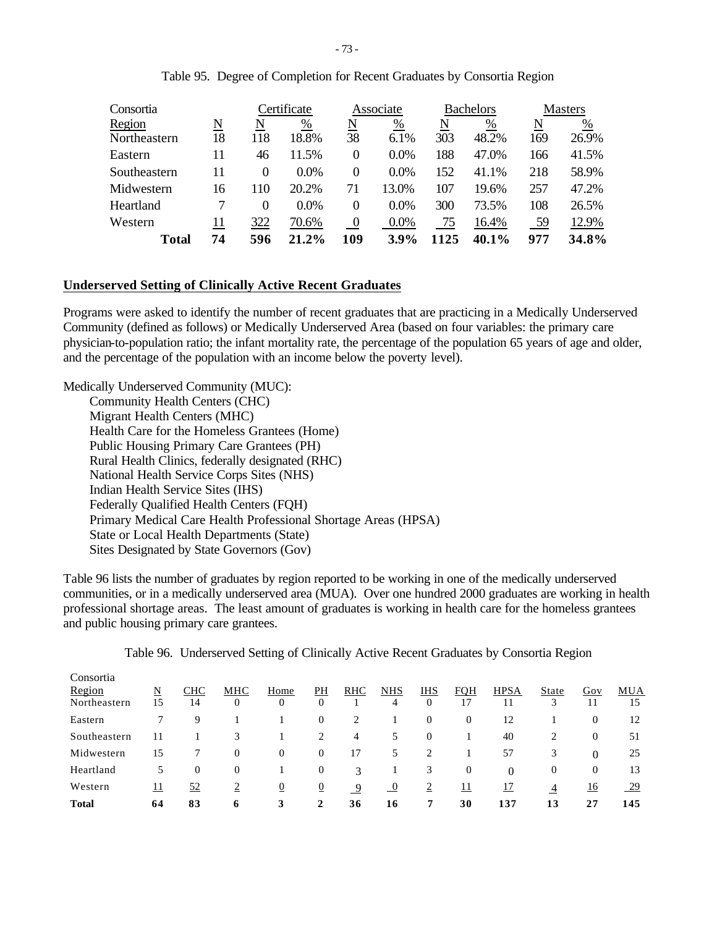| Consortia    |    |          | Certificate |                | Associate |      | <b>Bachelors</b> |     | <b>Masters</b> |
|--------------|----|----------|-------------|----------------|-----------|------|------------------|-----|----------------|
| Region       | N  | N        | %           | N              | $\%$      | N    | %                | N   | %              |
| Northeastern | 18 | 118      | 18.8%       | 38             | 6.1%      | 303  | 48.2%            | 169 | 26.9%          |
| Eastern      | 11 | 46       | 11.5%       | 0              | 0.0%      | 188  | 47.0%            | 166 | 41.5%          |
| Southeastern | 11 | 0        | $0.0\%$     | 0              | $0.0\%$   | 152  | 41.1%            | 218 | 58.9%          |
| Midwestern   | 16 | 110      | 20.2%       | 71             | 13.0%     | 107  | 19.6%            | 257 | 47.2%          |
| Heartland    |    | $\Omega$ | $0.0\%$     | 0              | 0.0%      | 300  | 73.5%            | 108 | 26.5%          |
| Western      | 11 | 322      | 70.6%       | $\overline{0}$ | $0.0\%$   | 75   | 16.4%            | 59  | 12.9%          |
| <b>Total</b> | 74 | 596      | 21.2%       | 109            | $3.9\%$   | 1125 | 40.1%            | 977 | 34.8%          |

Table 95. Degree of Completion for Recent Graduates by Consortia Region

# **Underserved Setting of Clinically Active Recent Graduates**

Programs were asked to identify the number of recent graduates that are practicing in a Medically Underserved Community (defined as follows) or Medically Underserved Area (based on four variables: the primary care physician-to-population ratio; the infant mortality rate, the percentage of the population 65 years of age and older, and the percentage of the population with an income below the poverty level).

Medically Underserved Community (MUC): Community Health Centers (CHC) Migrant Health Centers (MHC) Health Care for the Homeless Grantees (Home) Public Housing Primary Care Grantees (PH) Rural Health Clinics, federally designated (RHC) National Health Service Corps Sites (NHS) Indian Health Service Sites (IHS) Federally Qualified Health Centers (FQH) Primary Medical Care Health Professional Shortage Areas (HPSA) State or Local Health Departments (State) Sites Designated by State Governors (Gov)

Table 96 lists the number of graduates by region reported to be working in one of the medically underserved communities, or in a medically underserved area (MUA). Over one hundred 2000 graduates are working in health professional shortage areas. The least amount of graduates is working in health care for the homeless grantees and public housing primary care grantees.

| <b>Total</b>                        | 64             | 83               | 6              | 3                | 2                  | 36         | 16              |                              | 30               | 137               | 13             | 27           | 145            |
|-------------------------------------|----------------|------------------|----------------|------------------|--------------------|------------|-----------------|------------------------------|------------------|-------------------|----------------|--------------|----------------|
| Western                             | <u> 11</u>     | 52               | $\overline{2}$ | $\overline{0}$   | $\overline{0}$     | 9          | $\overline{0}$  | $\epsilon$                   | <u> 11</u>       | <u>17</u>         | $\overline{4}$ | <u>16</u>    | $\frac{29}{2}$ |
| Heartland                           | 5              | $\overline{0}$   | 0              |                  | $\mathbf{0}$       | 3          |                 | 3                            | $\mathbf{0}$     | $\theta$          | $\overline{0}$ | $\mathbf{0}$ | 13             |
| Midwestern                          | 15             |                  | 0              | $\overline{0}$   | $\mathbf{0}$       | 17         | 5               | 2                            |                  | 57                | 3              | $\theta$     | 25             |
| Southeastern                        | 11             |                  | 3              |                  | 2                  | 4          | 5               | $\theta$                     |                  | 40                | 2              | $\mathbf{0}$ | 51             |
| Eastern                             |                | 9                |                |                  | $\mathbf{0}$       | 2          |                 | $\theta$                     | $\mathbf{0}$     | 12                |                | $\mathbf{0}$ | 12             |
| Consortia<br>Region<br>Northeastern | <u>N</u><br>15 | <b>CHC</b><br>14 | MHC<br>0       | Home<br>$\theta$ | PН<br>$\mathbf{0}$ | <b>RHC</b> | <b>NHS</b><br>4 | <b>IHS</b><br>$\overline{0}$ | <b>FOH</b><br>17 | <b>HPSA</b><br>11 | State<br>3     | Gov<br>11    | MUA<br>15      |

Table 96. Underserved Setting of Clinically Active Recent Graduates by Consortia Region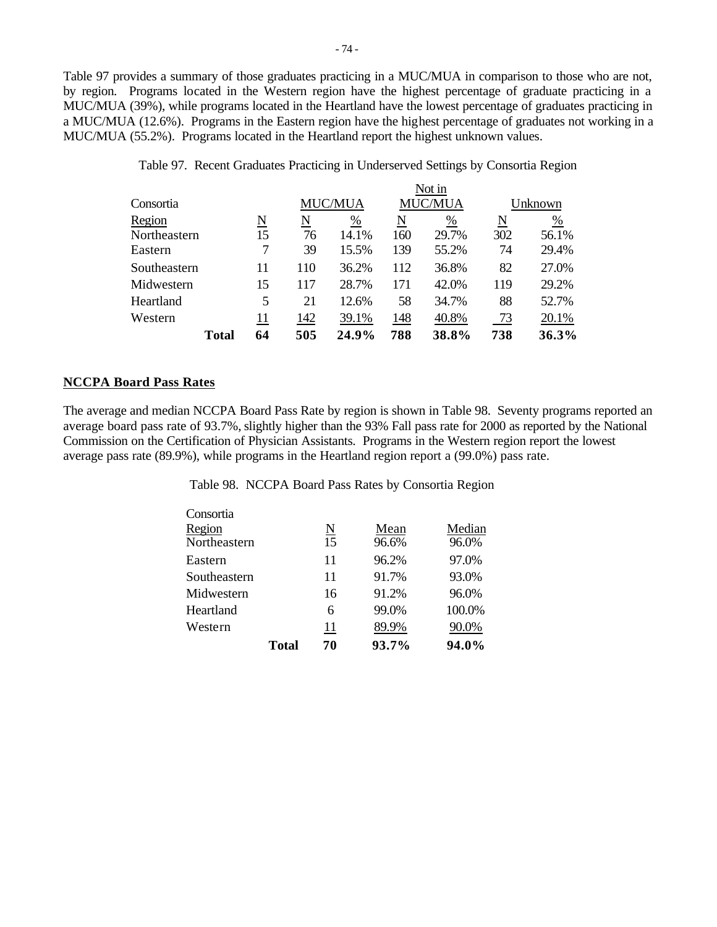Table 97 provides a summary of those graduates practicing in a MUC/MUA in comparison to those who are not, by region. Programs located in the Western region have the highest percentage of graduate practicing in a MUC/MUA (39%), while programs located in the Heartland have the lowest percentage of graduates practicing in a MUC/MUA (12.6%). Programs in the Eastern region have the highest percentage of graduates not working in a MUC/MUA (55.2%). Programs located in the Heartland report the highest unknown values.

|              |              |                        |     |                |     | Not in         |                     |               |
|--------------|--------------|------------------------|-----|----------------|-----|----------------|---------------------|---------------|
| Consortia    |              |                        |     | <b>MUC/MUA</b> |     | <b>MUC/MUA</b> | Unknown             |               |
| Region       |              | $\underline{\text{N}}$ | N   | $\frac{0}{0}$  | N   | $\frac{0}{0}$  | $\underline{\rm N}$ | $\frac{0}{0}$ |
| Northeastern |              | 15                     | 76  | 14.1%          | 160 | 29.7%          | 302                 | 56.1%         |
| Eastern      |              | 7                      | 39  | 15.5%          | 139 | 55.2%          | 74                  | 29.4%         |
| Southeastern |              | 11                     | 110 | 36.2%          | 112 | 36.8%          | 82                  | 27.0%         |
| Midwestern   |              | 15                     | 117 | 28.7%          | 171 | 42.0%          | 119                 | 29.2%         |
| Heartland    |              | 5                      | 21  | 12.6%          | 58  | 34.7%          | 88                  | 52.7%         |
| Western      |              | 11                     | 142 | 39.1%          | 148 | 40.8%          | 73                  | 20.1%         |
|              | <b>Total</b> | 64                     | 505 | 24.9%          | 788 | 38.8%          | 738                 | 36.3%         |

Table 97. Recent Graduates Practicing in Underserved Settings by Consortia Region

#### **NCCPA Board Pass Rates**

The average and median NCCPA Board Pass Rate by region is shown in Table 98. Seventy programs reported an average board pass rate of 93.7%, slightly higher than the 93% Fall pass rate for 2000 as reported by the National Commission on the Certification of Physician Assistants. Programs in the Western region report the lowest average pass rate (89.9%), while programs in the Heartland region report a (99.0%) pass rate.

Table 98. NCCPA Board Pass Rates by Consortia Region

|              | <b>Total</b> | 70                          | 93.7% | 94.0%  |
|--------------|--------------|-----------------------------|-------|--------|
| Western      |              | 11                          | 89.9% | 90.0%  |
| Heartland    |              | 6                           | 99.0% | 100.0% |
| Midwestern   |              | 16                          | 91.2% | 96.0%  |
| Southeastern |              | 11                          | 91.7% | 93.0%  |
| Eastern      |              | 11                          | 96.2% | 97.0%  |
| Northeastern |              | 15                          | 96.6% | 96.0%  |
| Region       |              | $\underline{\underline{N}}$ | Mean  | Median |
| Consortia    |              |                             |       |        |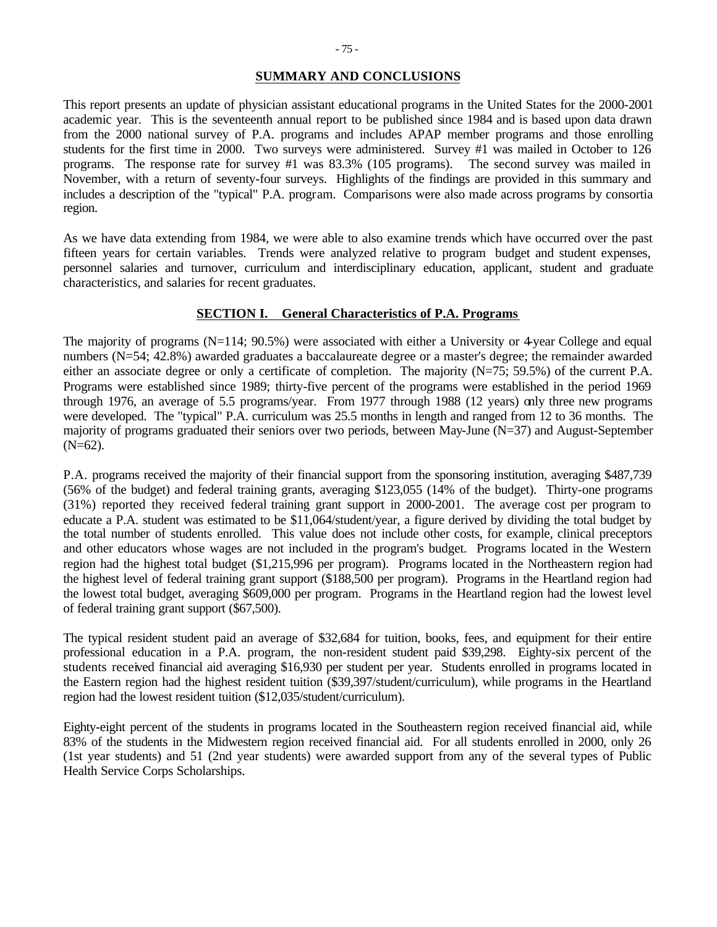### **SUMMARY AND CONCLUSIONS**

This report presents an update of physician assistant educational programs in the United States for the 2000-2001 academic year. This is the seventeenth annual report to be published since 1984 and is based upon data drawn from the 2000 national survey of P.A. programs and includes APAP member programs and those enrolling students for the first time in 2000. Two surveys were administered. Survey #1 was mailed in October to 126 programs. The response rate for survey #1 was 83.3% (105 programs). The second survey was mailed in November, with a return of seventy-four surveys. Highlights of the findings are provided in this summary and includes a description of the "typical" P.A. program. Comparisons were also made across programs by consortia region.

As we have data extending from 1984, we were able to also examine trends which have occurred over the past fifteen years for certain variables. Trends were analyzed relative to program budget and student expenses, personnel salaries and turnover, curriculum and interdisciplinary education, applicant, student and graduate characteristics, and salaries for recent graduates.

#### **SECTION I. General Characteristics of P.A. Programs**

The majority of programs (N=114; 90.5%) were associated with either a University or 4-year College and equal numbers (N=54; 42.8%) awarded graduates a baccalaureate degree or a master's degree; the remainder awarded either an associate degree or only a certificate of completion. The majority (N=75; 59.5%) of the current P.A. Programs were established since 1989; thirty-five percent of the programs were established in the period 1969 through 1976, an average of 5.5 programs/year. From 1977 through 1988 (12 years) only three new programs were developed. The "typical" P.A. curriculum was 25.5 months in length and ranged from 12 to 36 months. The majority of programs graduated their seniors over two periods, between May-June (N=37) and August-September  $(N=62)$ .

P.A. programs received the majority of their financial support from the sponsoring institution, averaging \$487,739 (56% of the budget) and federal training grants, averaging \$123,055 (14% of the budget). Thirty-one programs (31%) reported they received federal training grant support in 2000-2001. The average cost per program to educate a P.A. student was estimated to be \$11,064/student/year, a figure derived by dividing the total budget by the total number of students enrolled. This value does not include other costs, for example, clinical preceptors and other educators whose wages are not included in the program's budget. Programs located in the Western region had the highest total budget (\$1,215,996 per program). Programs located in the Northeastern region had the highest level of federal training grant support (\$188,500 per program). Programs in the Heartland region had the lowest total budget, averaging \$609,000 per program. Programs in the Heartland region had the lowest level of federal training grant support (\$67,500).

The typical resident student paid an average of \$32,684 for tuition, books, fees, and equipment for their entire professional education in a P.A. program, the non-resident student paid \$39,298. Eighty-six percent of the students received financial aid averaging \$16,930 per student per year. Students enrolled in programs located in the Eastern region had the highest resident tuition (\$39,397/student/curriculum), while programs in the Heartland region had the lowest resident tuition (\$12,035/student/curriculum).

Eighty-eight percent of the students in programs located in the Southeastern region received financial aid, while 83% of the students in the Midwestern region received financial aid. For all students enrolled in 2000, only 26 (1st year students) and 51 (2nd year students) were awarded support from any of the several types of Public Health Service Corps Scholarships.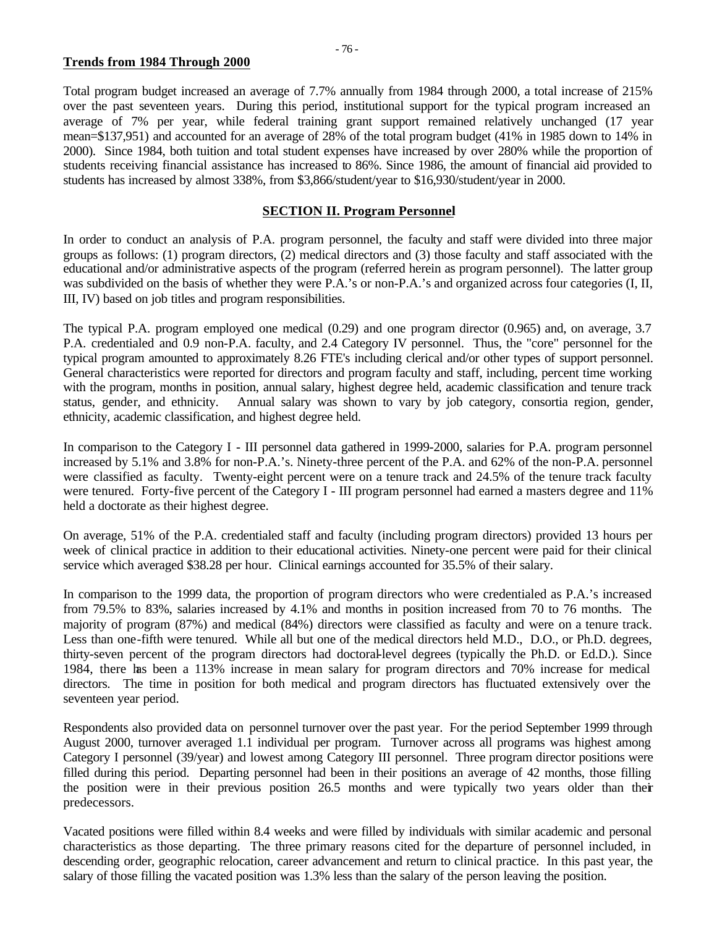### **Trends from 1984 Through 2000**

Total program budget increased an average of 7.7% annually from 1984 through 2000, a total increase of 215% over the past seventeen years. During this period, institutional support for the typical program increased an average of 7% per year, while federal training grant support remained relatively unchanged (17 year mean=\$137,951) and accounted for an average of 28% of the total program budget (41% in 1985 down to 14% in 2000). Since 1984, both tuition and total student expenses have increased by over 280% while the proportion of students receiving financial assistance has increased to 86%. Since 1986, the amount of financial aid provided to students has increased by almost 338%, from \$3,866/student/year to \$16,930/student/year in 2000.

# **SECTION II. Program Personnel**

In order to conduct an analysis of P.A. program personnel, the faculty and staff were divided into three major groups as follows: (1) program directors, (2) medical directors and (3) those faculty and staff associated with the educational and/or administrative aspects of the program (referred herein as program personnel). The latter group was subdivided on the basis of whether they were P.A.'s or non-P.A.'s and organized across four categories (I, II, III, IV) based on job titles and program responsibilities.

The typical P.A. program employed one medical (0.29) and one program director (0.965) and, on average, 3.7 P.A. credentialed and 0.9 non-P.A. faculty, and 2.4 Category IV personnel. Thus, the "core" personnel for the typical program amounted to approximately 8.26 FTE's including clerical and/or other types of support personnel. General characteristics were reported for directors and program faculty and staff, including, percent time working with the program, months in position, annual salary, highest degree held, academic classification and tenure track status, gender, and ethnicity. Annual salary was shown to vary by job category, consortia region, gender, ethnicity, academic classification, and highest degree held.

In comparison to the Category I - III personnel data gathered in 1999-2000, salaries for P.A. program personnel increased by 5.1% and 3.8% for non-P.A.'s. Ninety-three percent of the P.A. and 62% of the non-P.A. personnel were classified as faculty. Twenty-eight percent were on a tenure track and 24.5% of the tenure track faculty were tenured. Forty-five percent of the Category I - III program personnel had earned a masters degree and 11% held a doctorate as their highest degree.

On average, 51% of the P.A. credentialed staff and faculty (including program directors) provided 13 hours per week of clinical practice in addition to their educational activities. Ninety-one percent were paid for their clinical service which averaged \$38.28 per hour. Clinical earnings accounted for 35.5% of their salary.

In comparison to the 1999 data, the proportion of program directors who were credentialed as P.A.'s increased from 79.5% to 83%, salaries increased by 4.1% and months in position increased from 70 to 76 months. The majority of program (87%) and medical (84%) directors were classified as faculty and were on a tenure track. Less than one-fifth were tenured. While all but one of the medical directors held M.D., D.O., or Ph.D. degrees, thirty-seven percent of the program directors had doctoral-level degrees (typically the Ph.D. or Ed.D.). Since 1984, there has been a 113% increase in mean salary for program directors and 70% increase for medical directors. The time in position for both medical and program directors has fluctuated extensively over the seventeen year period.

Respondents also provided data on personnel turnover over the past year. For the period September 1999 through August 2000, turnover averaged 1.1 individual per program. Turnover across all programs was highest among Category I personnel (39/year) and lowest among Category III personnel. Three program director positions were filled during this period. Departing personnel had been in their positions an average of 42 months, those filling the position were in their previous position 26.5 months and were typically two years older than their predecessors.

Vacated positions were filled within 8.4 weeks and were filled by individuals with similar academic and personal characteristics as those departing. The three primary reasons cited for the departure of personnel included, in descending order, geographic relocation, career advancement and return to clinical practice. In this past year, the salary of those filling the vacated position was 1.3% less than the salary of the person leaving the position.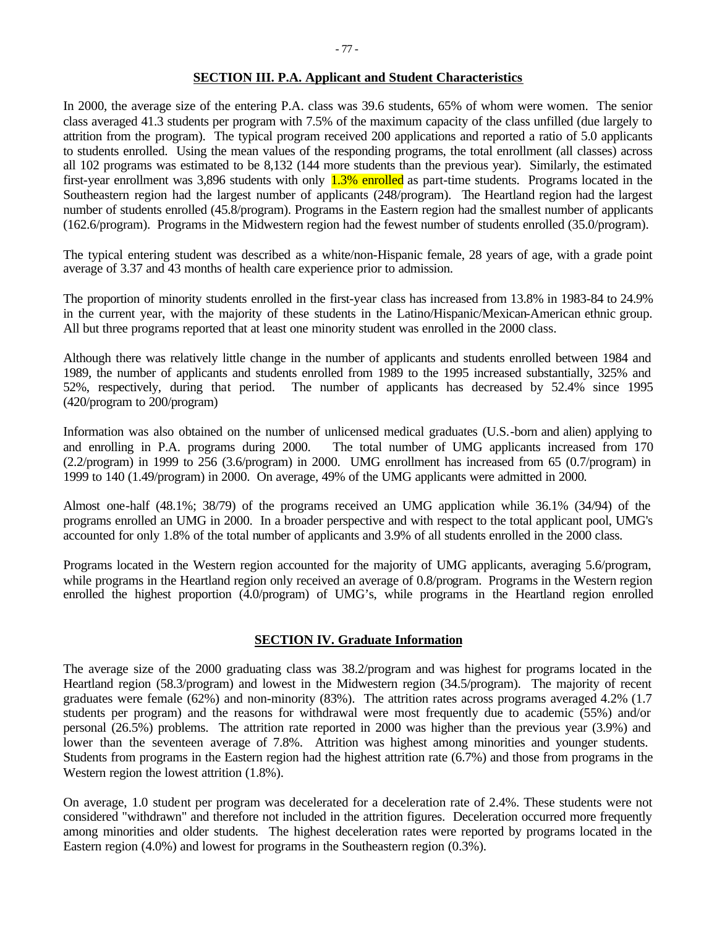### **SECTION III. P.A. Applicant and Student Characteristics**

In 2000, the average size of the entering P.A. class was 39.6 students, 65% of whom were women. The senior class averaged 41.3 students per program with 7.5% of the maximum capacity of the class unfilled (due largely to attrition from the program). The typical program received 200 applications and reported a ratio of 5.0 applicants to students enrolled. Using the mean values of the responding programs, the total enrollment (all classes) across all 102 programs was estimated to be 8,132 (144 more students than the previous year). Similarly, the estimated first-year enrollment was 3,896 students with only 1.3% enrolled as part-time students. Programs located in the Southeastern region had the largest number of applicants (248/program). The Heartland region had the largest number of students enrolled (45.8/program). Programs in the Eastern region had the smallest number of applicants (162.6/program). Programs in the Midwestern region had the fewest number of students enrolled (35.0/program).

The typical entering student was described as a white/non-Hispanic female, 28 years of age, with a grade point average of 3.37 and 43 months of health care experience prior to admission.

The proportion of minority students enrolled in the first-year class has increased from 13.8% in 1983-84 to 24.9% in the current year, with the majority of these students in the Latino/Hispanic/Mexican-American ethnic group. All but three programs reported that at least one minority student was enrolled in the 2000 class.

Although there was relatively little change in the number of applicants and students enrolled between 1984 and 1989, the number of applicants and students enrolled from 1989 to the 1995 increased substantially, 325% and 52%, respectively, during that period. The number of applicants has decreased by 52.4% since 1995 (420/program to 200/program)

Information was also obtained on the number of unlicensed medical graduates (U.S.-born and alien) applying to and enrolling in P.A. programs during 2000. The total number of UMG applicants increased from 170 (2.2/program) in 1999 to 256 (3.6/program) in 2000. UMG enrollment has increased from 65 (0.7/program) in 1999 to 140 (1.49/program) in 2000. On average, 49% of the UMG applicants were admitted in 2000.

Almost one-half (48.1%; 38/79) of the programs received an UMG application while 36.1% (34/94) of the programs enrolled an UMG in 2000. In a broader perspective and with respect to the total applicant pool, UMG's accounted for only 1.8% of the total number of applicants and 3.9% of all students enrolled in the 2000 class.

Programs located in the Western region accounted for the majority of UMG applicants, averaging 5.6/program, while programs in the Heartland region only received an average of 0.8/program. Programs in the Western region enrolled the highest proportion (4.0/program) of UMG's, while programs in the Heartland region enrolled

#### **SECTION IV. Graduate Information**

The average size of the 2000 graduating class was 38.2/program and was highest for programs located in the Heartland region (58.3/program) and lowest in the Midwestern region (34.5/program). The majority of recent graduates were female (62%) and non-minority (83%). The attrition rates across programs averaged 4.2% (1.7 students per program) and the reasons for withdrawal were most frequently due to academic (55%) and/or personal (26.5%) problems. The attrition rate reported in 2000 was higher than the previous year (3.9%) and lower than the seventeen average of 7.8%. Attrition was highest among minorities and younger students. Students from programs in the Eastern region had the highest attrition rate (6.7%) and those from programs in the Western region the lowest attrition (1.8%).

On average, 1.0 student per program was decelerated for a deceleration rate of 2.4%. These students were not considered "withdrawn" and therefore not included in the attrition figures. Deceleration occurred more frequently among minorities and older students. The highest deceleration rates were reported by programs located in the Eastern region (4.0%) and lowest for programs in the Southeastern region (0.3%).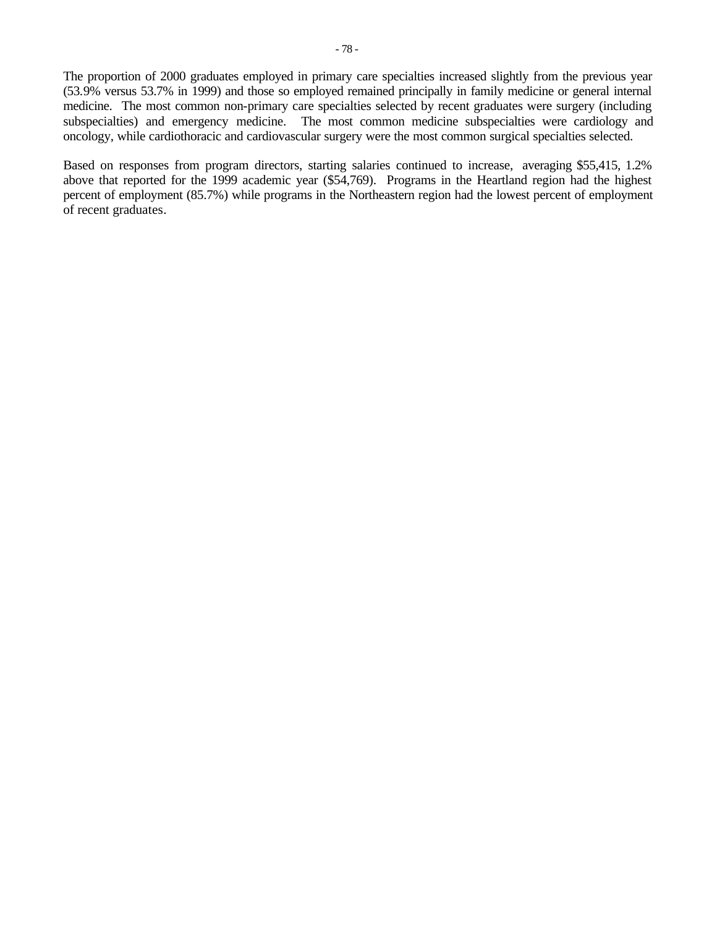The proportion of 2000 graduates employed in primary care specialties increased slightly from the previous year (53.9% versus 53.7% in 1999) and those so employed remained principally in family medicine or general internal medicine. The most common non-primary care specialties selected by recent graduates were surgery (including subspecialties) and emergency medicine. The most common medicine subspecialties were cardiology and oncology, while cardiothoracic and cardiovascular surgery were the most common surgical specialties selected.

Based on responses from program directors, starting salaries continued to increase, averaging \$55,415, 1.2% above that reported for the 1999 academic year (\$54,769). Programs in the Heartland region had the highest percent of employment (85.7%) while programs in the Northeastern region had the lowest percent of employment of recent graduates.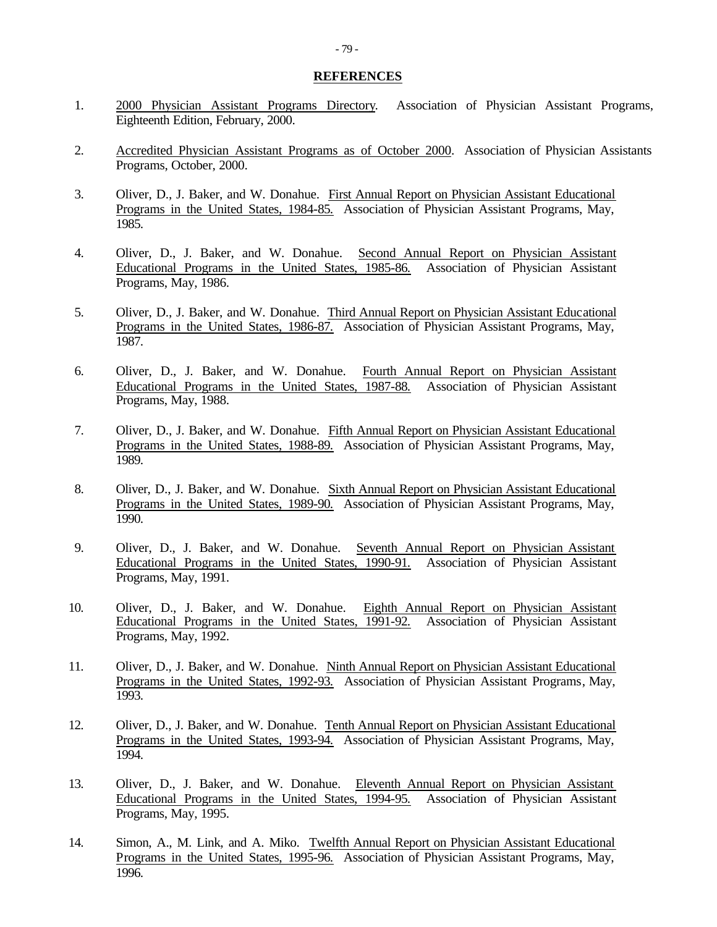#### **REFERENCES**

- 1. 2000 Physician Assistant Programs Directory. Association of Physician Assistant Programs, Eighteenth Edition, February, 2000.
- 2. Accredited Physician Assistant Programs as of October 2000. Association of Physician Assistants Programs, October, 2000.
- 3. Oliver, D., J. Baker, and W. Donahue. First Annual Report on Physician Assistant Educational Programs in the United States, 1984-85. Association of Physician Assistant Programs, May, 1985.
- 4. Oliver, D., J. Baker, and W. Donahue. Second Annual Report on Physician Assistant Educational Programs in the United States, 1985-86. Association of Physician Assistant Programs, May, 1986.
- 5. Oliver, D., J. Baker, and W. Donahue. Third Annual Report on Physician Assistant Educational Programs in the United States, 1986-87. Association of Physician Assistant Programs, May, 1987.
- 6. Oliver, D., J. Baker, and W. Donahue. Fourth Annual Report on Physician Assistant Educational Programs in the United States, 1987-88. Association of Physician Assistant Programs, May, 1988.
- 7. Oliver, D., J. Baker, and W. Donahue. Fifth Annual Report on Physician Assistant Educational Programs in the United States, 1988-89. Association of Physician Assistant Programs, May, 1989.
- 8. Oliver, D., J. Baker, and W. Donahue. Sixth Annual Report on Physician Assistant Educational Programs in the United States, 1989-90. Association of Physician Assistant Programs, May, 1990.
- 9. Oliver, D., J. Baker, and W. Donahue. Seventh Annual Report on Physician Assistant Educational Programs in the United States, 1990-91. Association of Physician Assistant Programs, May, 1991.
- 10. Oliver, D., J. Baker, and W. Donahue. Eighth Annual Report on Physician Assistant Educational Programs in the United States, 1991-92. Association of Physician Assistant Programs, May, 1992.
- 11. Oliver, D., J. Baker, and W. Donahue. Ninth Annual Report on Physician Assistant Educational Programs in the United States, 1992-93. Association of Physician Assistant Programs, May, 1993.
- 12. Oliver, D., J. Baker, and W. Donahue. Tenth Annual Report on Physician Assistant Educational Programs in the United States, 1993-94. Association of Physician Assistant Programs, May, 1994.
- 13. Oliver, D., J. Baker, and W. Donahue. Eleventh Annual Report on Physician Assistant Educational Programs in the United States, 1994-95. Association of Physician Assistant Programs, May, 1995.
- 14. Simon, A., M. Link, and A. Miko. Twelfth Annual Report on Physician Assistant Educational Programs in the United States, 1995-96. Association of Physician Assistant Programs, May, 1996.